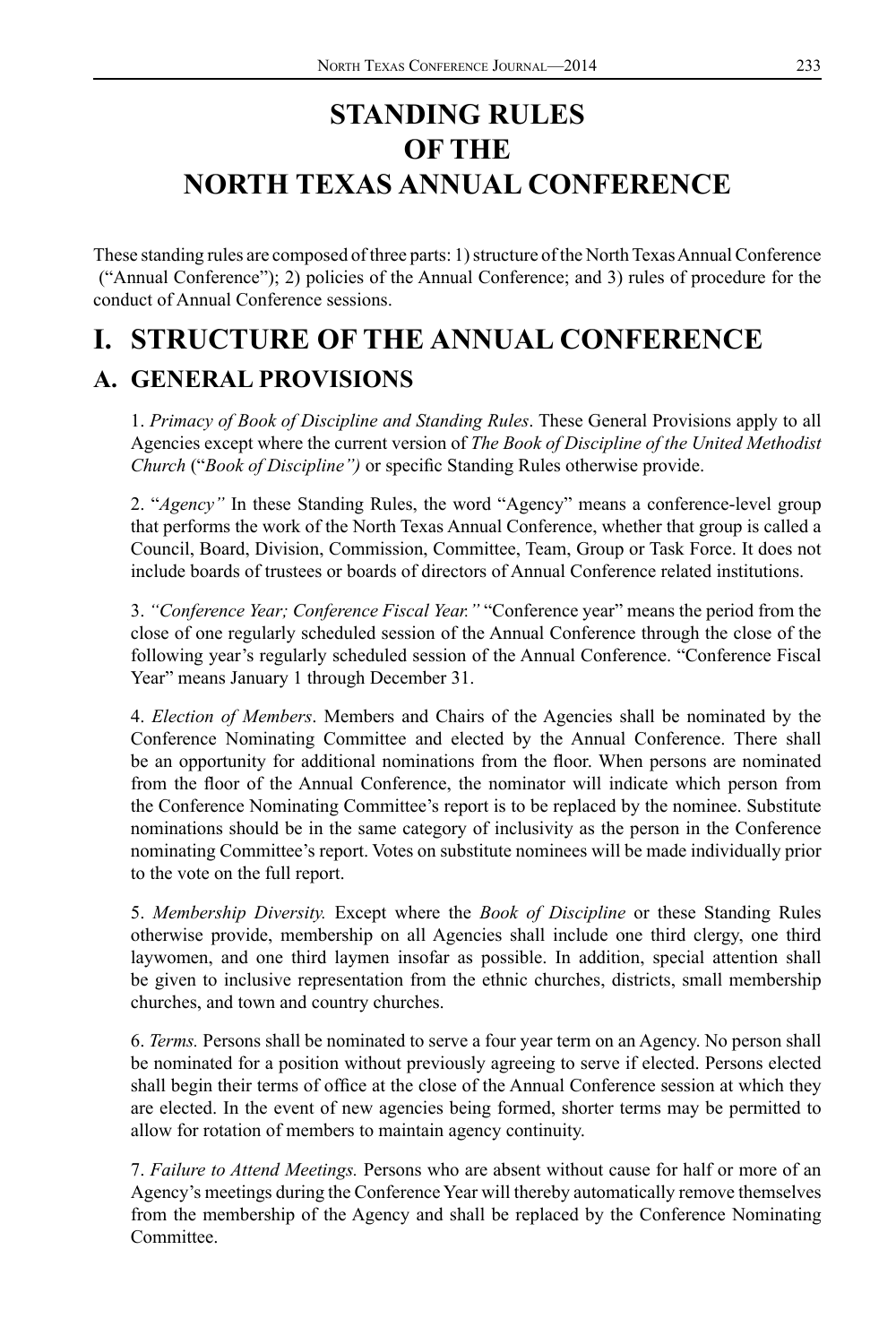# **STANDING RULES OF THE NORTH TEXAS ANNUAL CONFERENCE**

These standing rules are composed of three parts: 1) structure of the North Texas Annual Conference ("Annual Conference"); 2) policies of the Annual Conference; and 3) rules of procedure for the conduct of Annual Conference sessions.

# **I. STRUCTURE OF THE ANNUAL CONFERENCE**

## **A. GENERAL PROVISIONS**

1. *Primacy of Book of Discipline and Standing Rules*. These General Provisions apply to all Agencies except where the current version of *The Book of Discipline of the United Methodist Church* ("*Book of Discipline")* or specific Standing Rules otherwise provide.

2. "*Agency"* In these Standing Rules, the word "Agency" means a conference-level group that performs the work of the North Texas Annual Conference, whether that group is called a Council, Board, Division, Commission, Committee, Team, Group or Task Force. It does not include boards of trustees or boards of directors of Annual Conference related institutions.

3. *"Conference Year; Conference Fiscal Year."* "Conference year" means the period from the close of one regularly scheduled session of the Annual Conference through the close of the following year's regularly scheduled session of the Annual Conference. "Conference Fiscal Year" means January 1 through December 31.

4. *Election of Members*. Members and Chairs of the Agencies shall be nominated by the Conference Nominating Committee and elected by the Annual Conference. There shall be an opportunity for additional nominations from the floor. When persons are nominated from the floor of the Annual Conference, the nominator will indicate which person from the Conference Nominating Committee's report is to be replaced by the nominee. Substitute nominations should be in the same category of inclusivity as the person in the Conference nominating Committee's report. Votes on substitute nominees will be made individually prior to the vote on the full report.

5. *Membership Diversity.* Except where the *Book of Discipline* or these Standing Rules otherwise provide, membership on all Agencies shall include one third clergy, one third laywomen, and one third laymen insofar as possible. In addition, special attention shall be given to inclusive representation from the ethnic churches, districts, small membership churches, and town and country churches.

6. *Terms.* Persons shall be nominated to serve a four year term on an Agency. No person shall be nominated for a position without previously agreeing to serve if elected. Persons elected shall begin their terms of office at the close of the Annual Conference session at which they are elected. In the event of new agencies being formed, shorter terms may be permitted to allow for rotation of members to maintain agency continuity.

7. *Failure to Attend Meetings.* Persons who are absent without cause for half or more of an Agency's meetings during the Conference Year will thereby automatically remove themselves from the membership of the Agency and shall be replaced by the Conference Nominating Committee.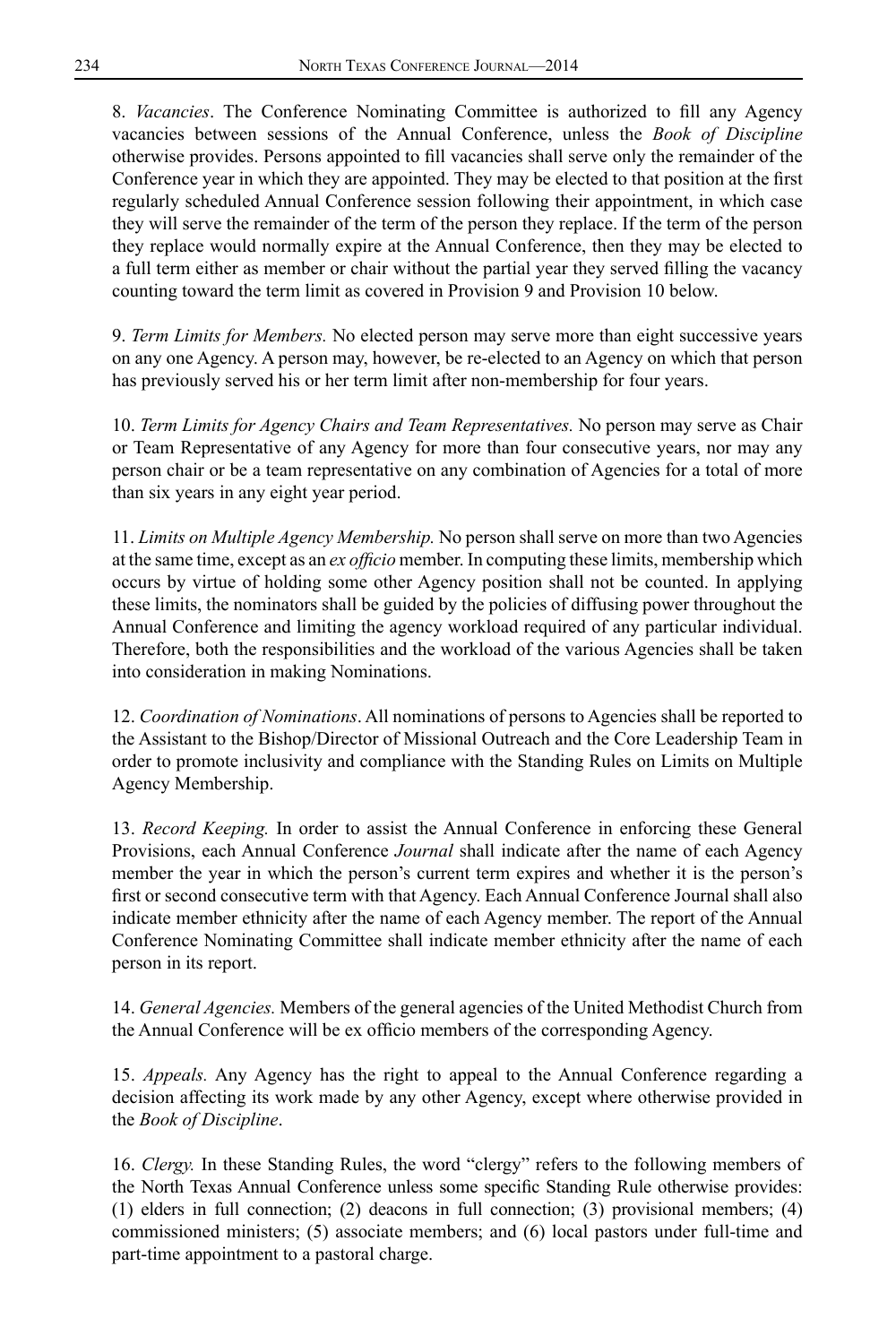8. *Vacancies*. The Conference Nominating Committee is authorized to fill any Agency vacancies between sessions of the Annual Conference, unless the *Book of Discipline* otherwise provides. Persons appointed to fill vacancies shall serve only the remainder of the Conference year in which they are appointed. They may be elected to that position at the first regularly scheduled Annual Conference session following their appointment, in which case they will serve the remainder of the term of the person they replace. If the term of the person they replace would normally expire at the Annual Conference, then they may be elected to a full term either as member or chair without the partial year they served filling the vacancy counting toward the term limit as covered in Provision 9 and Provision 10 below.

9. *Term Limits for Members.* No elected person may serve more than eight successive years on any one Agency. A person may, however, be re-elected to an Agency on which that person has previously served his or her term limit after non-membership for four years.

10. *Term Limits for Agency Chairs and Team Representatives.* No person may serve as Chair or Team Representative of any Agency for more than four consecutive years, nor may any person chair or be a team representative on any combination of Agencies for a total of more than six years in any eight year period.

11. *Limits on Multiple Agency Membership.* No person shall serve on more than two Agencies at the same time, except as an *ex officio* member. In computing these limits, membership which occurs by virtue of holding some other Agency position shall not be counted. In applying these limits, the nominators shall be guided by the policies of diffusing power throughout the Annual Conference and limiting the agency workload required of any particular individual. Therefore, both the responsibilities and the workload of the various Agencies shall be taken into consideration in making Nominations.

12. *Coordination of Nominations*. All nominations of persons to Agencies shall be reported to the Assistant to the Bishop/Director of Missional Outreach and the Core Leadership Team in order to promote inclusivity and compliance with the Standing Rules on Limits on Multiple Agency Membership.

13. *Record Keeping.* In order to assist the Annual Conference in enforcing these General Provisions, each Annual Conference *Journal* shall indicate after the name of each Agency member the year in which the person's current term expires and whether it is the person's first or second consecutive term with that Agency. Each Annual Conference Journal shall also indicate member ethnicity after the name of each Agency member. The report of the Annual Conference Nominating Committee shall indicate member ethnicity after the name of each person in its report.

14. *General Agencies.* Members of the general agencies of the United Methodist Church from the Annual Conference will be ex officio members of the corresponding Agency.

15. *Appeals.* Any Agency has the right to appeal to the Annual Conference regarding a decision affecting its work made by any other Agency, except where otherwise provided in the *Book of Discipline*.

16. *Clergy.* In these Standing Rules, the word "clergy" refers to the following members of the North Texas Annual Conference unless some specific Standing Rule otherwise provides: (1) elders in full connection; (2) deacons in full connection; (3) provisional members; (4) commissioned ministers; (5) associate members; and (6) local pastors under full-time and part-time appointment to a pastoral charge.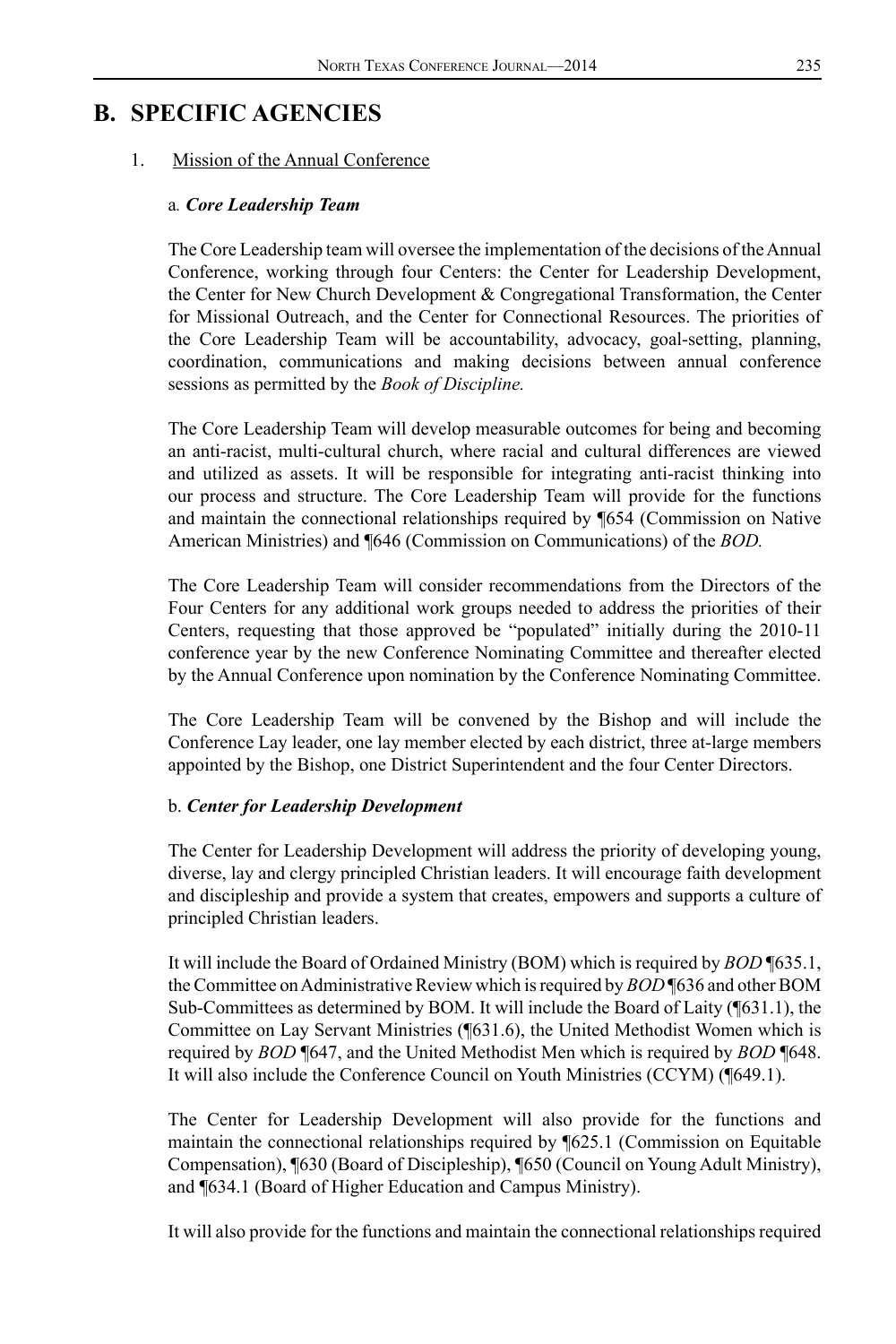## **B. SPECIFIC AGENCIES**

#### 1. Mission of the Annual Conference

#### a*. Core Leadership Team*

The Core Leadership team will oversee the implementation of the decisions of the Annual Conference, working through four Centers: the Center for Leadership Development, the Center for New Church Development & Congregational Transformation, the Center for Missional Outreach, and the Center for Connectional Resources. The priorities of the Core Leadership Team will be accountability, advocacy, goal-setting, planning, coordination, communications and making decisions between annual conference sessions as permitted by the *Book of Discipline.*

The Core Leadership Team will develop measurable outcomes for being and becoming an anti-racist, multi-cultural church, where racial and cultural differences are viewed and utilized as assets. It will be responsible for integrating anti-racist thinking into our process and structure. The Core Leadership Team will provide for the functions and maintain the connectional relationships required by ¶654 (Commission on Native American Ministries) and ¶646 (Commission on Communications) of the *BOD.*

The Core Leadership Team will consider recommendations from the Directors of the Four Centers for any additional work groups needed to address the priorities of their Centers, requesting that those approved be "populated" initially during the 2010-11 conference year by the new Conference Nominating Committee and thereafter elected by the Annual Conference upon nomination by the Conference Nominating Committee.

The Core Leadership Team will be convened by the Bishop and will include the Conference Lay leader, one lay member elected by each district, three at-large members appointed by the Bishop, one District Superintendent and the four Center Directors.

#### b. *Center for Leadership Development*

The Center for Leadership Development will address the priority of developing young, diverse, lay and clergy principled Christian leaders. It will encourage faith development and discipleship and provide a system that creates, empowers and supports a culture of principled Christian leaders.

It will include the Board of Ordained Ministry (BOM) which is required by *BOD* ¶635.1, the Committee on Administrative Review which is required by *BOD* ¶636 and other BOM Sub-Committees as determined by BOM. It will include the Board of Laity (¶631.1), the Committee on Lay Servant Ministries (¶631.6), the United Methodist Women which is required by *BOD* ¶647, and the United Methodist Men which is required by *BOD* ¶648. It will also include the Conference Council on Youth Ministries (CCYM) (¶649.1).

The Center for Leadership Development will also provide for the functions and maintain the connectional relationships required by ¶625.1 (Commission on Equitable Compensation), ¶630 (Board of Discipleship), ¶650 (Council on Young Adult Ministry), and ¶634.1 (Board of Higher Education and Campus Ministry).

It will also provide for the functions and maintain the connectional relationships required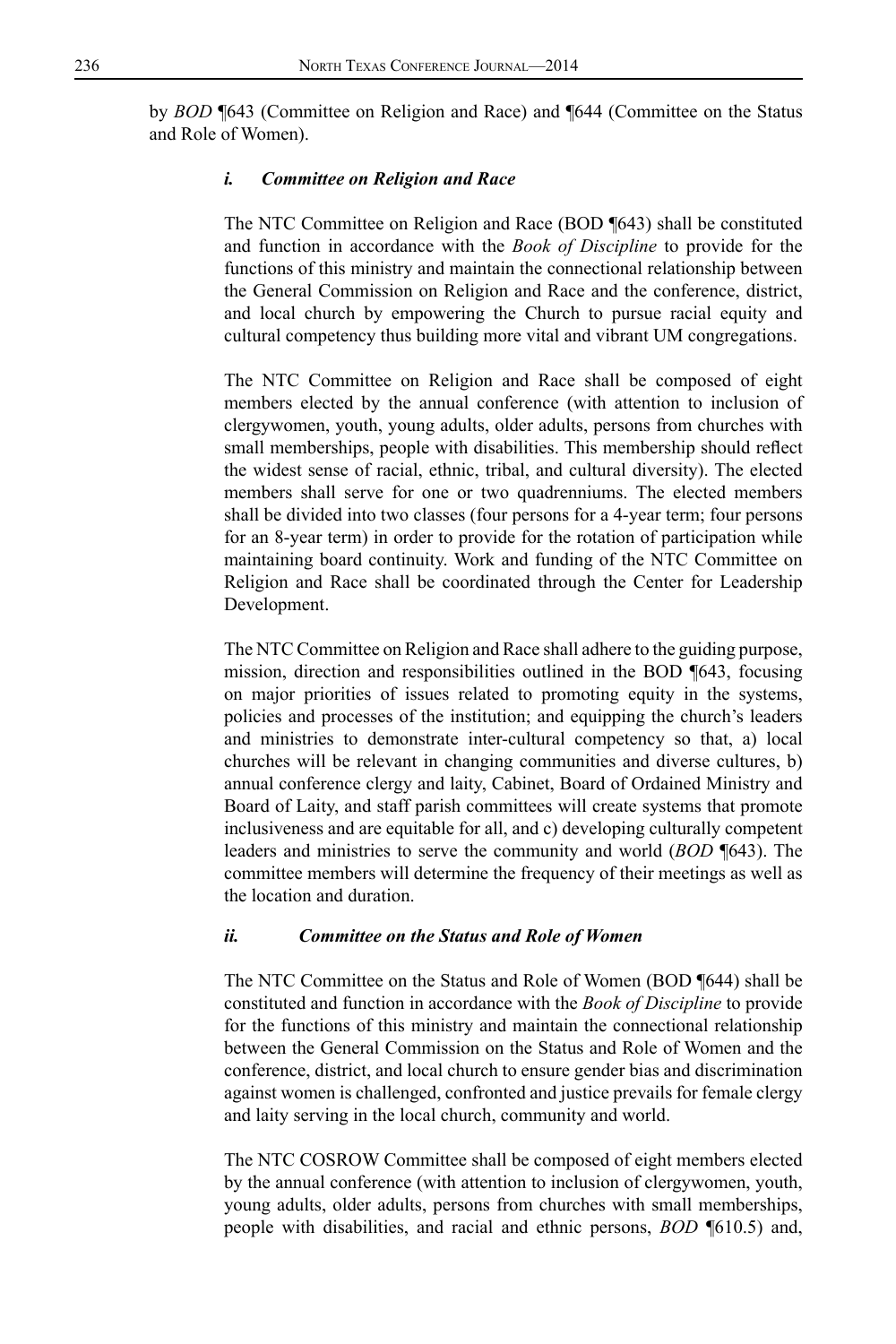by *BOD* ¶643 (Committee on Religion and Race) and ¶644 (Committee on the Status and Role of Women).

#### *i. Committee on Religion and Race*

The NTC Committee on Religion and Race (BOD ¶643) shall be constituted and function in accordance with the *Book of Discipline* to provide for the functions of this ministry and maintain the connectional relationship between the General Commission on Religion and Race and the conference, district, and local church by empowering the Church to pursue racial equity and cultural competency thus building more vital and vibrant UM congregations.

The NTC Committee on Religion and Race shall be composed of eight members elected by the annual conference (with attention to inclusion of clergywomen, youth, young adults, older adults, persons from churches with small memberships, people with disabilities. This membership should reflect the widest sense of racial, ethnic, tribal, and cultural diversity). The elected members shall serve for one or two quadrenniums. The elected members shall be divided into two classes (four persons for a 4-year term; four persons for an 8-year term) in order to provide for the rotation of participation while maintaining board continuity. Work and funding of the NTC Committee on Religion and Race shall be coordinated through the Center for Leadership Development.

The NTC Committee on Religion and Race shall adhere to the guiding purpose, mission, direction and responsibilities outlined in the BOD ¶643, focusing on major priorities of issues related to promoting equity in the systems, policies and processes of the institution; and equipping the church's leaders and ministries to demonstrate inter-cultural competency so that, a) local churches will be relevant in changing communities and diverse cultures, b) annual conference clergy and laity, Cabinet, Board of Ordained Ministry and Board of Laity, and staff parish committees will create systems that promote inclusiveness and are equitable for all, and c) developing culturally competent leaders and ministries to serve the community and world (*BOD* ¶643). The committee members will determine the frequency of their meetings as well as the location and duration.

#### *ii. Committee on the Status and Role of Women*

The NTC Committee on the Status and Role of Women (BOD ¶644) shall be constituted and function in accordance with the *Book of Discipline* to provide for the functions of this ministry and maintain the connectional relationship between the General Commission on the Status and Role of Women and the conference, district, and local church to ensure gender bias and discrimination against women is challenged, confronted and justice prevails for female clergy and laity serving in the local church, community and world.

The NTC COSROW Committee shall be composed of eight members elected by the annual conference (with attention to inclusion of clergywomen, youth, young adults, older adults, persons from churches with small memberships, people with disabilities, and racial and ethnic persons, *BOD* ¶610.5) and,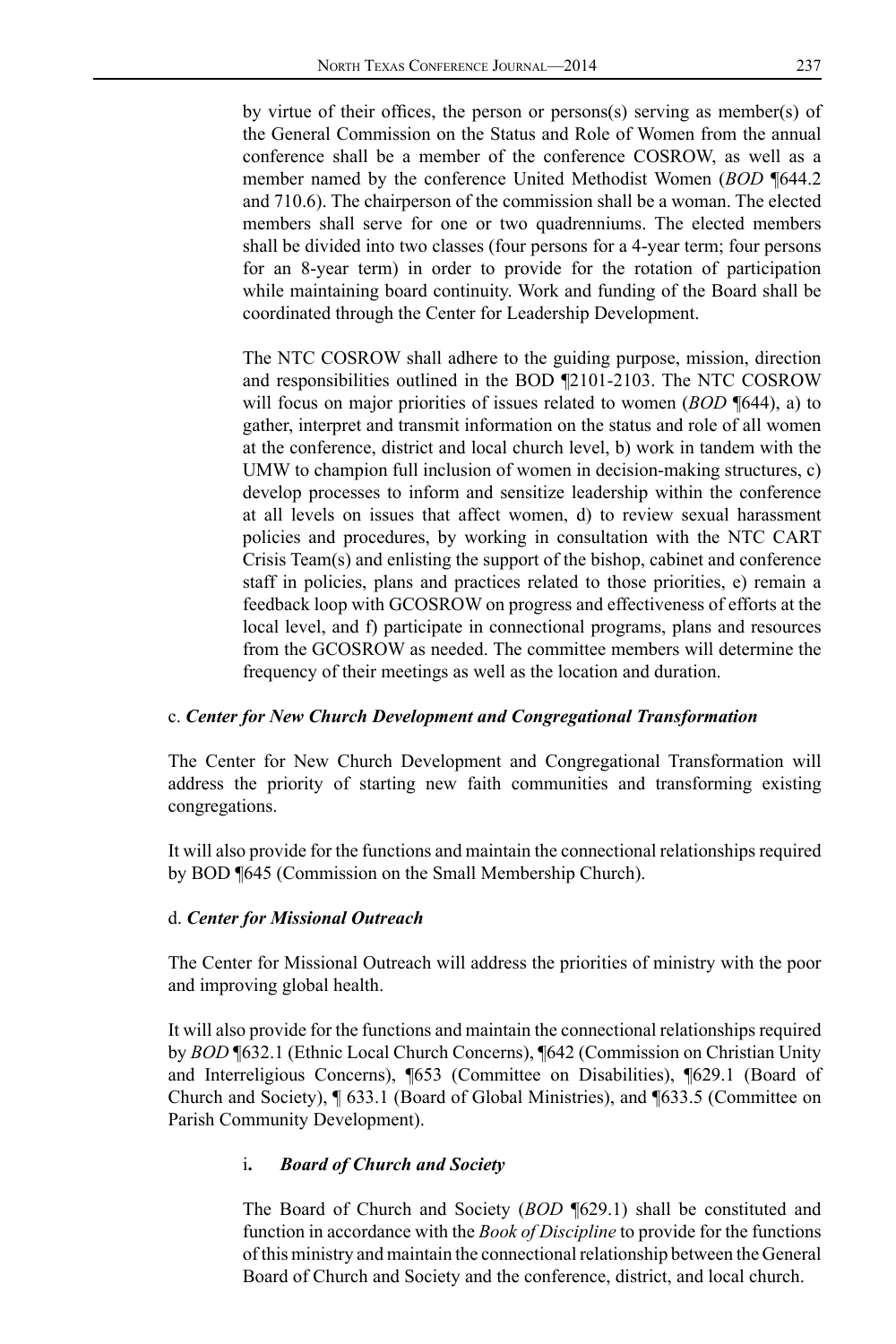by virtue of their offices, the person or persons(s) serving as member(s) of the General Commission on the Status and Role of Women from the annual conference shall be a member of the conference COSROW, as well as a member named by the conference United Methodist Women (*BOD* ¶644.2 and 710.6). The chairperson of the commission shall be a woman. The elected members shall serve for one or two quadrenniums. The elected members shall be divided into two classes (four persons for a 4-year term; four persons for an 8-year term) in order to provide for the rotation of participation while maintaining board continuity. Work and funding of the Board shall be coordinated through the Center for Leadership Development.

The NTC COSROW shall adhere to the guiding purpose, mission, direction and responsibilities outlined in the BOD ¶2101-2103. The NTC COSROW will focus on major priorities of issues related to women (*BOD* ¶644), a) to gather, interpret and transmit information on the status and role of all women at the conference, district and local church level, b) work in tandem with the UMW to champion full inclusion of women in decision-making structures, c) develop processes to inform and sensitize leadership within the conference at all levels on issues that affect women, d) to review sexual harassment policies and procedures, by working in consultation with the NTC CART Crisis Team(s) and enlisting the support of the bishop, cabinet and conference staff in policies, plans and practices related to those priorities, e) remain a feedback loop with GCOSROW on progress and effectiveness of efforts at the local level, and f) participate in connectional programs, plans and resources from the GCOSROW as needed. The committee members will determine the frequency of their meetings as well as the location and duration.

#### c. *Center for New Church Development and Congregational Transformation*

The Center for New Church Development and Congregational Transformation will address the priority of starting new faith communities and transforming existing congregations.

It will also provide for the functions and maintain the connectional relationships required by BOD ¶645 (Commission on the Small Membership Church).

#### d. *Center for Missional Outreach*

The Center for Missional Outreach will address the priorities of ministry with the poor and improving global health.

It will also provide for the functions and maintain the connectional relationships required by *BOD* ¶632.1 (Ethnic Local Church Concerns), ¶642 (Commission on Christian Unity and Interreligious Concerns), ¶653 (Committee on Disabilities), ¶629.1 (Board of Church and Society), ¶ 633.1 (Board of Global Ministries), and ¶633.5 (Committee on Parish Community Development).

## i**.** *Board of Church and Society*

The Board of Church and Society (*BOD* ¶629.1) shall be constituted and function in accordance with the *Book of Discipline* to provide for the functions of this ministry and maintain the connectional relationship between the General Board of Church and Society and the conference, district, and local church.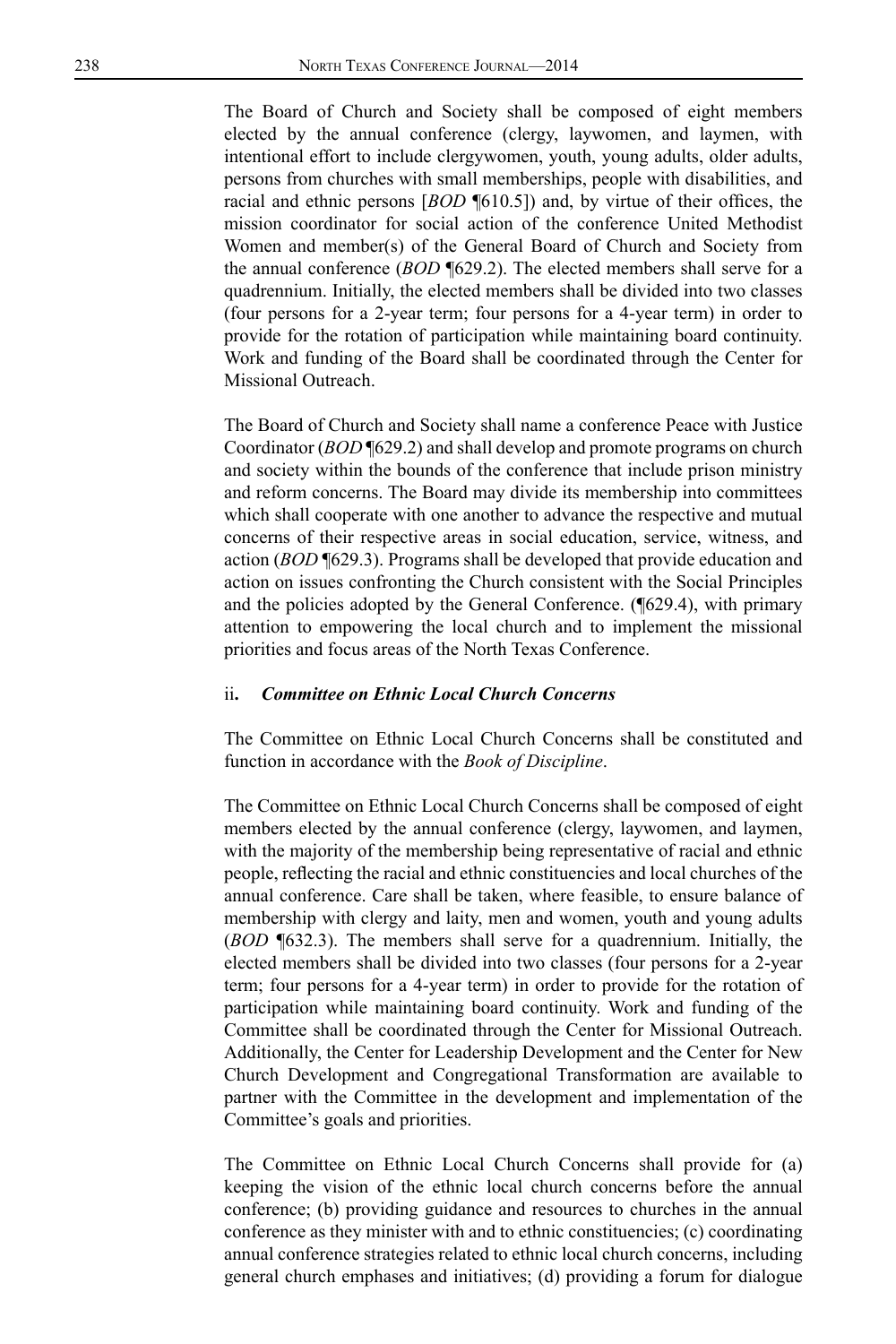The Board of Church and Society shall be composed of eight members elected by the annual conference (clergy, laywomen, and laymen, with intentional effort to include clergywomen, youth, young adults, older adults, persons from churches with small memberships, people with disabilities, and racial and ethnic persons [*BOD* ¶610.5]) and, by virtue of their offices, the mission coordinator for social action of the conference United Methodist Women and member(s) of the General Board of Church and Society from the annual conference (*BOD* ¶629.2). The elected members shall serve for a quadrennium. Initially, the elected members shall be divided into two classes (four persons for a 2-year term; four persons for a 4-year term) in order to provide for the rotation of participation while maintaining board continuity. Work and funding of the Board shall be coordinated through the Center for Missional Outreach.

The Board of Church and Society shall name a conference Peace with Justice Coordinator (*BOD* ¶629.2) and shall develop and promote programs on church and society within the bounds of the conference that include prison ministry and reform concerns. The Board may divide its membership into committees which shall cooperate with one another to advance the respective and mutual concerns of their respective areas in social education, service, witness, and action (*BOD* ¶629.3). Programs shall be developed that provide education and action on issues confronting the Church consistent with the Social Principles and the policies adopted by the General Conference. (¶629.4), with primary attention to empowering the local church and to implement the missional priorities and focus areas of the North Texas Conference.

#### ii**.** *Committee on Ethnic Local Church Concerns*

The Committee on Ethnic Local Church Concerns shall be constituted and function in accordance with the *Book of Discipline*.

The Committee on Ethnic Local Church Concerns shall be composed of eight members elected by the annual conference (clergy, laywomen, and laymen, with the majority of the membership being representative of racial and ethnic people, reflecting the racial and ethnic constituencies and local churches of the annual conference. Care shall be taken, where feasible, to ensure balance of membership with clergy and laity, men and women, youth and young adults (*BOD* ¶632.3). The members shall serve for a quadrennium. Initially, the elected members shall be divided into two classes (four persons for a 2-year term; four persons for a 4-year term) in order to provide for the rotation of participation while maintaining board continuity. Work and funding of the Committee shall be coordinated through the Center for Missional Outreach. Additionally, the Center for Leadership Development and the Center for New Church Development and Congregational Transformation are available to partner with the Committee in the development and implementation of the Committee's goals and priorities.

The Committee on Ethnic Local Church Concerns shall provide for (a) keeping the vision of the ethnic local church concerns before the annual conference; (b) providing guidance and resources to churches in the annual conference as they minister with and to ethnic constituencies; (c) coordinating annual conference strategies related to ethnic local church concerns, including general church emphases and initiatives; (d) providing a forum for dialogue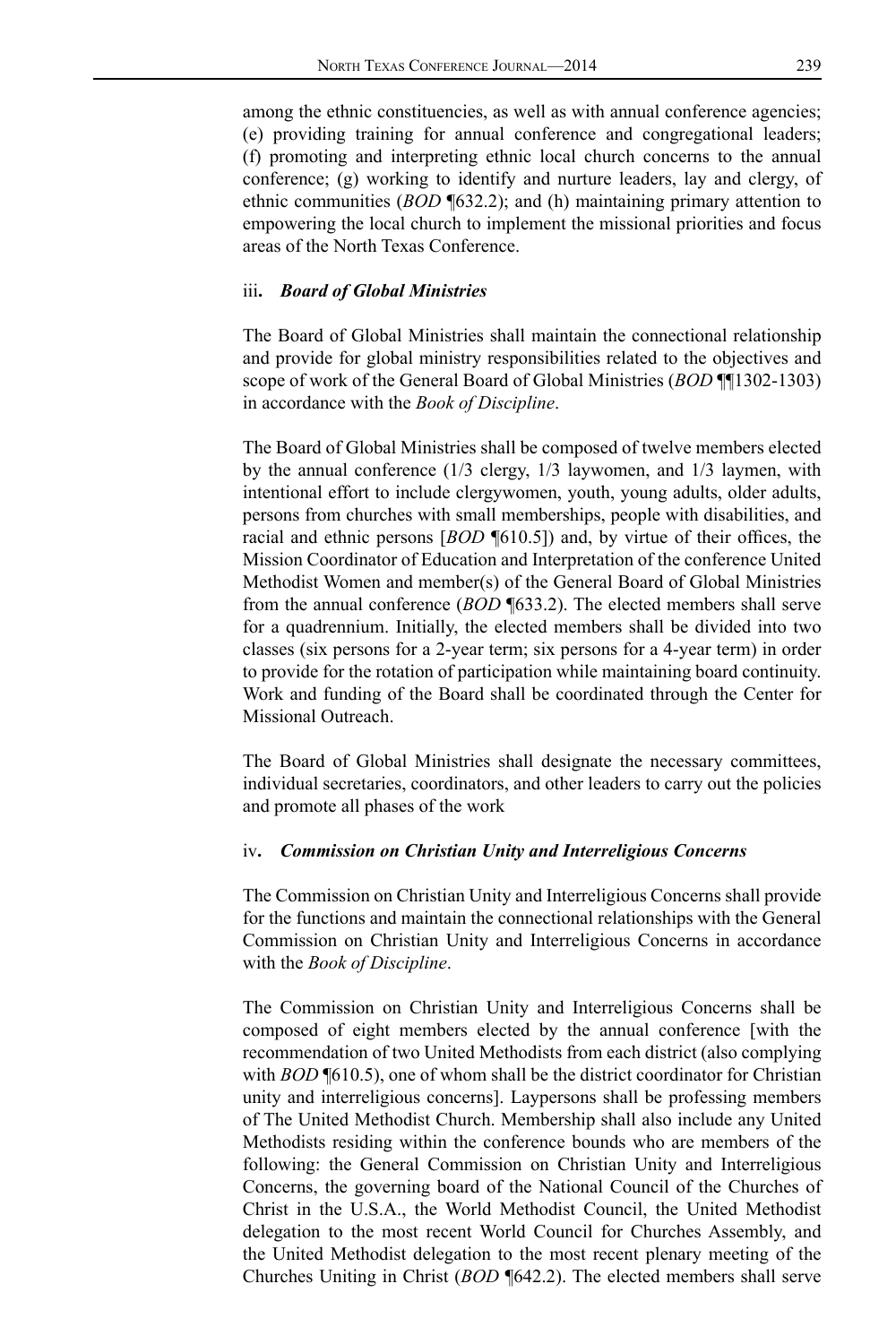among the ethnic constituencies, as well as with annual conference agencies; (e) providing training for annual conference and congregational leaders; (f) promoting and interpreting ethnic local church concerns to the annual conference; (g) working to identify and nurture leaders, lay and clergy, of ethnic communities (*BOD* ¶632.2); and (h) maintaining primary attention to empowering the local church to implement the missional priorities and focus areas of the North Texas Conference.

#### iii**.** *Board of Global Ministries*

The Board of Global Ministries shall maintain the connectional relationship and provide for global ministry responsibilities related to the objectives and scope of work of the General Board of Global Ministries (*BOD* ¶¶1302-1303) in accordance with the *Book of Discipline*.

The Board of Global Ministries shall be composed of twelve members elected by the annual conference (1/3 clergy, 1/3 laywomen, and 1/3 laymen, with intentional effort to include clergywomen, youth, young adults, older adults, persons from churches with small memberships, people with disabilities, and racial and ethnic persons [*BOD* ¶610.5]) and, by virtue of their offices, the Mission Coordinator of Education and Interpretation of the conference United Methodist Women and member(s) of the General Board of Global Ministries from the annual conference (*BOD* ¶633.2). The elected members shall serve for a quadrennium. Initially, the elected members shall be divided into two classes (six persons for a 2-year term; six persons for a 4-year term) in order to provide for the rotation of participation while maintaining board continuity. Work and funding of the Board shall be coordinated through the Center for Missional Outreach.

The Board of Global Ministries shall designate the necessary committees, individual secretaries, coordinators, and other leaders to carry out the policies and promote all phases of the work

#### iv**.** *Commission on Christian Unity and Interreligious Concerns*

The Commission on Christian Unity and Interreligious Concerns shall provide for the functions and maintain the connectional relationships with the General Commission on Christian Unity and Interreligious Concerns in accordance with the *Book of Discipline*.

The Commission on Christian Unity and Interreligious Concerns shall be composed of eight members elected by the annual conference [with the recommendation of two United Methodists from each district (also complying with *BOD*  $\P(610.5)$ , one of whom shall be the district coordinator for Christian unity and interreligious concerns]. Laypersons shall be professing members of The United Methodist Church. Membership shall also include any United Methodists residing within the conference bounds who are members of the following: the General Commission on Christian Unity and Interreligious Concerns, the governing board of the National Council of the Churches of Christ in the U.S.A., the World Methodist Council, the United Methodist delegation to the most recent World Council for Churches Assembly, and the United Methodist delegation to the most recent plenary meeting of the Churches Uniting in Christ (*BOD* ¶642.2). The elected members shall serve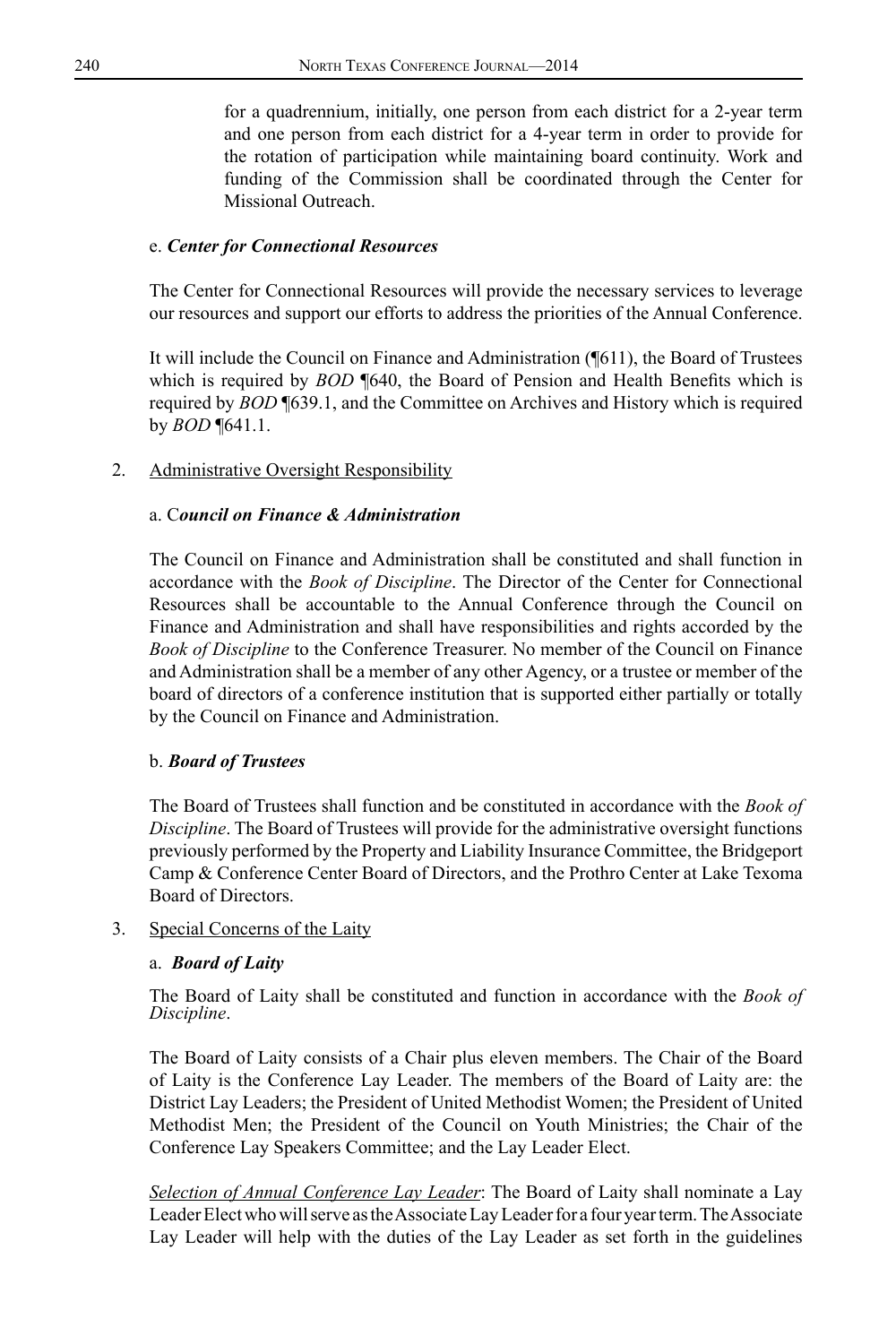for a quadrennium, initially, one person from each district for a 2-year term and one person from each district for a 4-year term in order to provide for the rotation of participation while maintaining board continuity. Work and funding of the Commission shall be coordinated through the Center for Missional Outreach.

### e. *Center for Connectional Resources*

The Center for Connectional Resources will provide the necessary services to leverage our resources and support our efforts to address the priorities of the Annual Conference.

It will include the Council on Finance and Administration (¶611), the Board of Trustees which is required by *BOD* **¶640**, the Board of Pension and Health Benefits which is required by *BOD* ¶639.1, and the Committee on Archives and History which is required by *BOD* ¶641.1.

### 2. Administrative Oversight Responsibility

#### a. C*ouncil on Finance & Administration*

The Council on Finance and Administration shall be constituted and shall function in accordance with the *Book of Discipline*. The Director of the Center for Connectional Resources shall be accountable to the Annual Conference through the Council on Finance and Administration and shall have responsibilities and rights accorded by the *Book of Discipline* to the Conference Treasurer. No member of the Council on Finance and Administration shall be a member of any other Agency, or a trustee or member of the board of directors of a conference institution that is supported either partially or totally by the Council on Finance and Administration.

#### b. *Board of Trustees*

The Board of Trustees shall function and be constituted in accordance with the *Book of Discipline*. The Board of Trustees will provide for the administrative oversight functions previously performed by the Property and Liability Insurance Committee, the Bridgeport Camp & Conference Center Board of Directors, and the Prothro Center at Lake Texoma Board of Directors.

#### 3. Special Concerns of the Laity

#### a. *Board of Laity*

The Board of Laity shall be constituted and function in accordance with the *Book of Discipline*.

The Board of Laity consists of a Chair plus eleven members. The Chair of the Board of Laity is the Conference Lay Leader. The members of the Board of Laity are: the District Lay Leaders; the President of United Methodist Women; the President of United Methodist Men; the President of the Council on Youth Ministries; the Chair of the Conference Lay Speakers Committee; and the Lay Leader Elect.

*Selection of Annual Conference Lay Leader*: The Board of Laity shall nominate a Lay Leader Elect who will serve as the Associate Lay Leader for a four year term. The Associate Lay Leader will help with the duties of the Lay Leader as set forth in the guidelines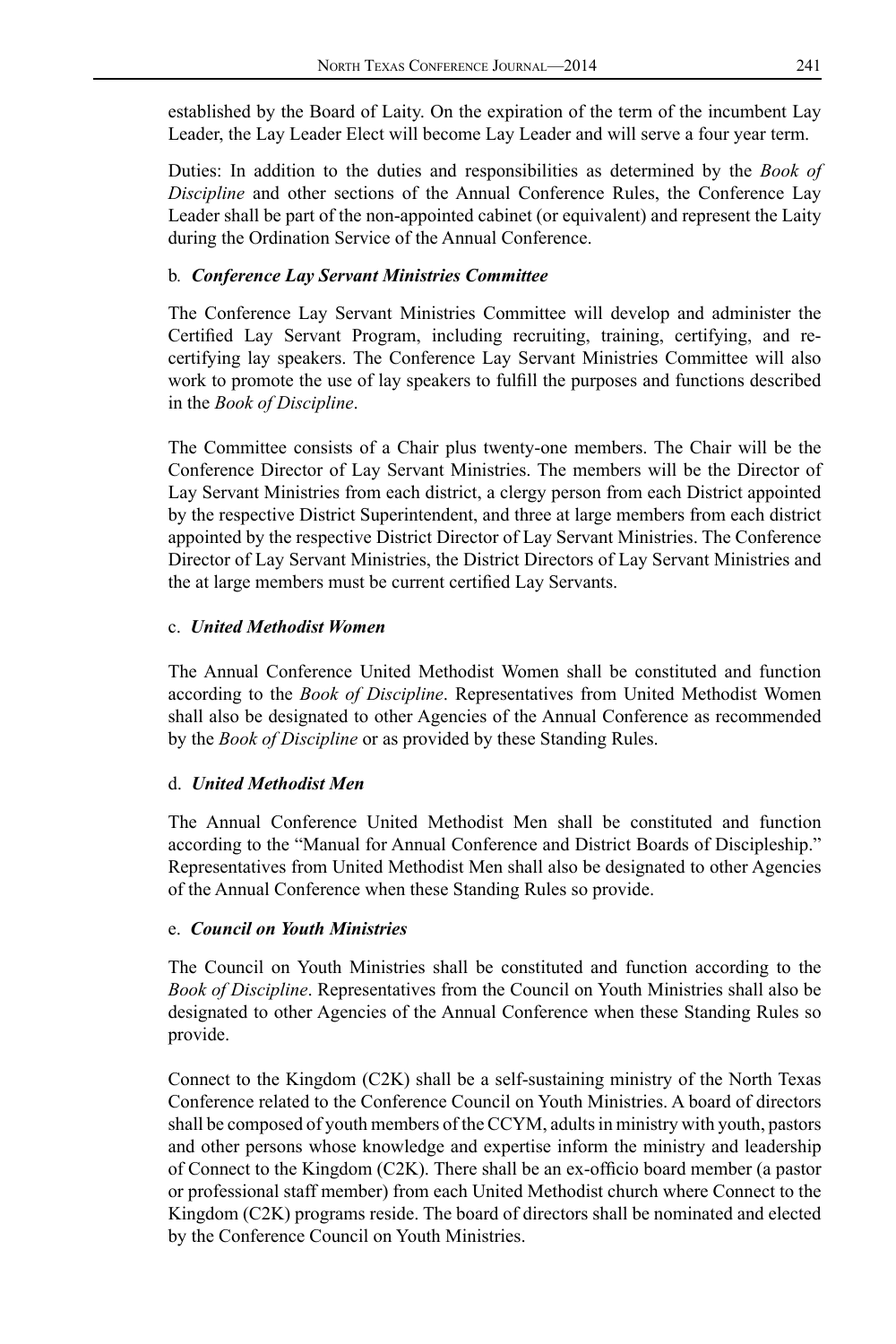established by the Board of Laity. On the expiration of the term of the incumbent Lay Leader, the Lay Leader Elect will become Lay Leader and will serve a four year term.

Duties: In addition to the duties and responsibilities as determined by the *Book of Discipline* and other sections of the Annual Conference Rules, the Conference Lay Leader shall be part of the non-appointed cabinet (or equivalent) and represent the Laity during the Ordination Service of the Annual Conference.

### b*. Conference Lay Servant Ministries Committee*

The Conference Lay Servant Ministries Committee will develop and administer the Certified Lay Servant Program, including recruiting, training, certifying, and recertifying lay speakers. The Conference Lay Servant Ministries Committee will also work to promote the use of lay speakers to fulfill the purposes and functions described in the *Book of Discipline*.

The Committee consists of a Chair plus twenty-one members. The Chair will be the Conference Director of Lay Servant Ministries. The members will be the Director of Lay Servant Ministries from each district, a clergy person from each District appointed by the respective District Superintendent, and three at large members from each district appointed by the respective District Director of Lay Servant Ministries. The Conference Director of Lay Servant Ministries, the District Directors of Lay Servant Ministries and the at large members must be current certified Lay Servants.

#### c. *United Methodist Women*

The Annual Conference United Methodist Women shall be constituted and function according to the *Book of Discipline*. Representatives from United Methodist Women shall also be designated to other Agencies of the Annual Conference as recommended by the *Book of Discipline* or as provided by these Standing Rules.

## d. *United Methodist Men*

The Annual Conference United Methodist Men shall be constituted and function according to the "Manual for Annual Conference and District Boards of Discipleship." Representatives from United Methodist Men shall also be designated to other Agencies of the Annual Conference when these Standing Rules so provide.

#### e. *Council on Youth Ministries*

The Council on Youth Ministries shall be constituted and function according to the *Book of Discipline*. Representatives from the Council on Youth Ministries shall also be designated to other Agencies of the Annual Conference when these Standing Rules so provide.

Connect to the Kingdom (C2K) shall be a self-sustaining ministry of the North Texas Conference related to the Conference Council on Youth Ministries. A board of directors shall be composed of youth members of the CCYM, adults in ministry with youth, pastors and other persons whose knowledge and expertise inform the ministry and leadership of Connect to the Kingdom (C2K). There shall be an ex-officio board member (a pastor or professional staff member) from each United Methodist church where Connect to the Kingdom (C2K) programs reside. The board of directors shall be nominated and elected by the Conference Council on Youth Ministries.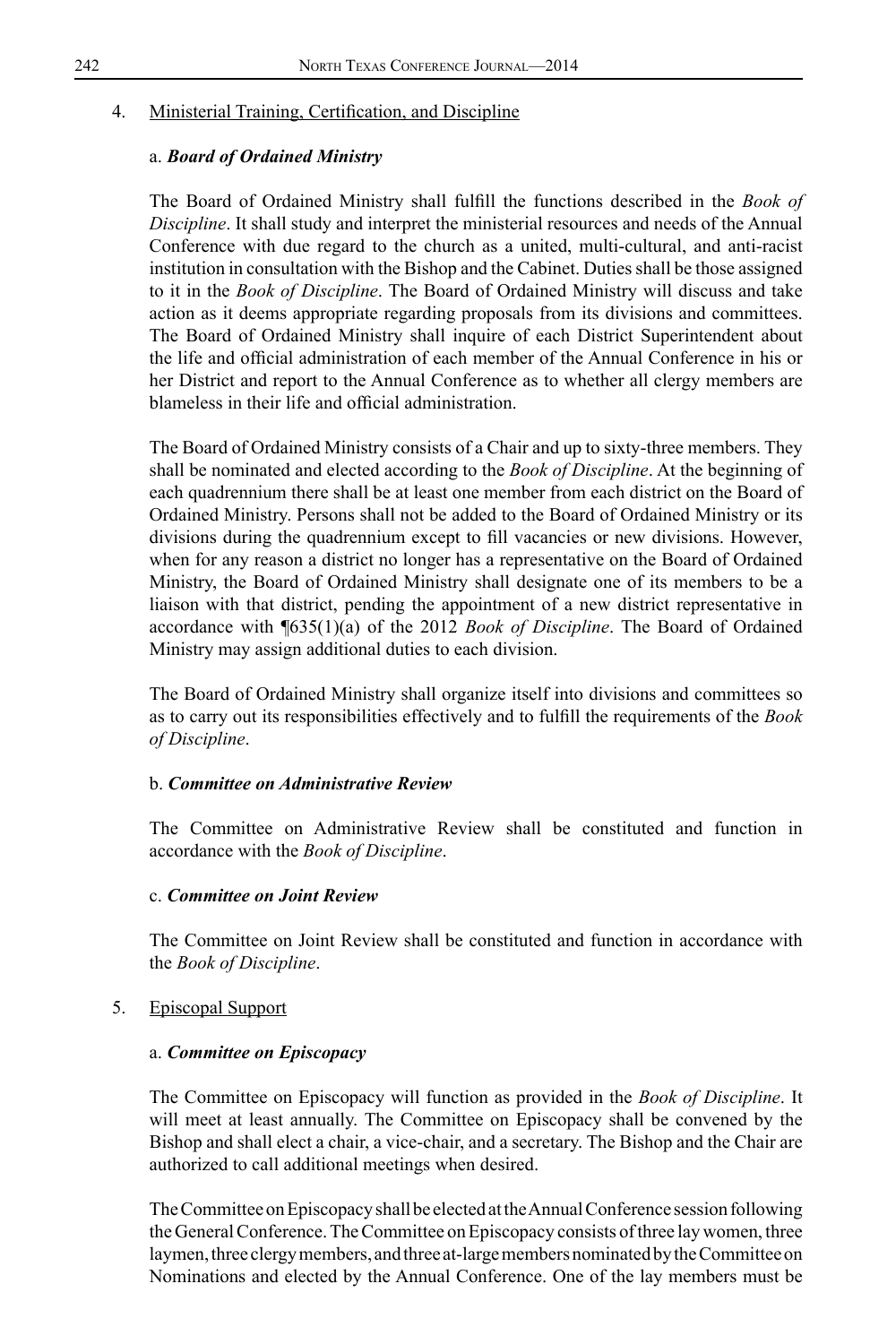### 4. Ministerial Training, Certification, and Discipline

### a. *Board of Ordained Ministry*

The Board of Ordained Ministry shall fulfill the functions described in the *Book of Discipline*. It shall study and interpret the ministerial resources and needs of the Annual Conference with due regard to the church as a united, multi-cultural, and anti-racist institution in consultation with the Bishop and the Cabinet. Duties shall be those assigned to it in the *Book of Discipline*. The Board of Ordained Ministry will discuss and take action as it deems appropriate regarding proposals from its divisions and committees. The Board of Ordained Ministry shall inquire of each District Superintendent about the life and official administration of each member of the Annual Conference in his or her District and report to the Annual Conference as to whether all clergy members are blameless in their life and official administration.

The Board of Ordained Ministry consists of a Chair and up to sixty-three members. They shall be nominated and elected according to the *Book of Discipline*. At the beginning of each quadrennium there shall be at least one member from each district on the Board of Ordained Ministry. Persons shall not be added to the Board of Ordained Ministry or its divisions during the quadrennium except to fill vacancies or new divisions. However, when for any reason a district no longer has a representative on the Board of Ordained Ministry, the Board of Ordained Ministry shall designate one of its members to be a liaison with that district, pending the appointment of a new district representative in accordance with ¶635(1)(a) of the 2012 *Book of Discipline*. The Board of Ordained Ministry may assign additional duties to each division.

The Board of Ordained Ministry shall organize itself into divisions and committees so as to carry out its responsibilities effectively and to fulfill the requirements of the *Book of Discipline*.

#### b. *Committee on Administrative Review*

The Committee on Administrative Review shall be constituted and function in accordance with the *Book of Discipline*.

#### c. *Committee on Joint Review*

The Committee on Joint Review shall be constituted and function in accordance with the *Book of Discipline*.

#### 5. Episcopal Support

#### a. *Committee on Episcopacy*

The Committee on Episcopacy will function as provided in the *Book of Discipline*. It will meet at least annually. The Committee on Episcopacy shall be convened by the Bishop and shall elect a chair, a vice-chair, and a secretary. The Bishop and the Chair are authorized to call additional meetings when desired.

The Committee on Episcopacy shall be elected at the Annual Conference session following the General Conference. The Committee on Episcopacy consists of three lay women, three laymen, three clergy members, and three at-large members nominated by the Committee on Nominations and elected by the Annual Conference. One of the lay members must be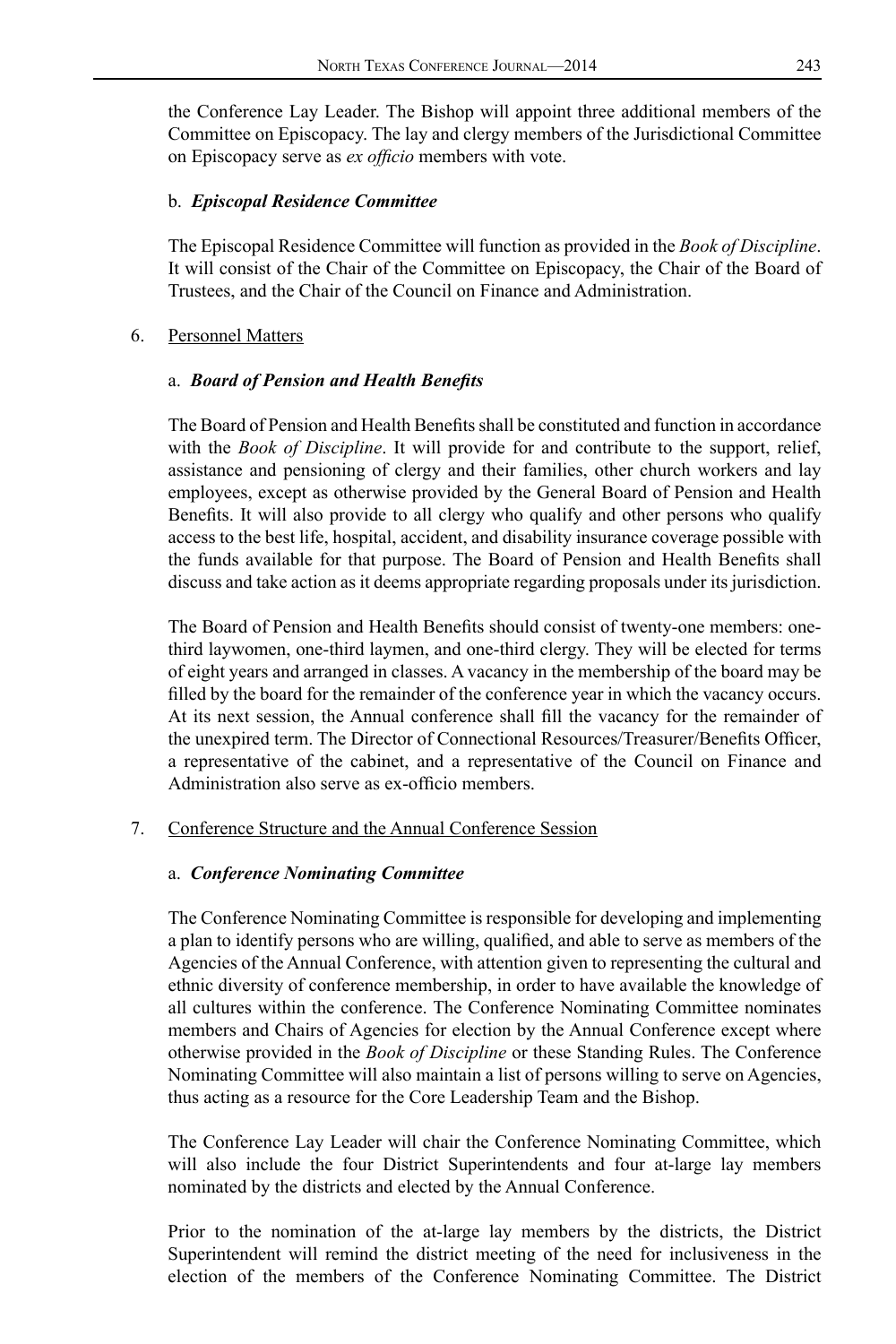the Conference Lay Leader. The Bishop will appoint three additional members of the Committee on Episcopacy. The lay and clergy members of the Jurisdictional Committee on Episcopacy serve as *ex officio* members with vote.

#### b. *Episcopal Residence Committee*

The Episcopal Residence Committee will function as provided in the *Book of Discipline*. It will consist of the Chair of the Committee on Episcopacy, the Chair of the Board of Trustees, and the Chair of the Council on Finance and Administration.

### 6. Personnel Matters

### a. *Board of Pension and Health Benefits*

The Board of Pension and Health Benefits shall be constituted and function in accordance with the *Book of Discipline*. It will provide for and contribute to the support, relief, assistance and pensioning of clergy and their families, other church workers and lay employees, except as otherwise provided by the General Board of Pension and Health Benefits. It will also provide to all clergy who qualify and other persons who qualify access to the best life, hospital, accident, and disability insurance coverage possible with the funds available for that purpose. The Board of Pension and Health Benefits shall discuss and take action as it deems appropriate regarding proposals under its jurisdiction.

The Board of Pension and Health Benefits should consist of twenty-one members: onethird laywomen, one-third laymen, and one-third clergy. They will be elected for terms of eight years and arranged in classes. A vacancy in the membership of the board may be filled by the board for the remainder of the conference year in which the vacancy occurs. At its next session, the Annual conference shall fill the vacancy for the remainder of the unexpired term. The Director of Connectional Resources/Treasurer/Benefits Officer, a representative of the cabinet, and a representative of the Council on Finance and Administration also serve as ex-officio members.

#### 7. Conference Structure and the Annual Conference Session

#### a. *Conference Nominating Committee*

The Conference Nominating Committee is responsible for developing and implementing a plan to identify persons who are willing, qualified, and able to serve as members of the Agencies of the Annual Conference, with attention given to representing the cultural and ethnic diversity of conference membership, in order to have available the knowledge of all cultures within the conference. The Conference Nominating Committee nominates members and Chairs of Agencies for election by the Annual Conference except where otherwise provided in the *Book of Discipline* or these Standing Rules. The Conference Nominating Committee will also maintain a list of persons willing to serve on Agencies, thus acting as a resource for the Core Leadership Team and the Bishop.

The Conference Lay Leader will chair the Conference Nominating Committee, which will also include the four District Superintendents and four at-large lay members nominated by the districts and elected by the Annual Conference.

Prior to the nomination of the at-large lay members by the districts, the District Superintendent will remind the district meeting of the need for inclusiveness in the election of the members of the Conference Nominating Committee. The District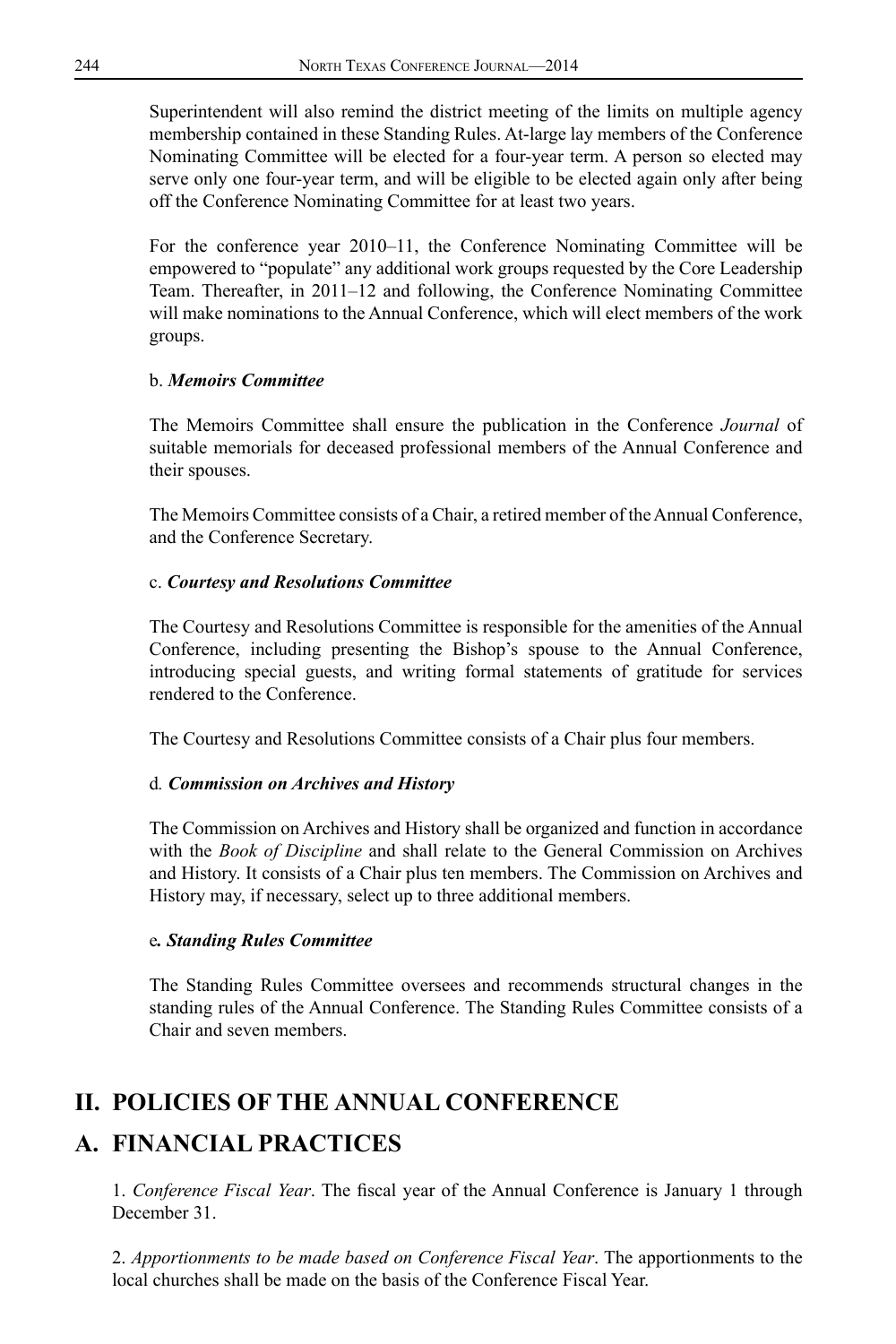Superintendent will also remind the district meeting of the limits on multiple agency membership contained in these Standing Rules. At-large lay members of the Conference Nominating Committee will be elected for a four-year term. A person so elected may serve only one four-year term, and will be eligible to be elected again only after being off the Conference Nominating Committee for at least two years.

For the conference year 2010–11, the Conference Nominating Committee will be empowered to "populate" any additional work groups requested by the Core Leadership Team. Thereafter, in 2011–12 and following, the Conference Nominating Committee will make nominations to the Annual Conference, which will elect members of the work groups.

### b. *Memoirs Committee*

The Memoirs Committee shall ensure the publication in the Conference *Journal* of suitable memorials for deceased professional members of the Annual Conference and their spouses.

The Memoirs Committee consists of a Chair, a retired member of the Annual Conference, and the Conference Secretary.

## c. *Courtesy and Resolutions Committee*

The Courtesy and Resolutions Committee is responsible for the amenities of the Annual Conference, including presenting the Bishop's spouse to the Annual Conference, introducing special guests, and writing formal statements of gratitude for services rendered to the Conference.

The Courtesy and Resolutions Committee consists of a Chair plus four members.

## d*. Commission on Archives and History*

The Commission on Archives and History shall be organized and function in accordance with the *Book of Discipline* and shall relate to the General Commission on Archives and History. It consists of a Chair plus ten members. The Commission on Archives and History may, if necessary, select up to three additional members.

#### e*. Standing Rules Committee*

The Standing Rules Committee oversees and recommends structural changes in the standing rules of the Annual Conference. The Standing Rules Committee consists of a Chair and seven members.

## **II. POLICIES OF THE ANNUAL CONFERENCE**

## **A. FINANCIAL PRACTICES**

1. *Conference Fiscal Year*. The fiscal year of the Annual Conference is January 1 through December 31.

2. *Apportionments to be made based on Conference Fiscal Year*. The apportionments to the local churches shall be made on the basis of the Conference Fiscal Year.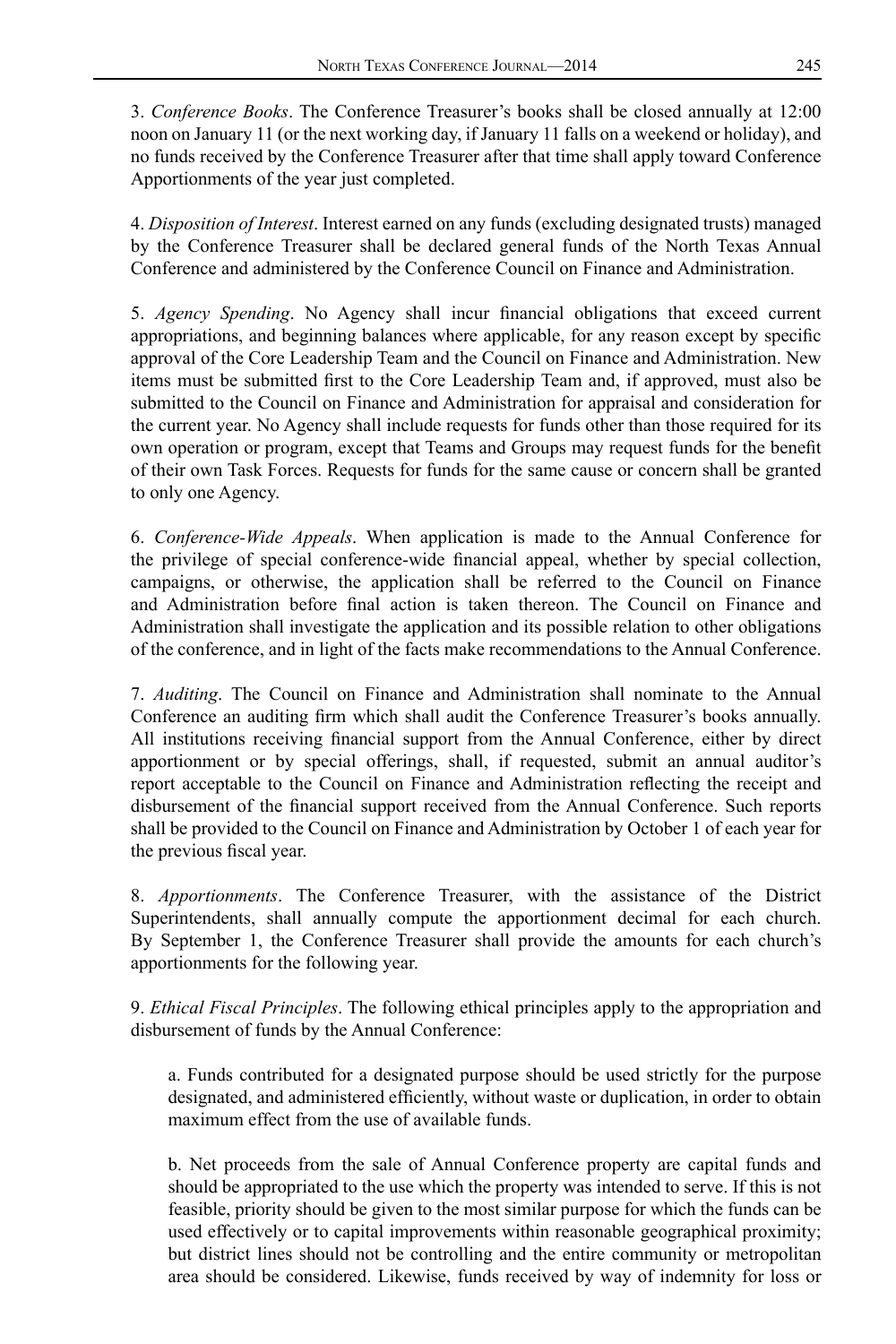3. *Conference Books*. The Conference Treasurer's books shall be closed annually at 12:00 noon on January 11 (or the next working day, if January 11 falls on a weekend or holiday), and no funds received by the Conference Treasurer after that time shall apply toward Conference Apportionments of the year just completed.

4. *Disposition of Interest*. Interest earned on any funds (excluding designated trusts) managed by the Conference Treasurer shall be declared general funds of the North Texas Annual Conference and administered by the Conference Council on Finance and Administration.

5. *Agency Spending*. No Agency shall incur financial obligations that exceed current appropriations, and beginning balances where applicable, for any reason except by specific approval of the Core Leadership Team and the Council on Finance and Administration. New items must be submitted first to the Core Leadership Team and, if approved, must also be submitted to the Council on Finance and Administration for appraisal and consideration for the current year. No Agency shall include requests for funds other than those required for its own operation or program, except that Teams and Groups may request funds for the benefit of their own Task Forces. Requests for funds for the same cause or concern shall be granted to only one Agency.

6. *Conference-Wide Appeals*. When application is made to the Annual Conference for the privilege of special conference-wide financial appeal, whether by special collection, campaigns, or otherwise, the application shall be referred to the Council on Finance and Administration before final action is taken thereon. The Council on Finance and Administration shall investigate the application and its possible relation to other obligations of the conference, and in light of the facts make recommendations to the Annual Conference.

7. *Auditing*. The Council on Finance and Administration shall nominate to the Annual Conference an auditing firm which shall audit the Conference Treasurer's books annually. All institutions receiving financial support from the Annual Conference, either by direct apportionment or by special offerings, shall, if requested, submit an annual auditor's report acceptable to the Council on Finance and Administration reflecting the receipt and disbursement of the financial support received from the Annual Conference. Such reports shall be provided to the Council on Finance and Administration by October 1 of each year for the previous fiscal year.

8. *Apportionments*. The Conference Treasurer, with the assistance of the District Superintendents, shall annually compute the apportionment decimal for each church. By September 1, the Conference Treasurer shall provide the amounts for each church's apportionments for the following year.

9. *Ethical Fiscal Principles*. The following ethical principles apply to the appropriation and disbursement of funds by the Annual Conference:

a. Funds contributed for a designated purpose should be used strictly for the purpose designated, and administered efficiently, without waste or duplication, in order to obtain maximum effect from the use of available funds.

b. Net proceeds from the sale of Annual Conference property are capital funds and should be appropriated to the use which the property was intended to serve. If this is not feasible, priority should be given to the most similar purpose for which the funds can be used effectively or to capital improvements within reasonable geographical proximity; but district lines should not be controlling and the entire community or metropolitan area should be considered. Likewise, funds received by way of indemnity for loss or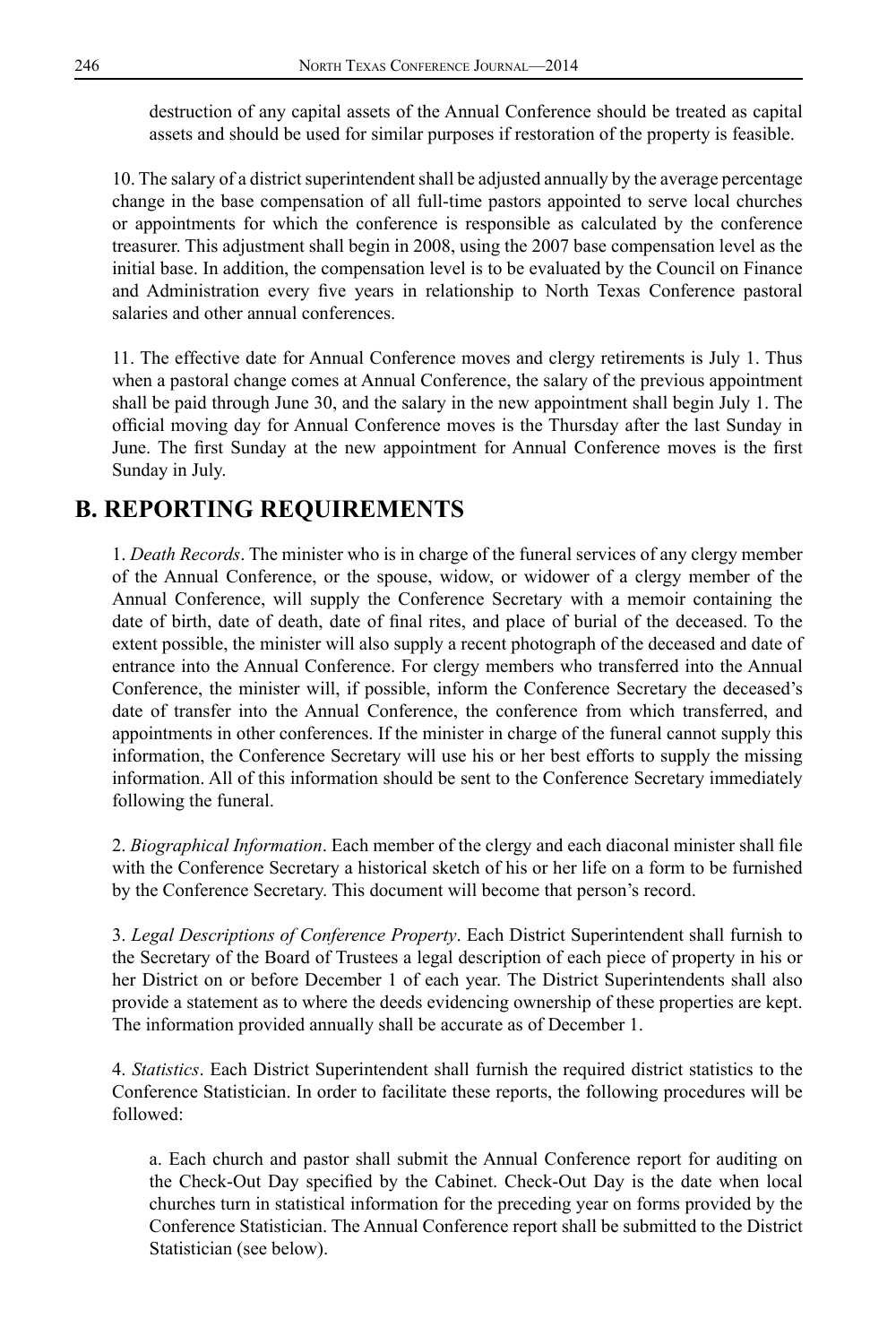destruction of any capital assets of the Annual Conference should be treated as capital assets and should be used for similar purposes if restoration of the property is feasible.

10. The salary of a district superintendent shall be adjusted annually by the average percentage change in the base compensation of all full-time pastors appointed to serve local churches or appointments for which the conference is responsible as calculated by the conference treasurer. This adjustment shall begin in 2008, using the 2007 base compensation level as the initial base. In addition, the compensation level is to be evaluated by the Council on Finance and Administration every five years in relationship to North Texas Conference pastoral salaries and other annual conferences.

11. The effective date for Annual Conference moves and clergy retirements is July 1. Thus when a pastoral change comes at Annual Conference, the salary of the previous appointment shall be paid through June 30, and the salary in the new appointment shall begin July 1. The official moving day for Annual Conference moves is the Thursday after the last Sunday in June. The first Sunday at the new appointment for Annual Conference moves is the first Sunday in July.

## **B. REPORTING REQUIREMENTS**

1. *Death Records*. The minister who is in charge of the funeral services of any clergy member of the Annual Conference, or the spouse, widow, or widower of a clergy member of the Annual Conference, will supply the Conference Secretary with a memoir containing the date of birth, date of death, date of final rites, and place of burial of the deceased. To the extent possible, the minister will also supply a recent photograph of the deceased and date of entrance into the Annual Conference. For clergy members who transferred into the Annual Conference, the minister will, if possible, inform the Conference Secretary the deceased's date of transfer into the Annual Conference, the conference from which transferred, and appointments in other conferences. If the minister in charge of the funeral cannot supply this information, the Conference Secretary will use his or her best efforts to supply the missing information. All of this information should be sent to the Conference Secretary immediately following the funeral.

2. *Biographical Information*. Each member of the clergy and each diaconal minister shall file with the Conference Secretary a historical sketch of his or her life on a form to be furnished by the Conference Secretary. This document will become that person's record.

3. *Legal Descriptions of Conference Property*. Each District Superintendent shall furnish to the Secretary of the Board of Trustees a legal description of each piece of property in his or her District on or before December 1 of each year. The District Superintendents shall also provide a statement as to where the deeds evidencing ownership of these properties are kept. The information provided annually shall be accurate as of December 1.

4. *Statistics*. Each District Superintendent shall furnish the required district statistics to the Conference Statistician. In order to facilitate these reports, the following procedures will be followed:

a. Each church and pastor shall submit the Annual Conference report for auditing on the Check-Out Day specified by the Cabinet. Check-Out Day is the date when local churches turn in statistical information for the preceding year on forms provided by the Conference Statistician. The Annual Conference report shall be submitted to the District Statistician (see below).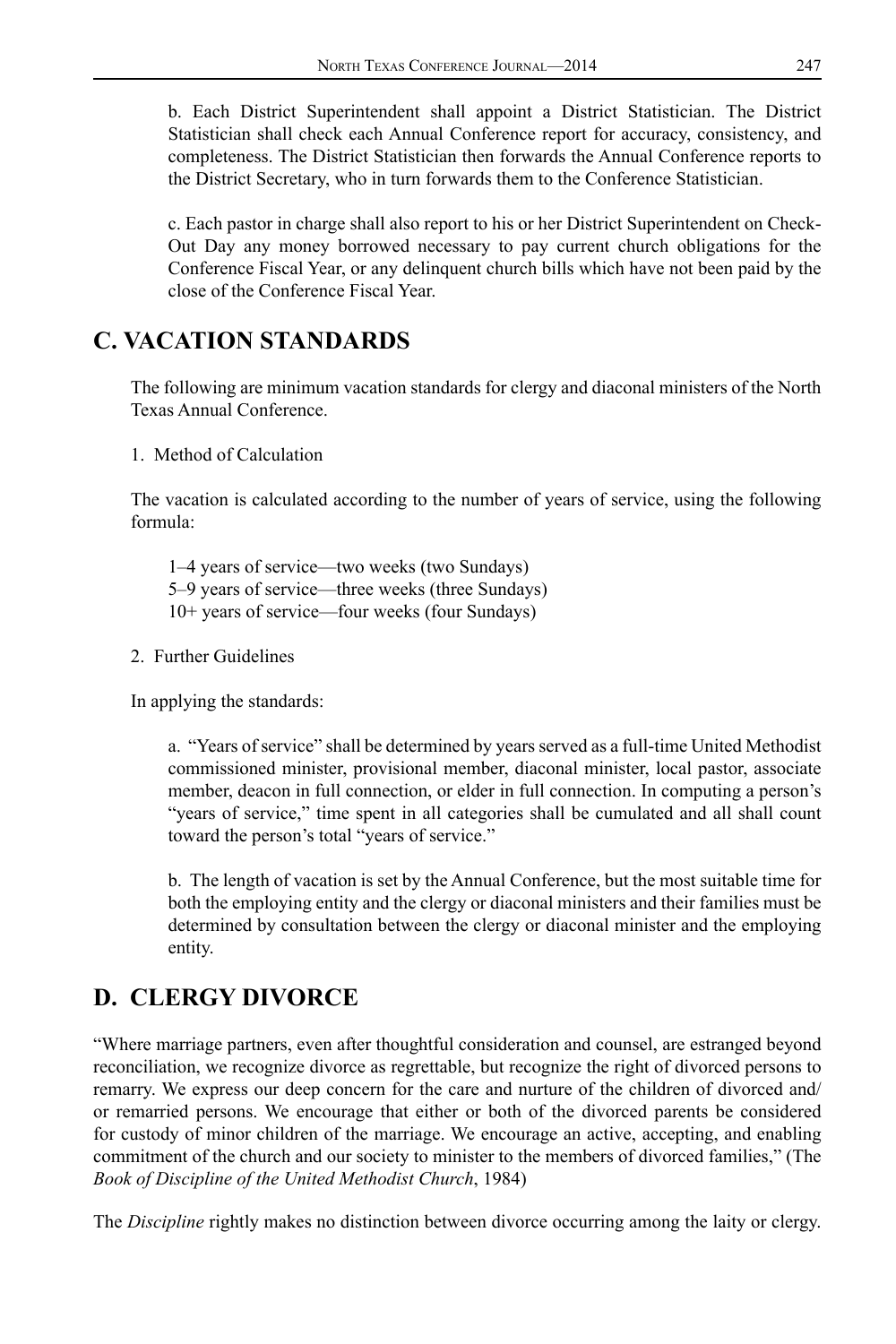b. Each District Superintendent shall appoint a District Statistician. The District Statistician shall check each Annual Conference report for accuracy, consistency, and completeness. The District Statistician then forwards the Annual Conference reports to the District Secretary, who in turn forwards them to the Conference Statistician.

c. Each pastor in charge shall also report to his or her District Superintendent on Check-Out Day any money borrowed necessary to pay current church obligations for the Conference Fiscal Year, or any delinquent church bills which have not been paid by the close of the Conference Fiscal Year.

## **C. VACATION STANDARDS**

The following are minimum vacation standards for clergy and diaconal ministers of the North Texas Annual Conference.

1. Method of Calculation

The vacation is calculated according to the number of years of service, using the following formula:

1–4 years of service—two weeks (two Sundays) 5–9 years of service—three weeks (three Sundays) 10+ years of service—four weeks (four Sundays)

2. Further Guidelines

In applying the standards:

a. "Years of service" shall be determined by years served as a full-time United Methodist commissioned minister, provisional member, diaconal minister, local pastor, associate member, deacon in full connection, or elder in full connection. In computing a person's "years of service," time spent in all categories shall be cumulated and all shall count toward the person's total "years of service."

b. The length of vacation is set by the Annual Conference, but the most suitable time for both the employing entity and the clergy or diaconal ministers and their families must be determined by consultation between the clergy or diaconal minister and the employing entity.

## **D. CLERGY DIVORCE**

"Where marriage partners, even after thoughtful consideration and counsel, are estranged beyond reconciliation, we recognize divorce as regrettable, but recognize the right of divorced persons to remarry. We express our deep concern for the care and nurture of the children of divorced and/ or remarried persons. We encourage that either or both of the divorced parents be considered for custody of minor children of the marriage. We encourage an active, accepting, and enabling commitment of the church and our society to minister to the members of divorced families," (The *Book of Discipline of the United Methodist Church*, 1984)

The *Discipline* rightly makes no distinction between divorce occurring among the laity or clergy.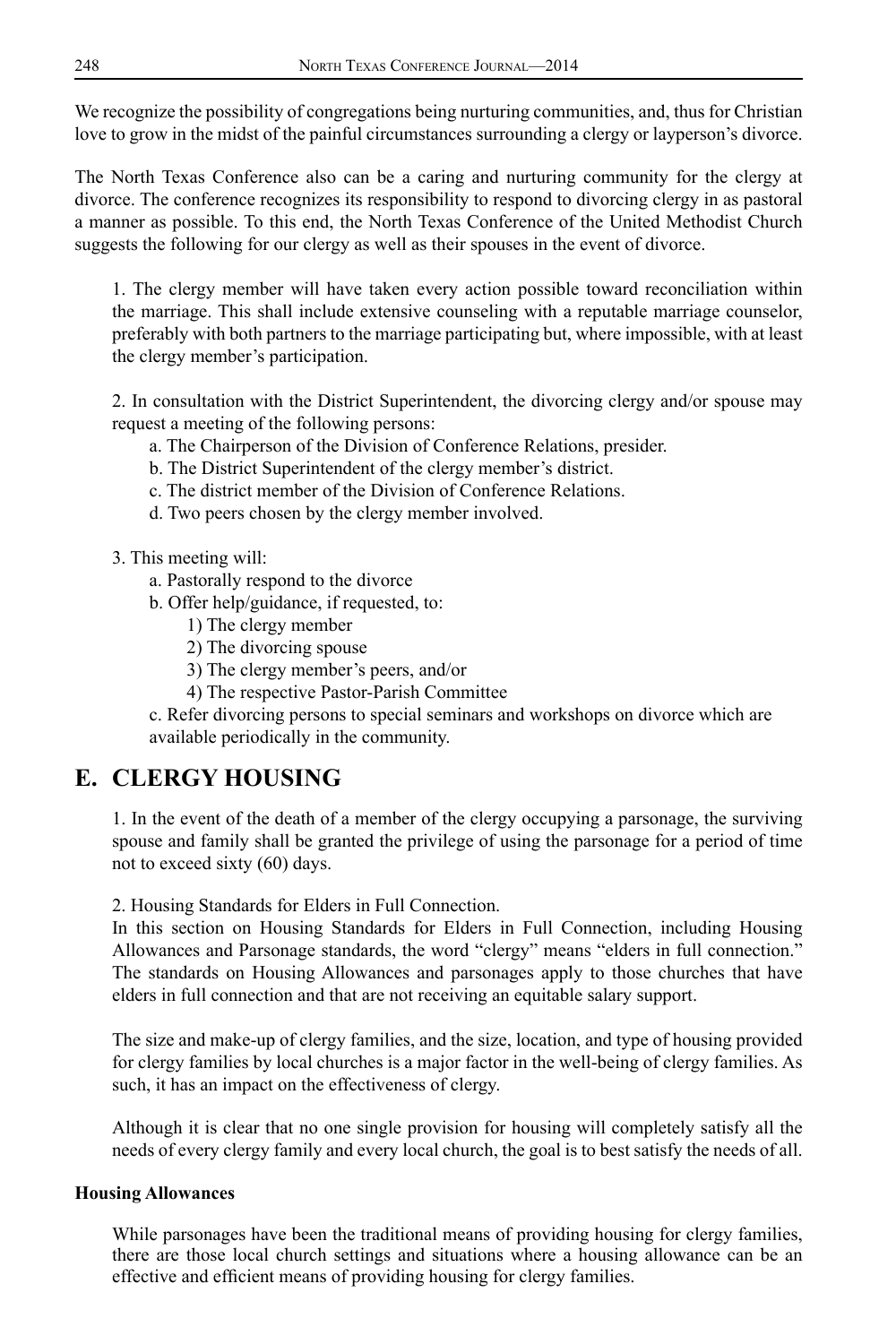We recognize the possibility of congregations being nurturing communities, and, thus for Christian love to grow in the midst of the painful circumstances surrounding a clergy or layperson's divorce.

The North Texas Conference also can be a caring and nurturing community for the clergy at divorce. The conference recognizes its responsibility to respond to divorcing clergy in as pastoral a manner as possible. To this end, the North Texas Conference of the United Methodist Church suggests the following for our clergy as well as their spouses in the event of divorce.

1. The clergy member will have taken every action possible toward reconciliation within the marriage. This shall include extensive counseling with a reputable marriage counselor, preferably with both partners to the marriage participating but, where impossible, with at least the clergy member's participation.

2. In consultation with the District Superintendent, the divorcing clergy and/or spouse may request a meeting of the following persons:

- a. The Chairperson of the Division of Conference Relations, presider.
- b. The District Superintendent of the clergy member's district.
- c. The district member of the Division of Conference Relations.
- d. Two peers chosen by the clergy member involved.

3. This meeting will:

- a. Pastorally respond to the divorce
- b. Offer help/guidance, if requested, to:
	- 1) The clergy member
	- 2) The divorcing spouse
	- 3) The clergy member's peers, and/or
	- 4) The respective Pastor-Parish Committee

c. Refer divorcing persons to special seminars and workshops on divorce which are available periodically in the community.

## **E. CLERGY HOUSING**

1. In the event of the death of a member of the clergy occupying a parsonage, the surviving spouse and family shall be granted the privilege of using the parsonage for a period of time not to exceed sixty (60) days.

2. Housing Standards for Elders in Full Connection.

In this section on Housing Standards for Elders in Full Connection, including Housing Allowances and Parsonage standards, the word "clergy" means "elders in full connection." The standards on Housing Allowances and parsonages apply to those churches that have elders in full connection and that are not receiving an equitable salary support.

The size and make-up of clergy families, and the size, location, and type of housing provided for clergy families by local churches is a major factor in the well-being of clergy families. As such, it has an impact on the effectiveness of clergy.

Although it is clear that no one single provision for housing will completely satisfy all the needs of every clergy family and every local church, the goal is to best satisfy the needs of all.

## **Housing Allowances**

While parsonages have been the traditional means of providing housing for clergy families, there are those local church settings and situations where a housing allowance can be an effective and efficient means of providing housing for clergy families.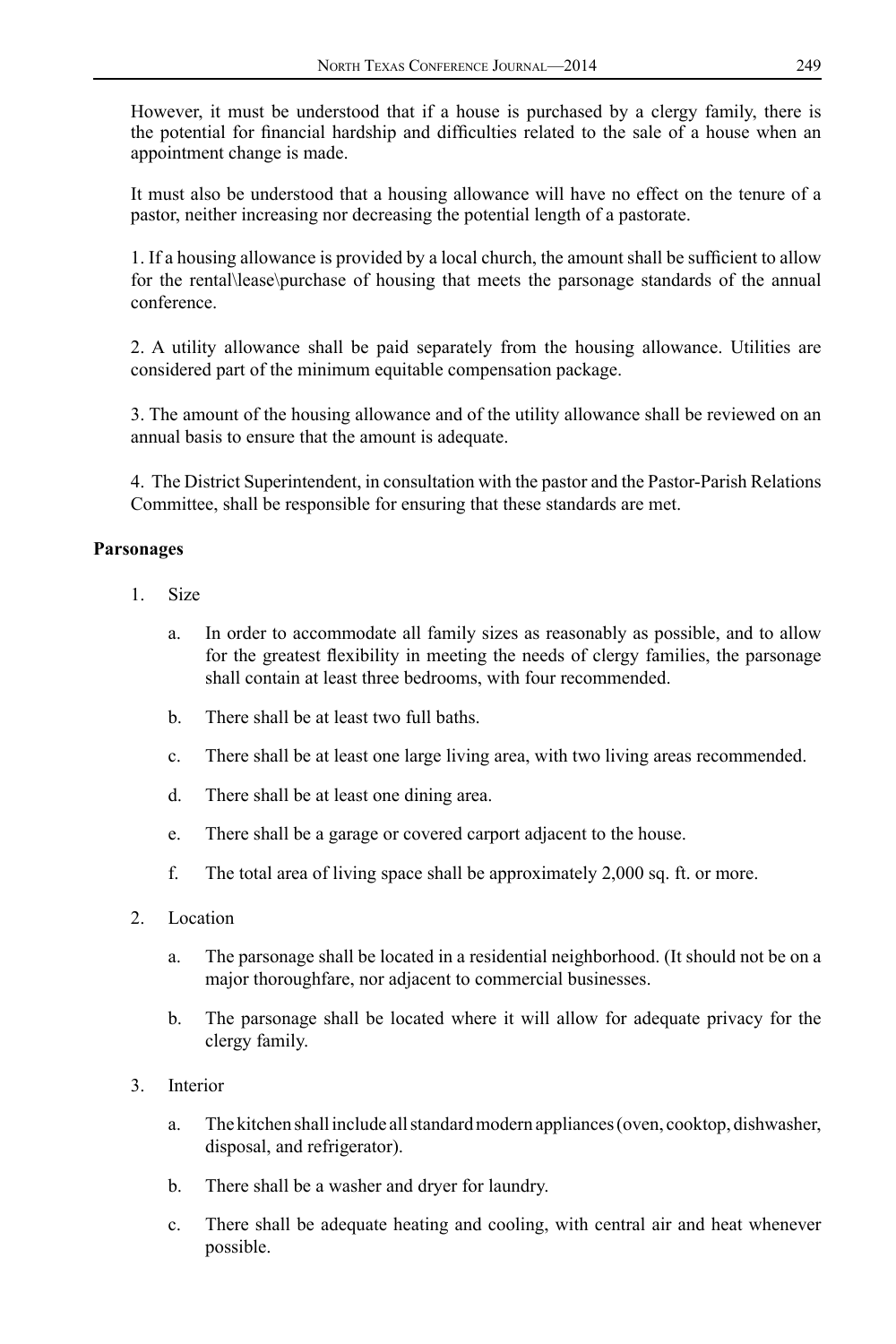However, it must be understood that if a house is purchased by a clergy family, there is the potential for financial hardship and difficulties related to the sale of a house when an appointment change is made.

It must also be understood that a housing allowance will have no effect on the tenure of a pastor, neither increasing nor decreasing the potential length of a pastorate.

1. If a housing allowance is provided by a local church, the amount shall be sufficient to allow for the rental\lease\purchase of housing that meets the parsonage standards of the annual conference.

2. A utility allowance shall be paid separately from the housing allowance. Utilities are considered part of the minimum equitable compensation package.

3. The amount of the housing allowance and of the utility allowance shall be reviewed on an annual basis to ensure that the amount is adequate.

4. The District Superintendent, in consultation with the pastor and the Pastor-Parish Relations Committee, shall be responsible for ensuring that these standards are met.

### **Parsonages**

- 1. Size
	- a. In order to accommodate all family sizes as reasonably as possible, and to allow for the greatest flexibility in meeting the needs of clergy families, the parsonage shall contain at least three bedrooms, with four recommended.
	- b. There shall be at least two full baths.
	- c. There shall be at least one large living area, with two living areas recommended.
	- d. There shall be at least one dining area.
	- e. There shall be a garage or covered carport adjacent to the house.
	- f. The total area of living space shall be approximately 2,000 sq. ft. or more.
- 2. Location
	- a. The parsonage shall be located in a residential neighborhood. (It should not be on a major thoroughfare, nor adjacent to commercial businesses.
	- b. The parsonage shall be located where it will allow for adequate privacy for the clergy family.
- 3. Interior
	- a. The kitchen shall include all standard modern appliances (oven, cooktop, dishwasher, disposal, and refrigerator).
	- b. There shall be a washer and dryer for laundry.
	- c. There shall be adequate heating and cooling, with central air and heat whenever possible.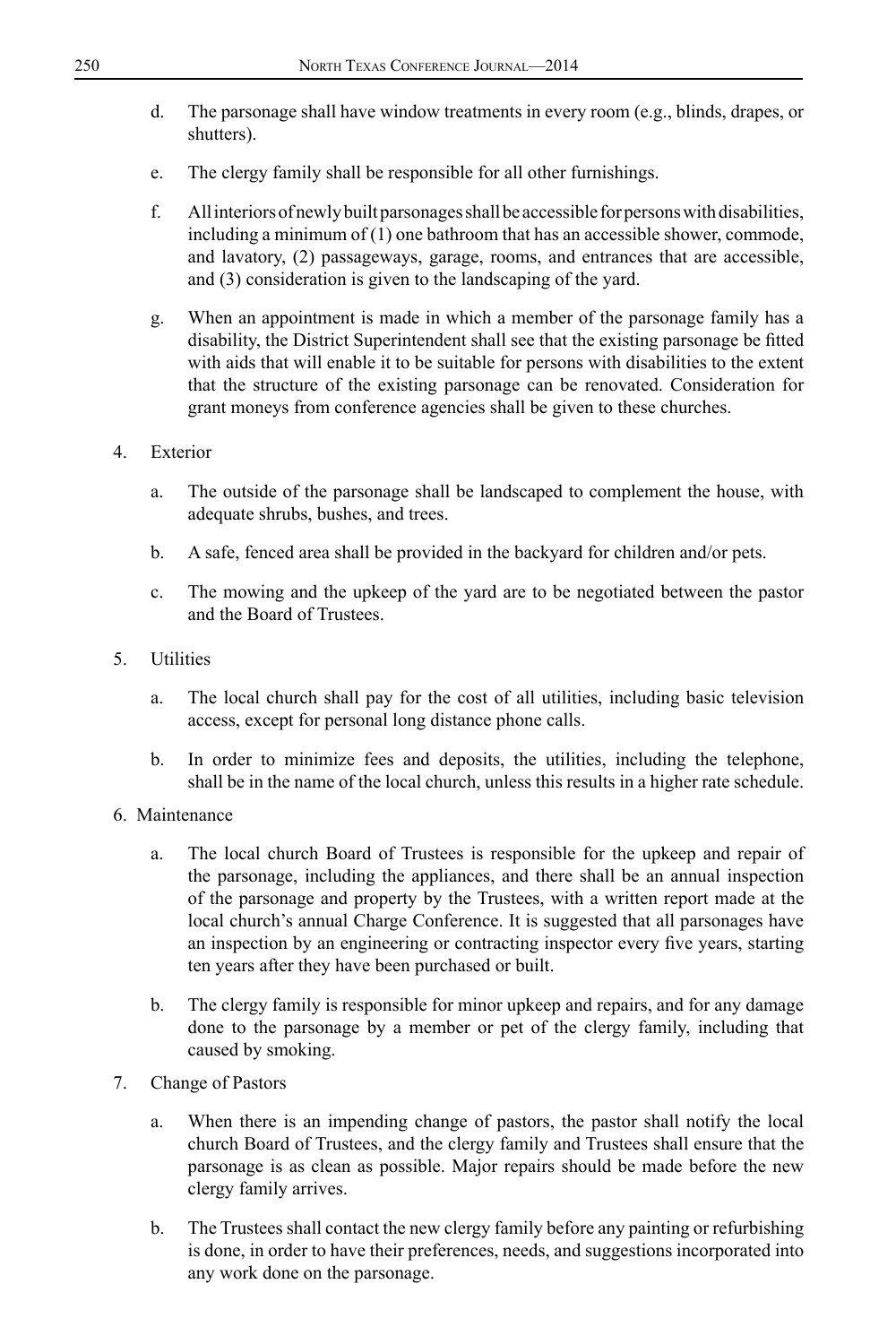- d. The parsonage shall have window treatments in every room (e.g., blinds, drapes, or shutters).
- e. The clergy family shall be responsible for all other furnishings.
- f. All interiors of newly built parsonages shall be accessible for persons with disabilities, including a minimum of (1) one bathroom that has an accessible shower, commode, and lavatory, (2) passageways, garage, rooms, and entrances that are accessible, and (3) consideration is given to the landscaping of the yard.
- g. When an appointment is made in which a member of the parsonage family has a disability, the District Superintendent shall see that the existing parsonage be fitted with aids that will enable it to be suitable for persons with disabilities to the extent that the structure of the existing parsonage can be renovated. Consideration for grant moneys from conference agencies shall be given to these churches.
- 4. Exterior
	- a. The outside of the parsonage shall be landscaped to complement the house, with adequate shrubs, bushes, and trees.
	- b. A safe, fenced area shall be provided in the backyard for children and/or pets.
	- c. The mowing and the upkeep of the yard are to be negotiated between the pastor and the Board of Trustees.
- 5. Utilities
	- a. The local church shall pay for the cost of all utilities, including basic television access, except for personal long distance phone calls.
	- b. In order to minimize fees and deposits, the utilities, including the telephone, shall be in the name of the local church, unless this results in a higher rate schedule.
- 6. Maintenance
	- a. The local church Board of Trustees is responsible for the upkeep and repair of the parsonage, including the appliances, and there shall be an annual inspection of the parsonage and property by the Trustees, with a written report made at the local church's annual Charge Conference. It is suggested that all parsonages have an inspection by an engineering or contracting inspector every five years, starting ten years after they have been purchased or built.
	- b. The clergy family is responsible for minor upkeep and repairs, and for any damage done to the parsonage by a member or pet of the clergy family, including that caused by smoking.
- 7. Change of Pastors
	- a. When there is an impending change of pastors, the pastor shall notify the local church Board of Trustees, and the clergy family and Trustees shall ensure that the parsonage is as clean as possible. Major repairs should be made before the new clergy family arrives.
	- b. The Trustees shall contact the new clergy family before any painting or refurbishing is done, in order to have their preferences, needs, and suggestions incorporated into any work done on the parsonage.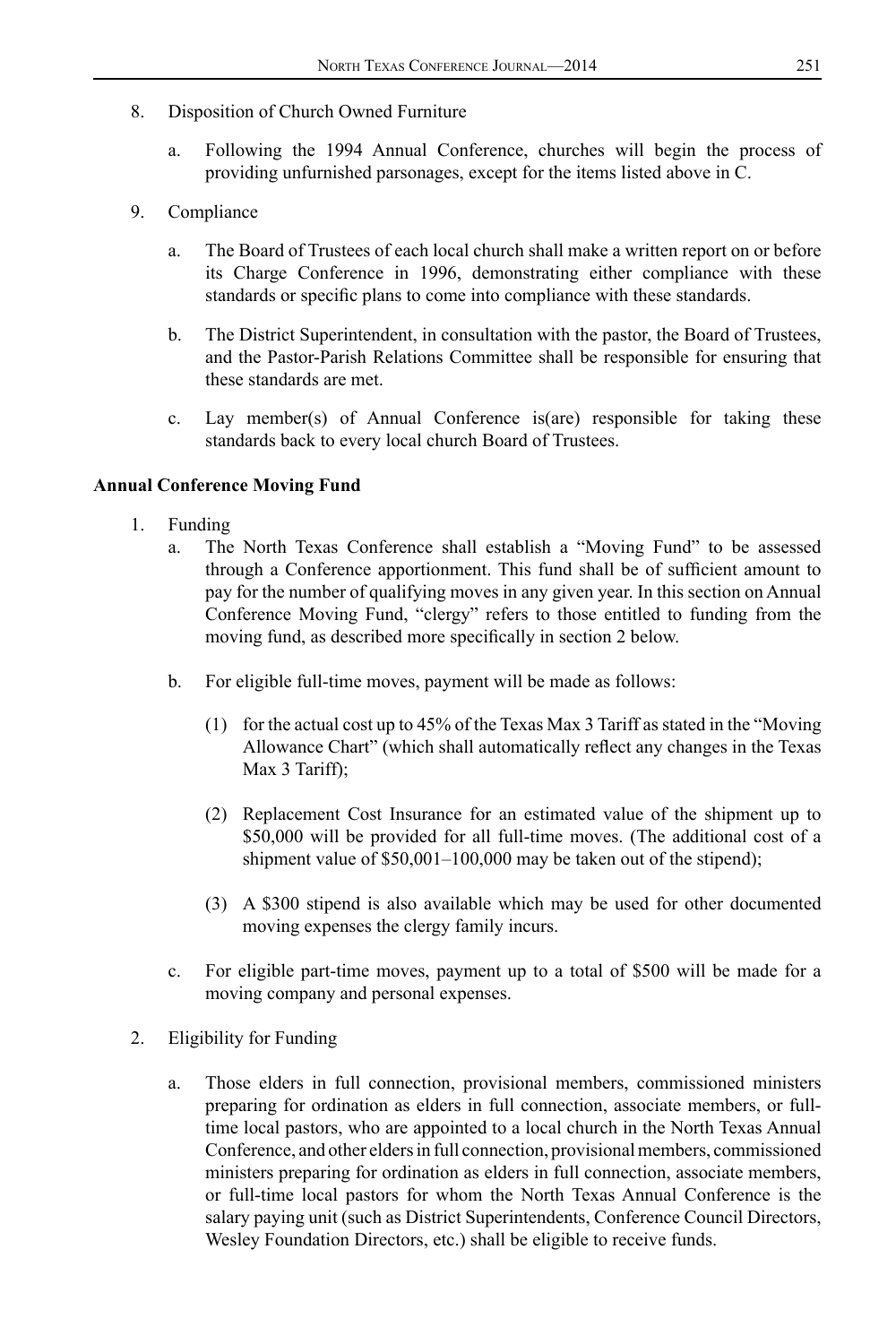- 8. Disposition of Church Owned Furniture
	- a. Following the 1994 Annual Conference, churches will begin the process of providing unfurnished parsonages, except for the items listed above in C.
- 9. Compliance
	- a. The Board of Trustees of each local church shall make a written report on or before its Charge Conference in 1996, demonstrating either compliance with these standards or specific plans to come into compliance with these standards.
	- b. The District Superintendent, in consultation with the pastor, the Board of Trustees, and the Pastor-Parish Relations Committee shall be responsible for ensuring that these standards are met.
	- c. Lay member(s) of Annual Conference is(are) responsible for taking these standards back to every local church Board of Trustees.

#### **Annual Conference Moving Fund**

- 1. Funding
	- a. The North Texas Conference shall establish a "Moving Fund" to be assessed through a Conference apportionment. This fund shall be of sufficient amount to pay for the number of qualifying moves in any given year. In this section on Annual Conference Moving Fund, "clergy" refers to those entitled to funding from the moving fund, as described more specifically in section 2 below.
	- b. For eligible full-time moves, payment will be made as follows:
		- (1) for the actual cost up to 45% of the Texas Max 3 Tariff as stated in the "Moving Allowance Chart" (which shall automatically reflect any changes in the Texas Max 3 Tariff);
		- (2) Replacement Cost Insurance for an estimated value of the shipment up to \$50,000 will be provided for all full-time moves. (The additional cost of a shipment value of \$50,001–100,000 may be taken out of the stipend);
		- (3) A \$300 stipend is also available which may be used for other documented moving expenses the clergy family incurs.
	- c. For eligible part-time moves, payment up to a total of \$500 will be made for a moving company and personal expenses.
- 2. Eligibility for Funding
	- a. Those elders in full connection, provisional members, commissioned ministers preparing for ordination as elders in full connection, associate members, or fulltime local pastors, who are appointed to a local church in the North Texas Annual Conference, and other elders in full connection, provisional members, commissioned ministers preparing for ordination as elders in full connection, associate members, or full-time local pastors for whom the North Texas Annual Conference is the salary paying unit (such as District Superintendents, Conference Council Directors, Wesley Foundation Directors, etc.) shall be eligible to receive funds.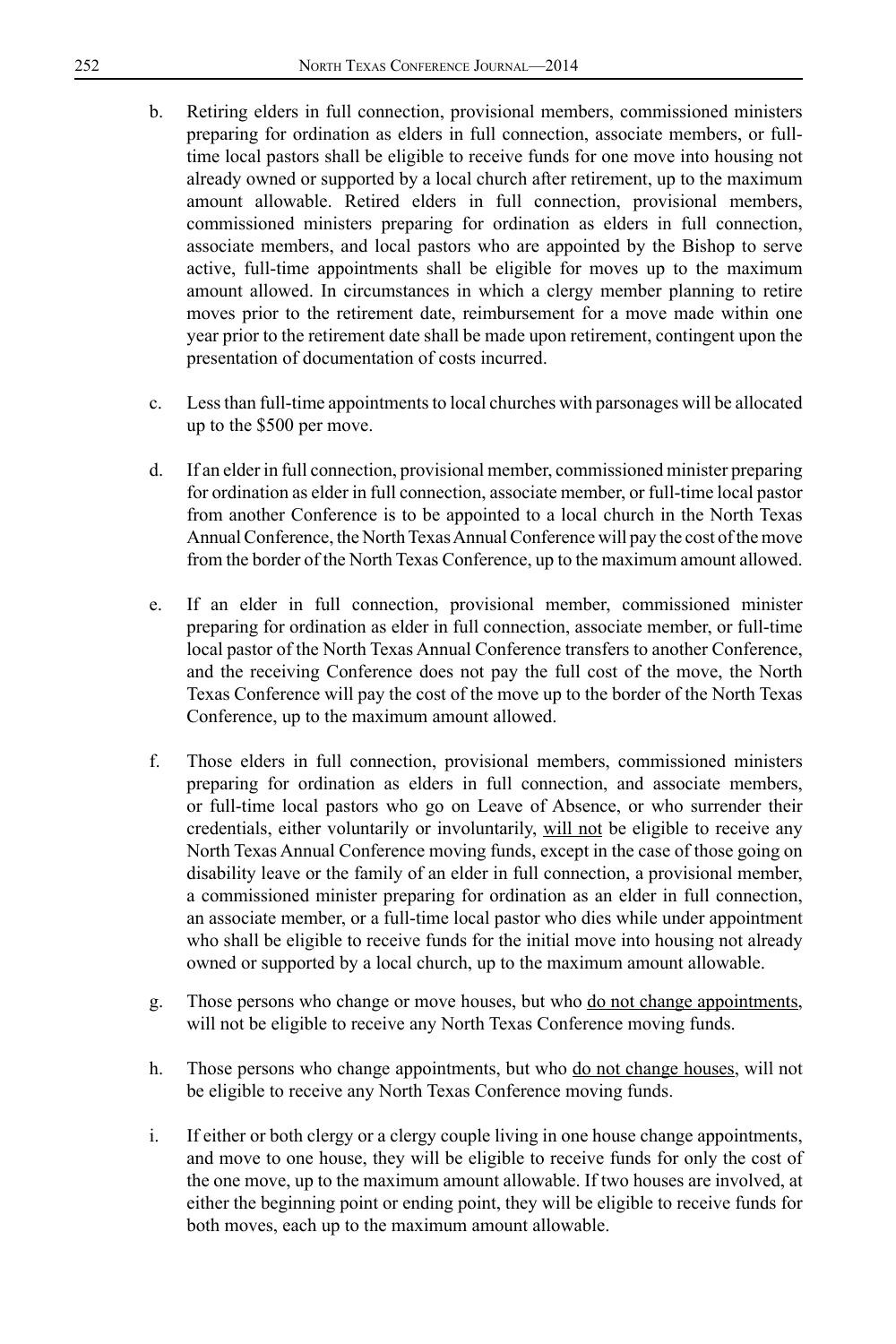- b. Retiring elders in full connection, provisional members, commissioned ministers preparing for ordination as elders in full connection, associate members, or fulltime local pastors shall be eligible to receive funds for one move into housing not already owned or supported by a local church after retirement, up to the maximum amount allowable. Retired elders in full connection, provisional members, commissioned ministers preparing for ordination as elders in full connection, associate members, and local pastors who are appointed by the Bishop to serve active, full-time appointments shall be eligible for moves up to the maximum amount allowed. In circumstances in which a clergy member planning to retire moves prior to the retirement date, reimbursement for a move made within one year prior to the retirement date shall be made upon retirement, contingent upon the presentation of documentation of costs incurred.
- c. Less than full-time appointments to local churches with parsonages will be allocated up to the \$500 per move.
- d. If an elder in full connection, provisional member, commissioned minister preparing for ordination as elder in full connection, associate member, or full-time local pastor from another Conference is to be appointed to a local church in the North Texas Annual Conference, the North Texas Annual Conference will pay the cost of the move from the border of the North Texas Conference, up to the maximum amount allowed.
- e. If an elder in full connection, provisional member, commissioned minister preparing for ordination as elder in full connection, associate member, or full-time local pastor of the North Texas Annual Conference transfers to another Conference, and the receiving Conference does not pay the full cost of the move, the North Texas Conference will pay the cost of the move up to the border of the North Texas Conference, up to the maximum amount allowed.
- f. Those elders in full connection, provisional members, commissioned ministers preparing for ordination as elders in full connection, and associate members, or full-time local pastors who go on Leave of Absence, or who surrender their credentials, either voluntarily or involuntarily, will not be eligible to receive any North Texas Annual Conference moving funds, except in the case of those going on disability leave or the family of an elder in full connection, a provisional member, a commissioned minister preparing for ordination as an elder in full connection, an associate member, or a full-time local pastor who dies while under appointment who shall be eligible to receive funds for the initial move into housing not already owned or supported by a local church, up to the maximum amount allowable.
- g. Those persons who change or move houses, but who do not change appointments, will not be eligible to receive any North Texas Conference moving funds.
- h. Those persons who change appointments, but who do not change houses, will not be eligible to receive any North Texas Conference moving funds.
- i. If either or both clergy or a clergy couple living in one house change appointments, and move to one house, they will be eligible to receive funds for only the cost of the one move, up to the maximum amount allowable. If two houses are involved, at either the beginning point or ending point, they will be eligible to receive funds for both moves, each up to the maximum amount allowable.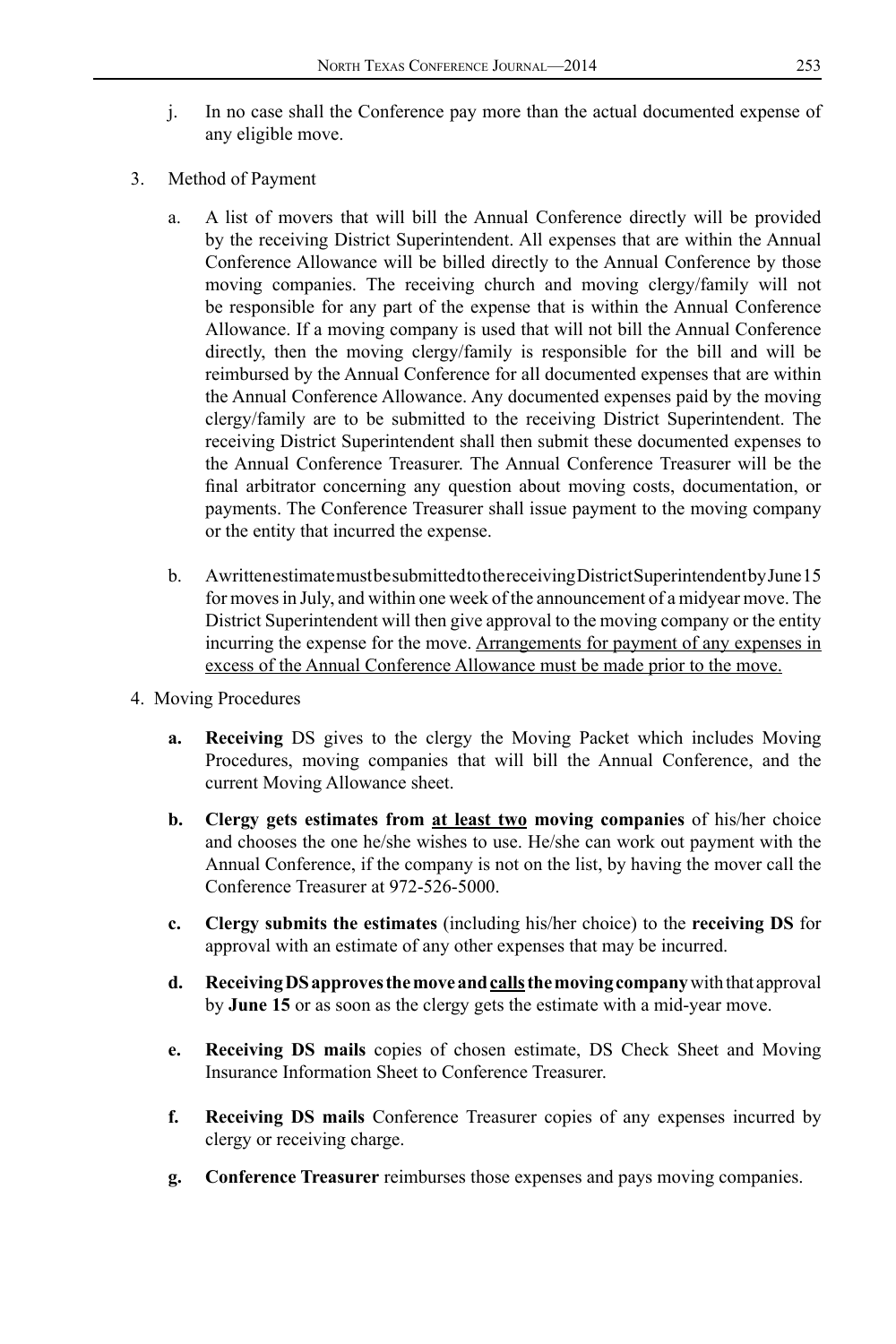- j. In no case shall the Conference pay more than the actual documented expense of any eligible move.
- 3. Method of Payment
	- a. A list of movers that will bill the Annual Conference directly will be provided by the receiving District Superintendent. All expenses that are within the Annual Conference Allowance will be billed directly to the Annual Conference by those moving companies. The receiving church and moving clergy/family will not be responsible for any part of the expense that is within the Annual Conference Allowance. If a moving company is used that will not bill the Annual Conference directly, then the moving clergy/family is responsible for the bill and will be reimbursed by the Annual Conference for all documented expenses that are within the Annual Conference Allowance. Any documented expenses paid by the moving clergy/family are to be submitted to the receiving District Superintendent. The receiving District Superintendent shall then submit these documented expenses to the Annual Conference Treasurer. The Annual Conference Treasurer will be the final arbitrator concerning any question about moving costs, documentation, or payments. The Conference Treasurer shall issue payment to the moving company or the entity that incurred the expense.
	- b. A written estimate must be submitted to the receiving District Superintendent by June 15 for moves in July, and within one week of the announcement of a midyear move. The District Superintendent will then give approval to the moving company or the entity incurring the expense for the move. Arrangements for payment of any expenses in excess of the Annual Conference Allowance must be made prior to the move.
- 4. Moving Procedures
	- **a. Receiving** DS gives to the clergy the Moving Packet which includes Moving Procedures, moving companies that will bill the Annual Conference, and the current Moving Allowance sheet.
	- **b. Clergy gets estimates from at least two moving companies** of his/her choice and chooses the one he/she wishes to use. He/she can work out payment with the Annual Conference, if the company is not on the list, by having the mover call the Conference Treasurer at 972-526-5000.
	- **c. Clergy submits the estimates** (including his/her choice) to the **receiving DS** for approval with an estimate of any other expenses that may be incurred.
	- **d. Receiving DS approves the move and calls the moving company** with that approval by **June 15** or as soon as the clergy gets the estimate with a mid-year move.
	- **e. Receiving DS mails** copies of chosen estimate, DS Check Sheet and Moving Insurance Information Sheet to Conference Treasurer.
	- **f. Receiving DS mails** Conference Treasurer copies of any expenses incurred by clergy or receiving charge.
	- **g. Conference Treasurer** reimburses those expenses and pays moving companies.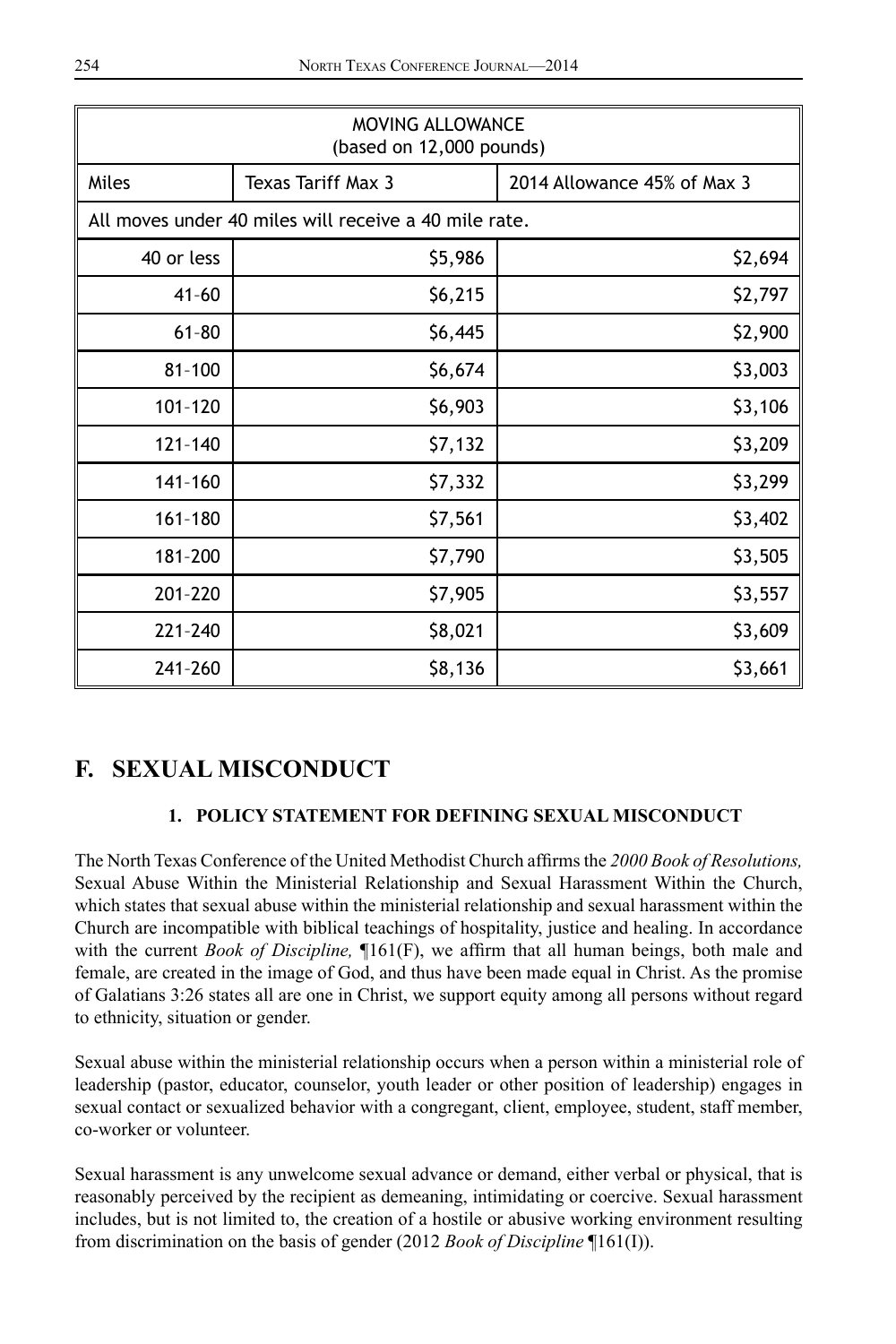| MOVING ALLOWANCE<br>(based on 12,000 pounds)          |                    |                             |  |  |
|-------------------------------------------------------|--------------------|-----------------------------|--|--|
| Miles                                                 | Texas Tariff Max 3 | 2014 Allowance 45% of Max 3 |  |  |
| All moves under 40 miles will receive a 40 mile rate. |                    |                             |  |  |
| 40 or less                                            | \$5,986            | \$2,694                     |  |  |
| $41 - 60$                                             | \$6,215            | \$2,797                     |  |  |
| $61 - 80$                                             | \$6,445            | \$2,900                     |  |  |
| $81 - 100$                                            | \$6,674            | \$3,003                     |  |  |
| 101-120                                               | \$6,903            | \$3,106                     |  |  |
| $121 - 140$                                           | \$7,132            | \$3,209                     |  |  |
| 141-160                                               | \$7,332            | \$3,299                     |  |  |
| 161-180                                               | \$7,561            | \$3,402                     |  |  |
| 181-200                                               | \$7,790            | \$3,505                     |  |  |
| 201-220                                               | \$7,905            | \$3,557                     |  |  |
| 221-240                                               | \$8,021            | \$3,609                     |  |  |
| 241-260                                               | \$8,136            | \$3,661                     |  |  |

## **F. SEXUAL MISCONDUCT**

## **1. POLICY STATEMENT FOR DEFINING SEXUAL MISCONDUCT**

The North Texas Conference of the United Methodist Church affirms the *2000 Book of Resolutions,* Sexual Abuse Within the Ministerial Relationship and Sexual Harassment Within the Church, which states that sexual abuse within the ministerial relationship and sexual harassment within the Church are incompatible with biblical teachings of hospitality, justice and healing. In accordance with the current *Book of Discipline,* ¶161(F), we affirm that all human beings, both male and female, are created in the image of God, and thus have been made equal in Christ. As the promise of Galatians 3:26 states all are one in Christ, we support equity among all persons without regard to ethnicity, situation or gender.

Sexual abuse within the ministerial relationship occurs when a person within a ministerial role of leadership (pastor, educator, counselor, youth leader or other position of leadership) engages in sexual contact or sexualized behavior with a congregant, client, employee, student, staff member, co-worker or volunteer.

Sexual harassment is any unwelcome sexual advance or demand, either verbal or physical, that is reasonably perceived by the recipient as demeaning, intimidating or coercive. Sexual harassment includes, but is not limited to, the creation of a hostile or abusive working environment resulting from discrimination on the basis of gender (2012 *Book of Discipline* ¶161(I)).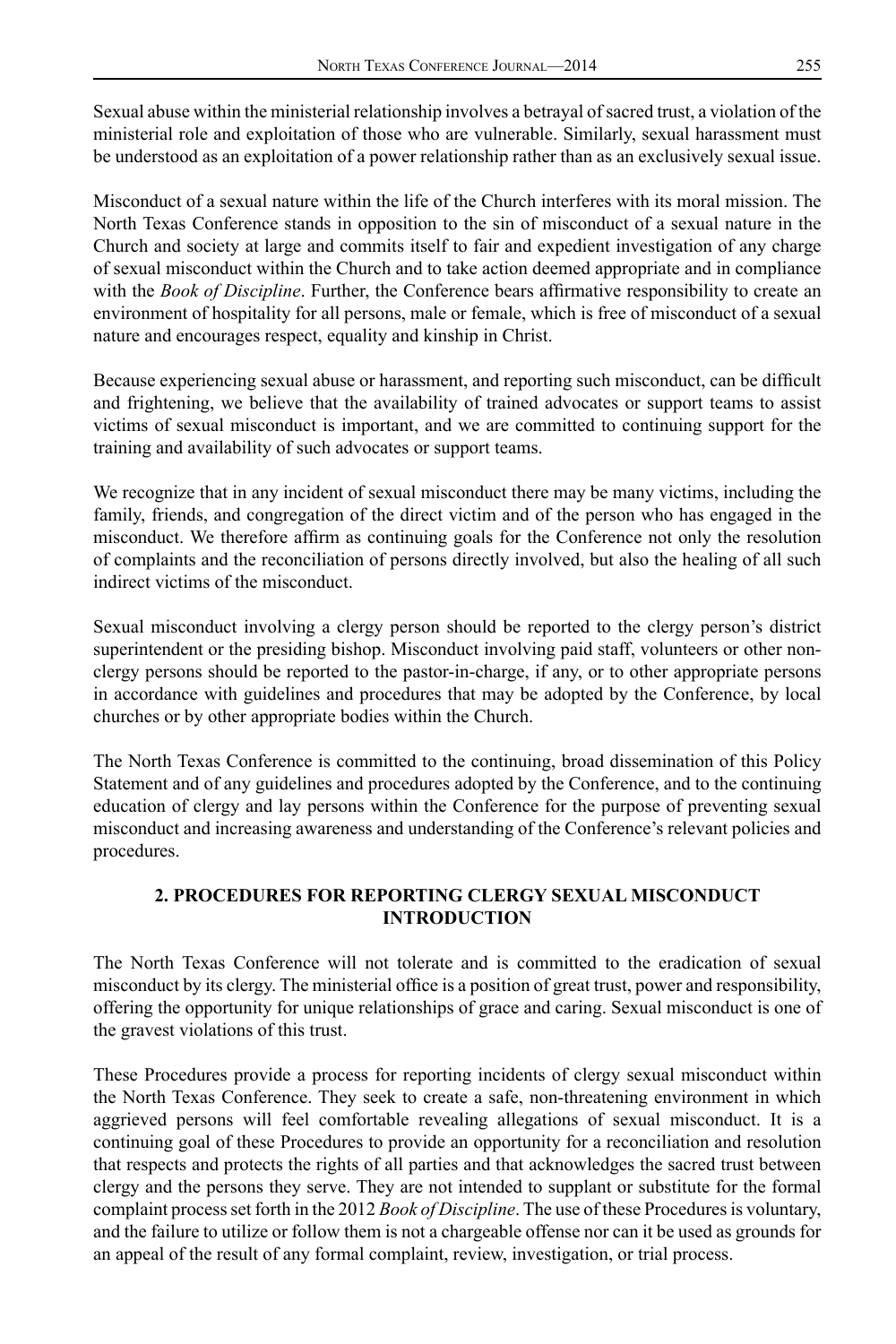Sexual abuse within the ministerial relationship involves a betrayal of sacred trust, a violation of the ministerial role and exploitation of those who are vulnerable. Similarly, sexual harassment must be understood as an exploitation of a power relationship rather than as an exclusively sexual issue.

Misconduct of a sexual nature within the life of the Church interferes with its moral mission. The North Texas Conference stands in opposition to the sin of misconduct of a sexual nature in the Church and society at large and commits itself to fair and expedient investigation of any charge of sexual misconduct within the Church and to take action deemed appropriate and in compliance with the *Book of Discipline*. Further, the Conference bears affirmative responsibility to create an environment of hospitality for all persons, male or female, which is free of misconduct of a sexual nature and encourages respect, equality and kinship in Christ.

Because experiencing sexual abuse or harassment, and reporting such misconduct, can be difficult and frightening, we believe that the availability of trained advocates or support teams to assist victims of sexual misconduct is important, and we are committed to continuing support for the training and availability of such advocates or support teams.

We recognize that in any incident of sexual misconduct there may be many victims, including the family, friends, and congregation of the direct victim and of the person who has engaged in the misconduct. We therefore affirm as continuing goals for the Conference not only the resolution of complaints and the reconciliation of persons directly involved, but also the healing of all such indirect victims of the misconduct.

Sexual misconduct involving a clergy person should be reported to the clergy person's district superintendent or the presiding bishop. Misconduct involving paid staff, volunteers or other nonclergy persons should be reported to the pastor-in-charge, if any, or to other appropriate persons in accordance with guidelines and procedures that may be adopted by the Conference, by local churches or by other appropriate bodies within the Church.

The North Texas Conference is committed to the continuing, broad dissemination of this Policy Statement and of any guidelines and procedures adopted by the Conference, and to the continuing education of clergy and lay persons within the Conference for the purpose of preventing sexual misconduct and increasing awareness and understanding of the Conference's relevant policies and procedures.

## **2. PROCEDURES FOR REPORTING CLERGY SEXUAL MISCONDUCT INTRODUCTION**

The North Texas Conference will not tolerate and is committed to the eradication of sexual misconduct by its clergy. The ministerial office is a position of great trust, power and responsibility, offering the opportunity for unique relationships of grace and caring. Sexual misconduct is one of the gravest violations of this trust.

These Procedures provide a process for reporting incidents of clergy sexual misconduct within the North Texas Conference. They seek to create a safe, non-threatening environment in which aggrieved persons will feel comfortable revealing allegations of sexual misconduct. It is a continuing goal of these Procedures to provide an opportunity for a reconciliation and resolution that respects and protects the rights of all parties and that acknowledges the sacred trust between clergy and the persons they serve. They are not intended to supplant or substitute for the formal complaint process set forth in the 2012 *Book of Discipline*. The use of these Procedures is voluntary, and the failure to utilize or follow them is not a chargeable offense nor can it be used as grounds for an appeal of the result of any formal complaint, review, investigation, or trial process.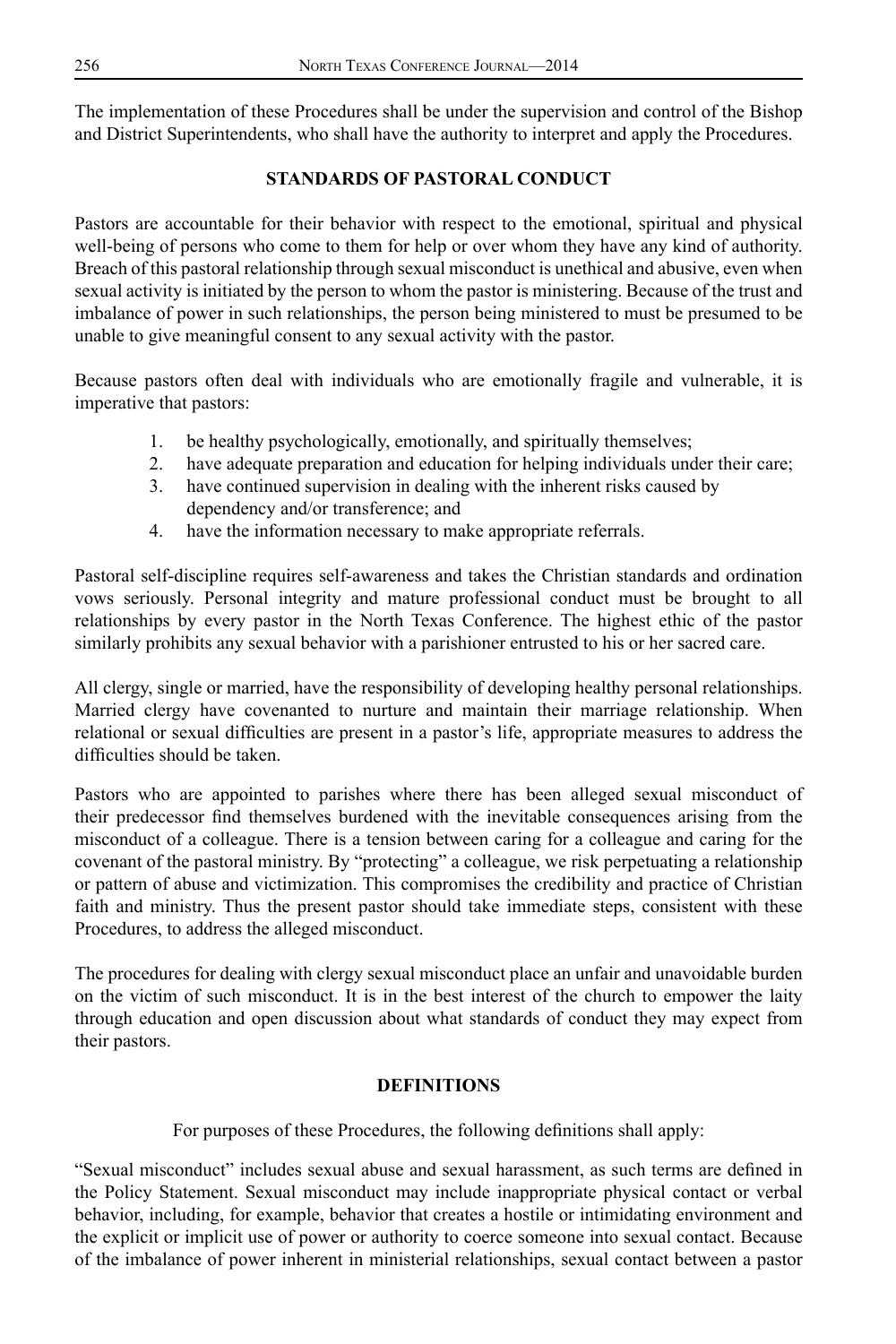The implementation of these Procedures shall be under the supervision and control of the Bishop and District Superintendents, who shall have the authority to interpret and apply the Procedures.

## **STANDARDS OF PASTORAL CONDUCT**

Pastors are accountable for their behavior with respect to the emotional, spiritual and physical well-being of persons who come to them for help or over whom they have any kind of authority. Breach of this pastoral relationship through sexual misconduct is unethical and abusive, even when sexual activity is initiated by the person to whom the pastor is ministering. Because of the trust and imbalance of power in such relationships, the person being ministered to must be presumed to be unable to give meaningful consent to any sexual activity with the pastor.

Because pastors often deal with individuals who are emotionally fragile and vulnerable, it is imperative that pastors:

- 1. be healthy psychologically, emotionally, and spiritually themselves;
- 2. have adequate preparation and education for helping individuals under their care;
- 3. have continued supervision in dealing with the inherent risks caused by dependency and/or transference; and
- 4. have the information necessary to make appropriate referrals.

Pastoral self-discipline requires self-awareness and takes the Christian standards and ordination vows seriously. Personal integrity and mature professional conduct must be brought to all relationships by every pastor in the North Texas Conference. The highest ethic of the pastor similarly prohibits any sexual behavior with a parishioner entrusted to his or her sacred care.

All clergy, single or married, have the responsibility of developing healthy personal relationships. Married clergy have covenanted to nurture and maintain their marriage relationship. When relational or sexual difficulties are present in a pastor's life, appropriate measures to address the difficulties should be taken.

Pastors who are appointed to parishes where there has been alleged sexual misconduct of their predecessor find themselves burdened with the inevitable consequences arising from the misconduct of a colleague. There is a tension between caring for a colleague and caring for the covenant of the pastoral ministry. By "protecting" a colleague, we risk perpetuating a relationship or pattern of abuse and victimization. This compromises the credibility and practice of Christian faith and ministry. Thus the present pastor should take immediate steps, consistent with these Procedures, to address the alleged misconduct.

The procedures for dealing with clergy sexual misconduct place an unfair and unavoidable burden on the victim of such misconduct. It is in the best interest of the church to empower the laity through education and open discussion about what standards of conduct they may expect from their pastors.

## **DEFINITIONS**

For purposes of these Procedures, the following definitions shall apply:

"Sexual misconduct" includes sexual abuse and sexual harassment, as such terms are defined in the Policy Statement. Sexual misconduct may include inappropriate physical contact or verbal behavior, including, for example, behavior that creates a hostile or intimidating environment and the explicit or implicit use of power or authority to coerce someone into sexual contact. Because of the imbalance of power inherent in ministerial relationships, sexual contact between a pastor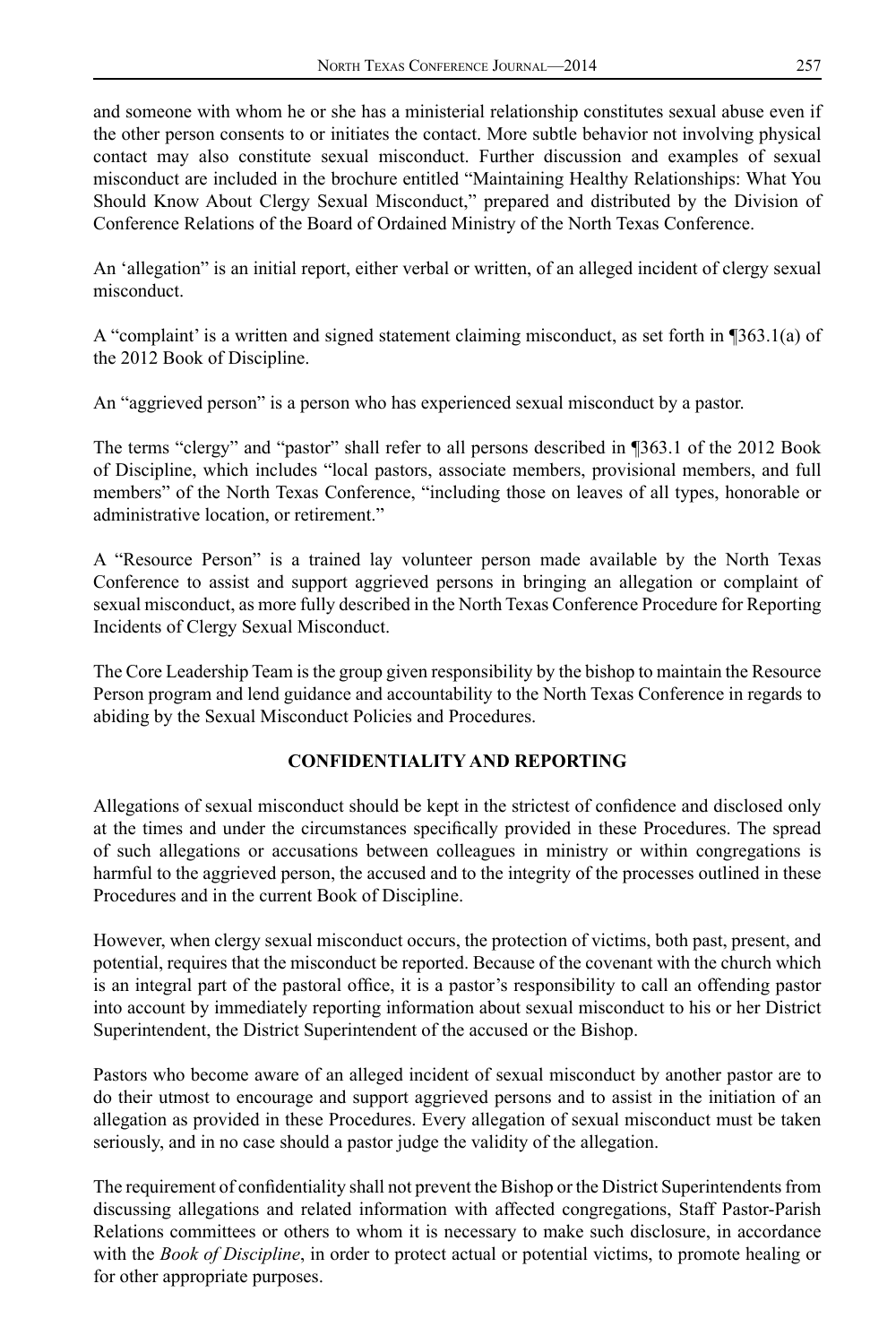and someone with whom he or she has a ministerial relationship constitutes sexual abuse even if the other person consents to or initiates the contact. More subtle behavior not involving physical contact may also constitute sexual misconduct. Further discussion and examples of sexual misconduct are included in the brochure entitled "Maintaining Healthy Relationships: What You Should Know About Clergy Sexual Misconduct," prepared and distributed by the Division of Conference Relations of the Board of Ordained Ministry of the North Texas Conference.

An 'allegation" is an initial report, either verbal or written, of an alleged incident of clergy sexual misconduct.

A "complaint' is a written and signed statement claiming misconduct, as set forth in ¶363.1(a) of the 2012 Book of Discipline.

An "aggrieved person" is a person who has experienced sexual misconduct by a pastor.

The terms "clergy" and "pastor" shall refer to all persons described in ¶363.1 of the 2012 Book of Discipline, which includes "local pastors, associate members, provisional members, and full members" of the North Texas Conference, "including those on leaves of all types, honorable or administrative location, or retirement."

A "Resource Person" is a trained lay volunteer person made available by the North Texas Conference to assist and support aggrieved persons in bringing an allegation or complaint of sexual misconduct, as more fully described in the North Texas Conference Procedure for Reporting Incidents of Clergy Sexual Misconduct.

The Core Leadership Team is the group given responsibility by the bishop to maintain the Resource Person program and lend guidance and accountability to the North Texas Conference in regards to abiding by the Sexual Misconduct Policies and Procedures.

### **CONFIDENTIALITY AND REPORTING**

Allegations of sexual misconduct should be kept in the strictest of confidence and disclosed only at the times and under the circumstances specifically provided in these Procedures. The spread of such allegations or accusations between colleagues in ministry or within congregations is harmful to the aggrieved person, the accused and to the integrity of the processes outlined in these Procedures and in the current Book of Discipline.

However, when clergy sexual misconduct occurs, the protection of victims, both past, present, and potential, requires that the misconduct be reported. Because of the covenant with the church which is an integral part of the pastoral office, it is a pastor's responsibility to call an offending pastor into account by immediately reporting information about sexual misconduct to his or her District Superintendent, the District Superintendent of the accused or the Bishop.

Pastors who become aware of an alleged incident of sexual misconduct by another pastor are to do their utmost to encourage and support aggrieved persons and to assist in the initiation of an allegation as provided in these Procedures. Every allegation of sexual misconduct must be taken seriously, and in no case should a pastor judge the validity of the allegation.

The requirement of confidentiality shall not prevent the Bishop or the District Superintendents from discussing allegations and related information with affected congregations, Staff Pastor-Parish Relations committees or others to whom it is necessary to make such disclosure, in accordance with the *Book of Discipline*, in order to protect actual or potential victims, to promote healing or for other appropriate purposes.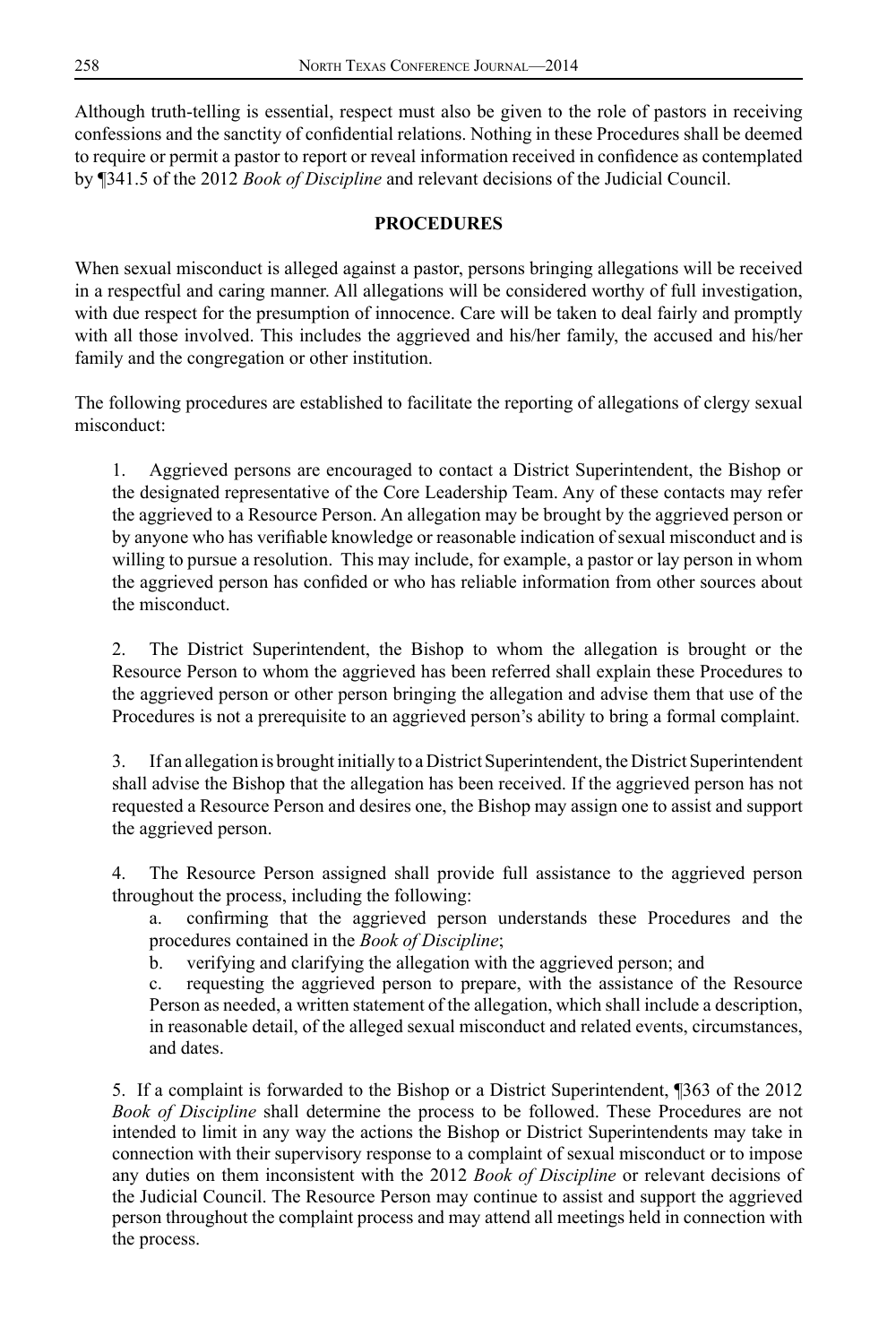Although truth-telling is essential, respect must also be given to the role of pastors in receiving confessions and the sanctity of confidential relations. Nothing in these Procedures shall be deemed to require or permit a pastor to report or reveal information received in confidence as contemplated by ¶341.5 of the 2012 *Book of Discipline* and relevant decisions of the Judicial Council.

### **PROCEDURES**

When sexual misconduct is alleged against a pastor, persons bringing allegations will be received in a respectful and caring manner. All allegations will be considered worthy of full investigation, with due respect for the presumption of innocence. Care will be taken to deal fairly and promptly with all those involved. This includes the aggrieved and his/her family, the accused and his/her family and the congregation or other institution.

The following procedures are established to facilitate the reporting of allegations of clergy sexual misconduct:

1. Aggrieved persons are encouraged to contact a District Superintendent, the Bishop or the designated representative of the Core Leadership Team. Any of these contacts may refer the aggrieved to a Resource Person. An allegation may be brought by the aggrieved person or by anyone who has verifiable knowledge or reasonable indication of sexual misconduct and is willing to pursue a resolution. This may include, for example, a pastor or lay person in whom the aggrieved person has confided or who has reliable information from other sources about the misconduct.

2. The District Superintendent, the Bishop to whom the allegation is brought or the Resource Person to whom the aggrieved has been referred shall explain these Procedures to the aggrieved person or other person bringing the allegation and advise them that use of the Procedures is not a prerequisite to an aggrieved person's ability to bring a formal complaint.

3. If an allegation is brought initially to a District Superintendent, the District Superintendent shall advise the Bishop that the allegation has been received. If the aggrieved person has not requested a Resource Person and desires one, the Bishop may assign one to assist and support the aggrieved person.

4. The Resource Person assigned shall provide full assistance to the aggrieved person throughout the process, including the following:

confirming that the aggrieved person understands these Procedures and the procedures contained in the *Book of Discipline*;

b. verifying and clarifying the allegation with the aggrieved person; and

c. requesting the aggrieved person to prepare, with the assistance of the Resource Person as needed, a written statement of the allegation, which shall include a description, in reasonable detail, of the alleged sexual misconduct and related events, circumstances, and dates.

5. If a complaint is forwarded to the Bishop or a District Superintendent, ¶363 of the 2012 *Book of Discipline* shall determine the process to be followed. These Procedures are not intended to limit in any way the actions the Bishop or District Superintendents may take in connection with their supervisory response to a complaint of sexual misconduct or to impose any duties on them inconsistent with the 2012 *Book of Discipline* or relevant decisions of the Judicial Council. The Resource Person may continue to assist and support the aggrieved person throughout the complaint process and may attend all meetings held in connection with the process.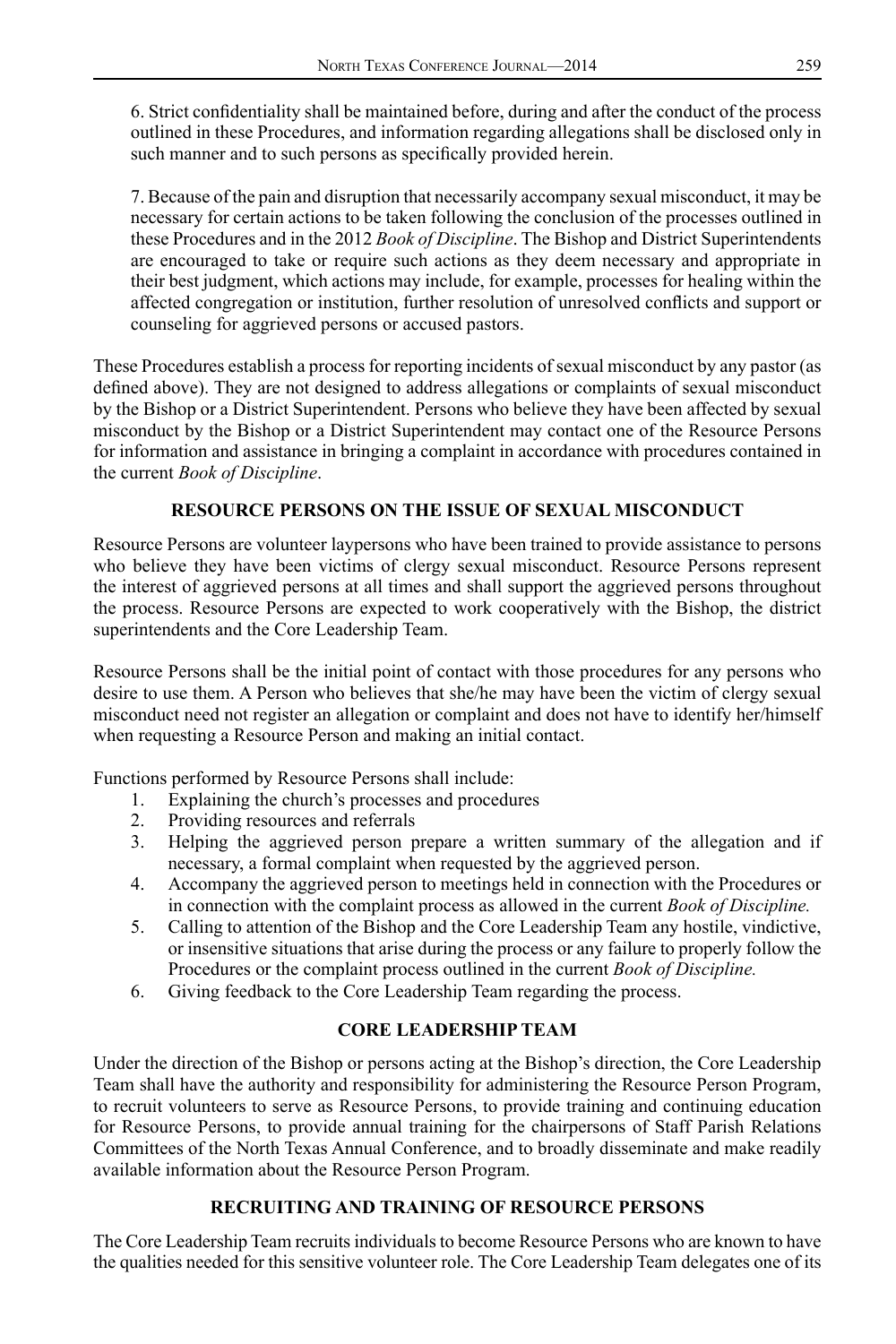6. Strict confidentiality shall be maintained before, during and after the conduct of the process outlined in these Procedures, and information regarding allegations shall be disclosed only in such manner and to such persons as specifically provided herein.

7. Because of the pain and disruption that necessarily accompany sexual misconduct, it may be necessary for certain actions to be taken following the conclusion of the processes outlined in these Procedures and in the 2012 *Book of Discipline*. The Bishop and District Superintendents are encouraged to take or require such actions as they deem necessary and appropriate in their best judgment, which actions may include, for example, processes for healing within the affected congregation or institution, further resolution of unresolved conflicts and support or counseling for aggrieved persons or accused pastors.

These Procedures establish a process for reporting incidents of sexual misconduct by any pastor (as defined above). They are not designed to address allegations or complaints of sexual misconduct by the Bishop or a District Superintendent. Persons who believe they have been affected by sexual misconduct by the Bishop or a District Superintendent may contact one of the Resource Persons for information and assistance in bringing a complaint in accordance with procedures contained in the current *Book of Discipline*.

#### **RESOURCE PERSONS ON THE ISSUE OF SEXUAL MISCONDUCT**

Resource Persons are volunteer laypersons who have been trained to provide assistance to persons who believe they have been victims of clergy sexual misconduct. Resource Persons represent the interest of aggrieved persons at all times and shall support the aggrieved persons throughout the process. Resource Persons are expected to work cooperatively with the Bishop, the district superintendents and the Core Leadership Team.

Resource Persons shall be the initial point of contact with those procedures for any persons who desire to use them. A Person who believes that she/he may have been the victim of clergy sexual misconduct need not register an allegation or complaint and does not have to identify her/himself when requesting a Resource Person and making an initial contact.

Functions performed by Resource Persons shall include:

- 1. Explaining the church's processes and procedures
- 2. Providing resources and referrals
- 3. Helping the aggrieved person prepare a written summary of the allegation and if necessary, a formal complaint when requested by the aggrieved person.
- 4. Accompany the aggrieved person to meetings held in connection with the Procedures or in connection with the complaint process as allowed in the current *Book of Discipline.*
- 5. Calling to attention of the Bishop and the Core Leadership Team any hostile, vindictive, or insensitive situations that arise during the process or any failure to properly follow the Procedures or the complaint process outlined in the current *Book of Discipline.*
- 6. Giving feedback to the Core Leadership Team regarding the process.

#### **CORE LEADERSHIP TEAM**

Under the direction of the Bishop or persons acting at the Bishop's direction, the Core Leadership Team shall have the authority and responsibility for administering the Resource Person Program, to recruit volunteers to serve as Resource Persons, to provide training and continuing education for Resource Persons, to provide annual training for the chairpersons of Staff Parish Relations Committees of the North Texas Annual Conference, and to broadly disseminate and make readily available information about the Resource Person Program.

## **RECRUITING AND TRAINING OF RESOURCE PERSONS**

The Core Leadership Team recruits individuals to become Resource Persons who are known to have the qualities needed for this sensitive volunteer role. The Core Leadership Team delegates one of its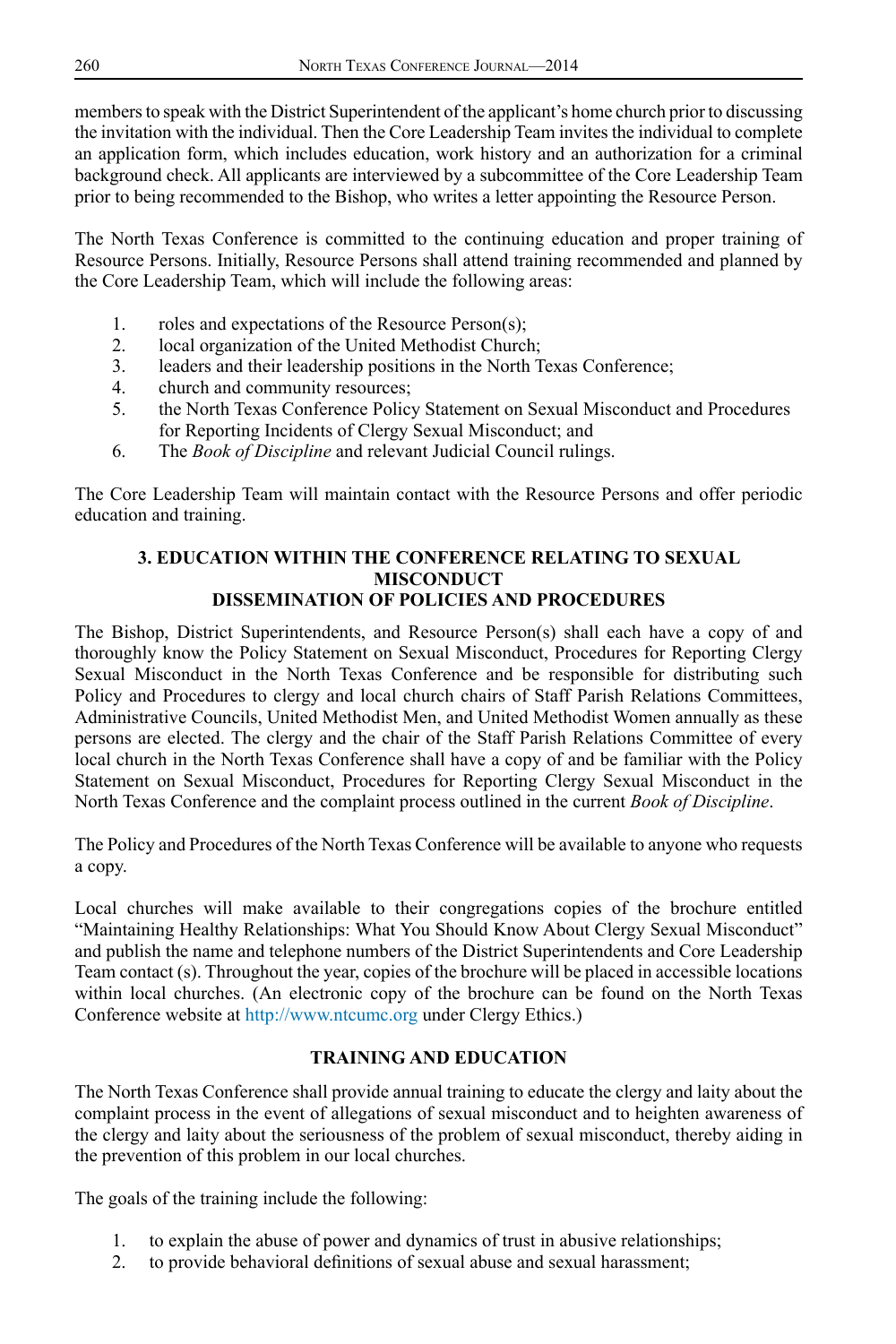members to speak with the District Superintendent of the applicant's home church prior to discussing the invitation with the individual. Then the Core Leadership Team invites the individual to complete an application form, which includes education, work history and an authorization for a criminal background check. All applicants are interviewed by a subcommittee of the Core Leadership Team prior to being recommended to the Bishop, who writes a letter appointing the Resource Person.

The North Texas Conference is committed to the continuing education and proper training of Resource Persons. Initially, Resource Persons shall attend training recommended and planned by the Core Leadership Team, which will include the following areas:

- 1. roles and expectations of the Resource Person(s);
- 2. local organization of the United Methodist Church;
- 3. leaders and their leadership positions in the North Texas Conference;
- 4. church and community resources;
- 5. the North Texas Conference Policy Statement on Sexual Misconduct and Procedures for Reporting Incidents of Clergy Sexual Misconduct; and
- 6. The *Book of Discipline* and relevant Judicial Council rulings.

The Core Leadership Team will maintain contact with the Resource Persons and offer periodic education and training.

#### **3. EDUCATION WITHIN THE CONFERENCE RELATING TO SEXUAL MISCONDUCT DISSEMINATION OF POLICIES AND PROCEDURES**

The Bishop, District Superintendents, and Resource Person(s) shall each have a copy of and thoroughly know the Policy Statement on Sexual Misconduct, Procedures for Reporting Clergy Sexual Misconduct in the North Texas Conference and be responsible for distributing such Policy and Procedures to clergy and local church chairs of Staff Parish Relations Committees, Administrative Councils, United Methodist Men, and United Methodist Women annually as these persons are elected. The clergy and the chair of the Staff Parish Relations Committee of every local church in the North Texas Conference shall have a copy of and be familiar with the Policy Statement on Sexual Misconduct, Procedures for Reporting Clergy Sexual Misconduct in the North Texas Conference and the complaint process outlined in the current *Book of Discipline*.

The Policy and Procedures of the North Texas Conference will be available to anyone who requests a copy.

Local churches will make available to their congregations copies of the brochure entitled "Maintaining Healthy Relationships: What You Should Know About Clergy Sexual Misconduct" and publish the name and telephone numbers of the District Superintendents and Core Leadership Team contact (s). Throughout the year, copies of the brochure will be placed in accessible locations within local churches. (An electronic copy of the brochure can be found on the North Texas Conference website at<http://www.ntcumc.org> under Clergy Ethics.)

### **TRAINING AND EDUCATION**

The North Texas Conference shall provide annual training to educate the clergy and laity about the complaint process in the event of allegations of sexual misconduct and to heighten awareness of the clergy and laity about the seriousness of the problem of sexual misconduct, thereby aiding in the prevention of this problem in our local churches.

The goals of the training include the following:

- 1. to explain the abuse of power and dynamics of trust in abusive relationships;
- 2. to provide behavioral definitions of sexual abuse and sexual harassment;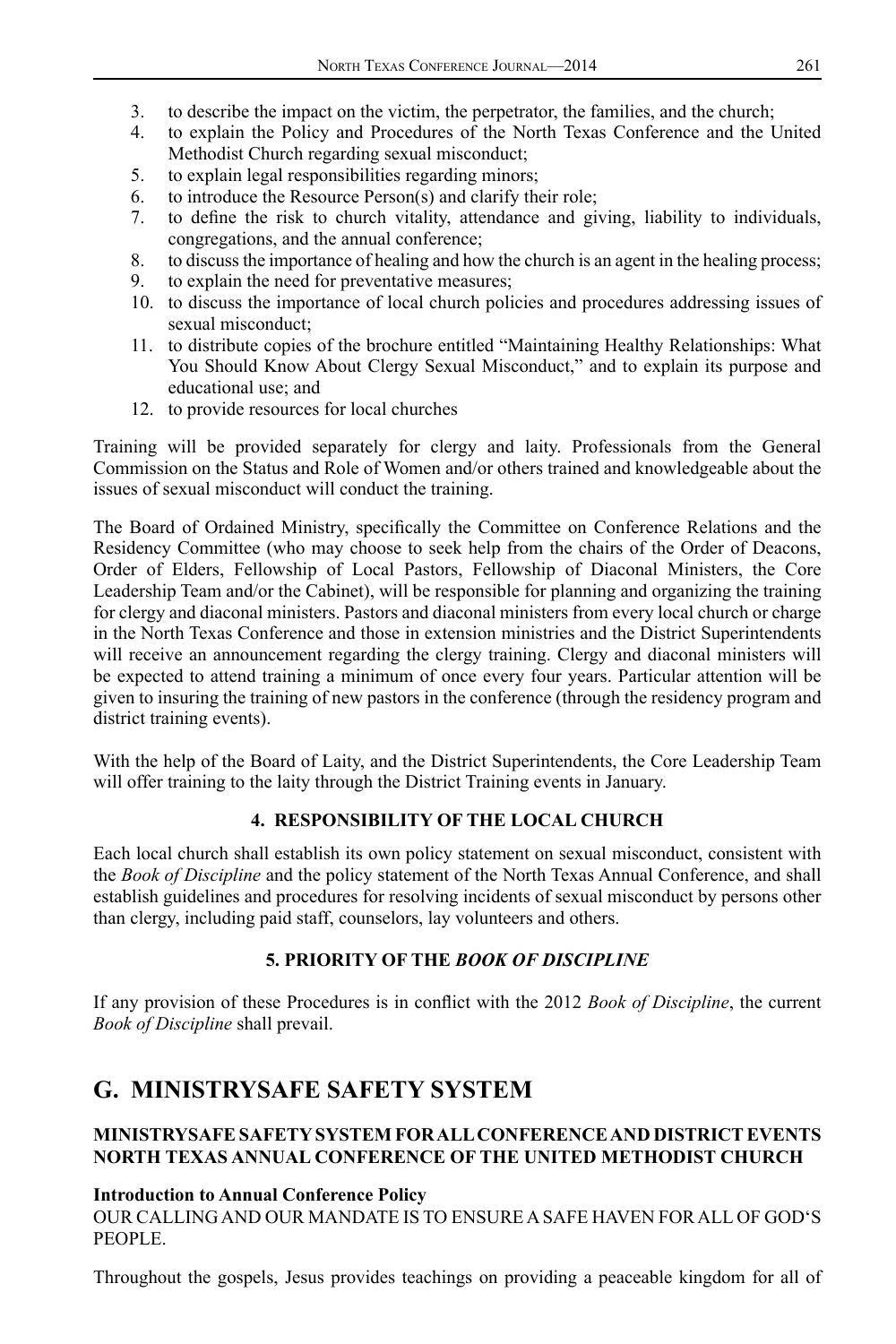- 3. to describe the impact on the victim, the perpetrator, the families, and the church;<br>4. to explain the Policy and Procedures of the North Texas Conference and the I
- 4. to explain the Policy and Procedures of the North Texas Conference and the United Methodist Church regarding sexual misconduct;
- 5. to explain legal responsibilities regarding minors;
- 6. to introduce the Resource Person(s) and clarify their role;
- 7. to define the risk to church vitality, attendance and giving, liability to individuals, congregations, and the annual conference;
- 8. to discuss the importance of healing and how the church is an agent in the healing process;
- 9. to explain the need for preventative measures;
- 10. to discuss the importance of local church policies and procedures addressing issues of sexual misconduct;
- 11. to distribute copies of the brochure entitled "Maintaining Healthy Relationships: What You Should Know About Clergy Sexual Misconduct," and to explain its purpose and educational use; and
- 12. to provide resources for local churches

Training will be provided separately for clergy and laity. Professionals from the General Commission on the Status and Role of Women and/or others trained and knowledgeable about the issues of sexual misconduct will conduct the training.

The Board of Ordained Ministry, specifically the Committee on Conference Relations and the Residency Committee (who may choose to seek help from the chairs of the Order of Deacons, Order of Elders, Fellowship of Local Pastors, Fellowship of Diaconal Ministers, the Core Leadership Team and/or the Cabinet), will be responsible for planning and organizing the training for clergy and diaconal ministers. Pastors and diaconal ministers from every local church or charge in the North Texas Conference and those in extension ministries and the District Superintendents will receive an announcement regarding the clergy training. Clergy and diaconal ministers will be expected to attend training a minimum of once every four years. Particular attention will be given to insuring the training of new pastors in the conference (through the residency program and district training events).

With the help of the Board of Laity, and the District Superintendents, the Core Leadership Team will offer training to the laity through the District Training events in January.

## **4. RESPONSIBILITY OF THE LOCAL CHURCH**

Each local church shall establish its own policy statement on sexual misconduct, consistent with the *Book of Discipline* and the policy statement of the North Texas Annual Conference, and shall establish guidelines and procedures for resolving incidents of sexual misconduct by persons other than clergy, including paid staff, counselors, lay volunteers and others.

## **5. PRIORITY OF THE** *BOOK OF DISCIPLINE*

If any provision of these Procedures is in conflict with the 2012 *Book of Discipline*, the current *Book of Discipline* shall prevail.

## **G. MINISTRYSAFE SAFETY SYSTEM**

## **MINISTRYSAFE SAFETY SYSTEM FOR ALL CONFERENCE AND DISTRICT EVENTS NORTH TEXAS ANNUAL CONFERENCE OF THE UNITED METHODIST CHURCH**

#### **Introduction to Annual Conference Policy**

OUR CALLING AND OUR MANDATE IS TO ENSURE A SAFE HAVEN FOR ALL OF GOD'S PEOPLE.

Throughout the gospels, Jesus provides teachings on providing a peaceable kingdom for all of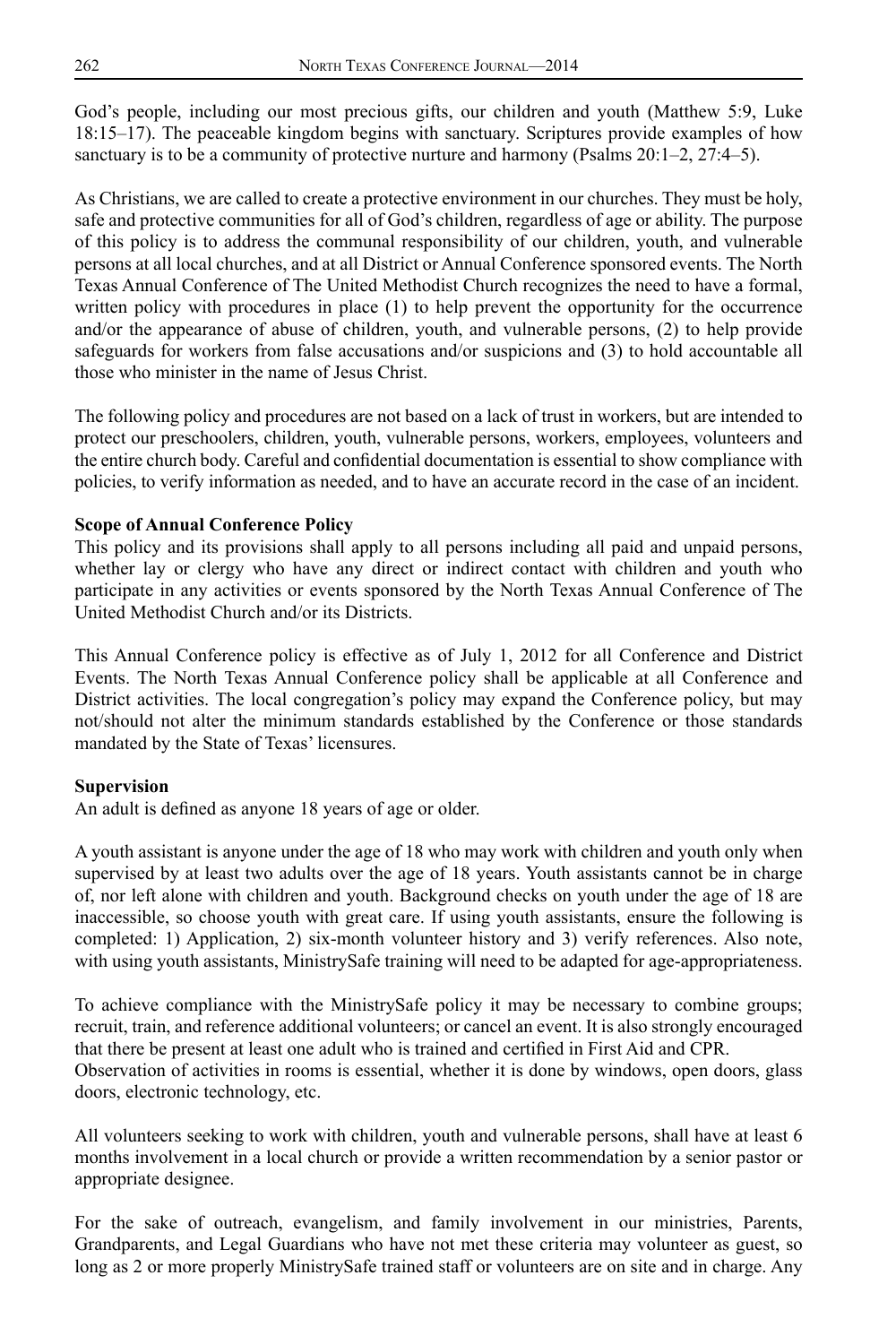God's people, including our most precious gifts, our children and youth (Matthew 5:9, Luke 18:15–17). The peaceable kingdom begins with sanctuary. Scriptures provide examples of how sanctuary is to be a community of protective nurture and harmony (Psalms 20:1–2, 27:4–5).

As Christians, we are called to create a protective environment in our churches. They must be holy, safe and protective communities for all of God's children, regardless of age or ability. The purpose of this policy is to address the communal responsibility of our children, youth, and vulnerable persons at all local churches, and at all District or Annual Conference sponsored events. The North Texas Annual Conference of The United Methodist Church recognizes the need to have a formal, written policy with procedures in place (1) to help prevent the opportunity for the occurrence and/or the appearance of abuse of children, youth, and vulnerable persons, (2) to help provide safeguards for workers from false accusations and/or suspicions and (3) to hold accountable all those who minister in the name of Jesus Christ.

The following policy and procedures are not based on a lack of trust in workers, but are intended to protect our preschoolers, children, youth, vulnerable persons, workers, employees, volunteers and the entire church body. Careful and confidential documentation is essential to show compliance with policies, to verify information as needed, and to have an accurate record in the case of an incident.

## **Scope of Annual Conference Policy**

This policy and its provisions shall apply to all persons including all paid and unpaid persons, whether lay or clergy who have any direct or indirect contact with children and youth who participate in any activities or events sponsored by the North Texas Annual Conference of The United Methodist Church and/or its Districts.

This Annual Conference policy is effective as of July 1, 2012 for all Conference and District Events. The North Texas Annual Conference policy shall be applicable at all Conference and District activities. The local congregation's policy may expand the Conference policy, but may not/should not alter the minimum standards established by the Conference or those standards mandated by the State of Texas' licensures.

#### **Supervision**

An adult is defined as anyone 18 years of age or older.

A youth assistant is anyone under the age of 18 who may work with children and youth only when supervised by at least two adults over the age of 18 years. Youth assistants cannot be in charge of, nor left alone with children and youth. Background checks on youth under the age of 18 are inaccessible, so choose youth with great care. If using youth assistants, ensure the following is completed: 1) Application, 2) six-month volunteer history and 3) verify references. Also note, with using youth assistants, MinistrySafe training will need to be adapted for age-appropriateness.

To achieve compliance with the MinistrySafe policy it may be necessary to combine groups; recruit, train, and reference additional volunteers; or cancel an event. It is also strongly encouraged that there be present at least one adult who is trained and certified in First Aid and CPR. Observation of activities in rooms is essential, whether it is done by windows, open doors, glass doors, electronic technology, etc.

All volunteers seeking to work with children, youth and vulnerable persons, shall have at least 6 months involvement in a local church or provide a written recommendation by a senior pastor or appropriate designee.

For the sake of outreach, evangelism, and family involvement in our ministries, Parents, Grandparents, and Legal Guardians who have not met these criteria may volunteer as guest, so long as 2 or more properly MinistrySafe trained staff or volunteers are on site and in charge. Any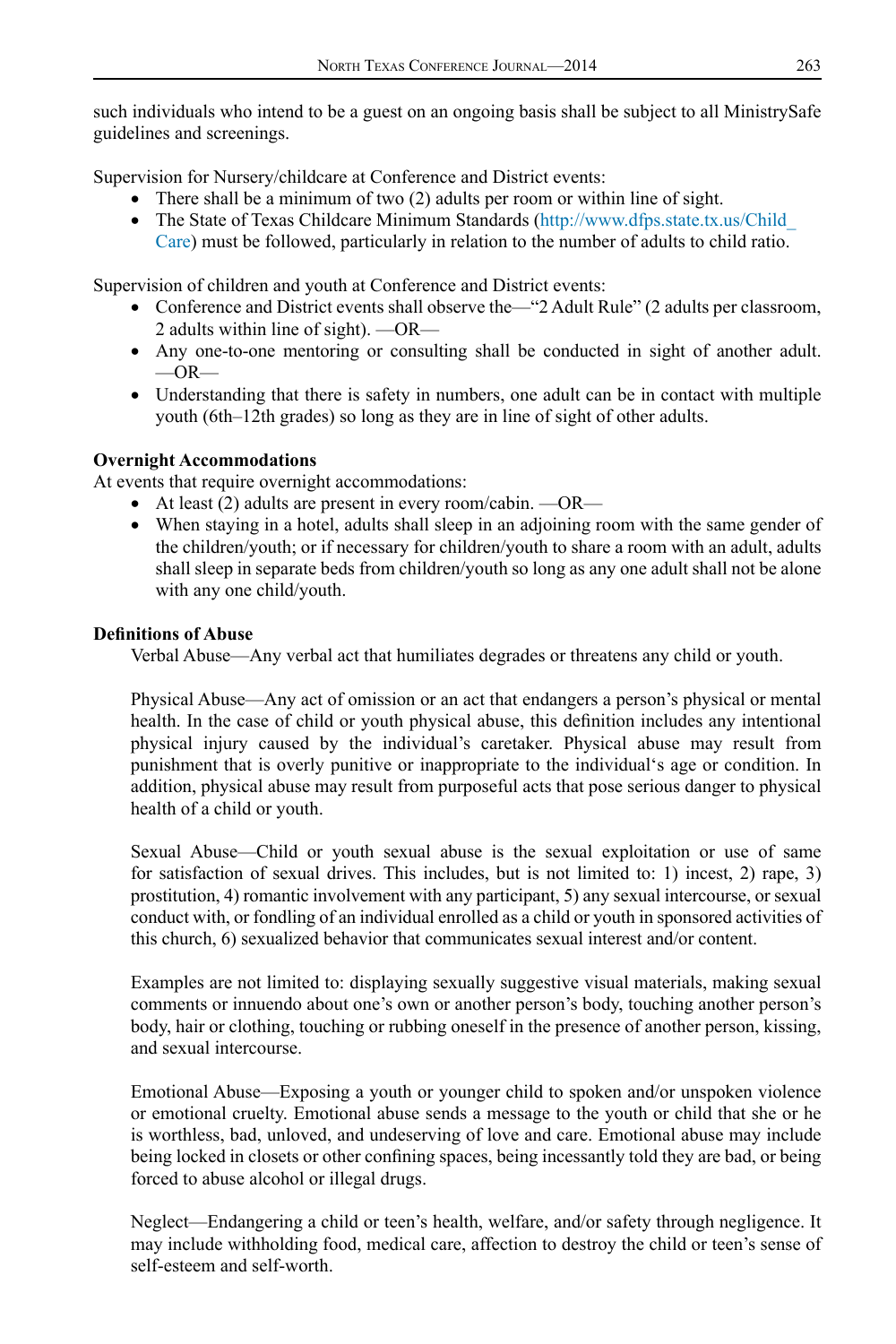such individuals who intend to be a guest on an ongoing basis shall be subject to all MinistrySafe guidelines and screenings.

Supervision for Nursery/childcare at Conference and District events:

- There shall be a minimum of two  $(2)$  adults per room or within line of sight.
- The State of Texas Childcare Minimum Standards [\(http://www.dfps.state.tx.us/Child\\_](http://www.dfps.state.tx.us/Child_Care) [Care\)](http://www.dfps.state.tx.us/Child_Care) must be followed, particularly in relation to the number of adults to child ratio.

Supervision of children and youth at Conference and District events:

- Conference and District events shall observe the—"2 Adult Rule" (2 adults per classroom, 2 adults within line of sight). —OR—
- Any one-to-one mentoring or consulting shall be conducted in sight of another adult.  $-OR-$
- Understanding that there is safety in numbers, one adult can be in contact with multiple youth (6th–12th grades) so long as they are in line of sight of other adults.

### **Overnight Accommodations**

At events that require overnight accommodations:

- At least (2) adults are present in every room/cabin.  $\sim$ OR $\sim$
- • When staying in a hotel, adults shall sleep in an adjoining room with the same gender of the children/youth; or if necessary for children/youth to share a room with an adult, adults shall sleep in separate beds from children/youth so long as any one adult shall not be alone with any one child/youth.

#### **Definitions of Abuse**

Verbal Abuse—Any verbal act that humiliates degrades or threatens any child or youth.

Physical Abuse—Any act of omission or an act that endangers a person's physical or mental health. In the case of child or youth physical abuse, this definition includes any intentional physical injury caused by the individual's caretaker. Physical abuse may result from punishment that is overly punitive or inappropriate to the individual's age or condition. In addition, physical abuse may result from purposeful acts that pose serious danger to physical health of a child or youth.

Sexual Abuse—Child or youth sexual abuse is the sexual exploitation or use of same for satisfaction of sexual drives. This includes, but is not limited to: 1) incest, 2) rape, 3) prostitution, 4) romantic involvement with any participant, 5) any sexual intercourse, or sexual conduct with, or fondling of an individual enrolled as a child or youth in sponsored activities of this church, 6) sexualized behavior that communicates sexual interest and/or content.

Examples are not limited to: displaying sexually suggestive visual materials, making sexual comments or innuendo about one's own or another person's body, touching another person's body, hair or clothing, touching or rubbing oneself in the presence of another person, kissing, and sexual intercourse.

Emotional Abuse—Exposing a youth or younger child to spoken and/or unspoken violence or emotional cruelty. Emotional abuse sends a message to the youth or child that she or he is worthless, bad, unloved, and undeserving of love and care. Emotional abuse may include being locked in closets or other confining spaces, being incessantly told they are bad, or being forced to abuse alcohol or illegal drugs.

Neglect—Endangering a child or teen's health, welfare, and/or safety through negligence. It may include withholding food, medical care, affection to destroy the child or teen's sense of self-esteem and self-worth.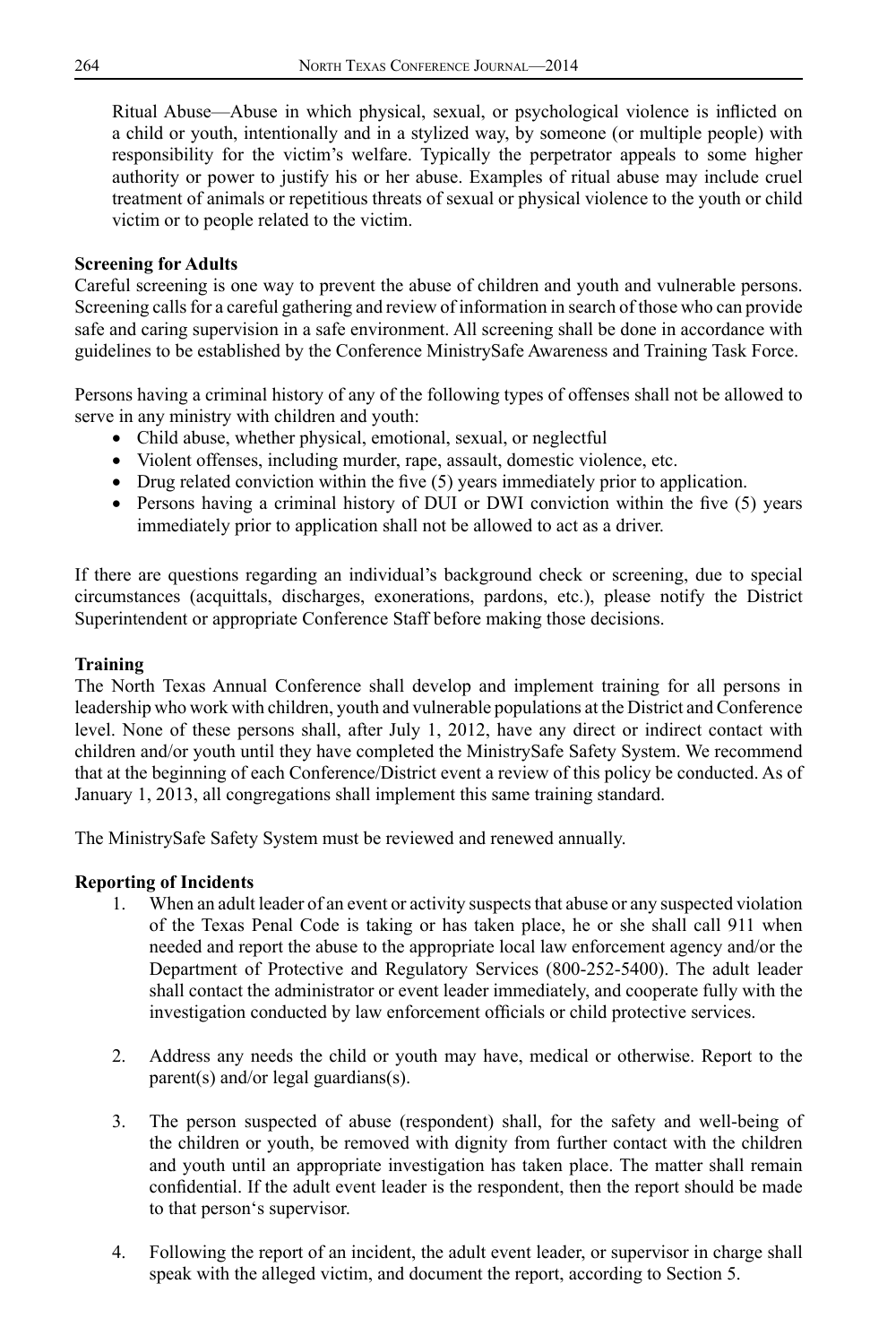Ritual Abuse—Abuse in which physical, sexual, or psychological violence is inflicted on a child or youth, intentionally and in a stylized way, by someone (or multiple people) with responsibility for the victim's welfare. Typically the perpetrator appeals to some higher authority or power to justify his or her abuse. Examples of ritual abuse may include cruel treatment of animals or repetitious threats of sexual or physical violence to the youth or child victim or to people related to the victim.

### **Screening for Adults**

Careful screening is one way to prevent the abuse of children and youth and vulnerable persons. Screening calls for a careful gathering and review of information in search of those who can provide safe and caring supervision in a safe environment. All screening shall be done in accordance with guidelines to be established by the Conference MinistrySafe Awareness and Training Task Force.

Persons having a criminal history of any of the following types of offenses shall not be allowed to serve in any ministry with children and youth:

- • Child abuse, whether physical, emotional, sexual, or neglectful
- • Violent offenses, including murder, rape, assault, domestic violence, etc.
- Drug related conviction within the five (5) years immediately prior to application.
- Persons having a criminal history of DUI or DWI conviction within the five (5) years immediately prior to application shall not be allowed to act as a driver.

If there are questions regarding an individual's background check or screening, due to special circumstances (acquittals, discharges, exonerations, pardons, etc.), please notify the District Superintendent or appropriate Conference Staff before making those decisions.

## **Training**

The North Texas Annual Conference shall develop and implement training for all persons in leadership who work with children, youth and vulnerable populations at the District and Conference level. None of these persons shall, after July 1, 2012, have any direct or indirect contact with children and/or youth until they have completed the MinistrySafe Safety System. We recommend that at the beginning of each Conference/District event a review of this policy be conducted. As of January 1, 2013, all congregations shall implement this same training standard.

The MinistrySafe Safety System must be reviewed and renewed annually.

## **Reporting of Incidents**

- 1. When an adult leader of an event or activity suspects that abuse or any suspected violation of the Texas Penal Code is taking or has taken place, he or she shall call 911 when needed and report the abuse to the appropriate local law enforcement agency and/or the Department of Protective and Regulatory Services (800-252-5400). The adult leader shall contact the administrator or event leader immediately, and cooperate fully with the investigation conducted by law enforcement officials or child protective services.
- 2. Address any needs the child or youth may have, medical or otherwise. Report to the parent(s) and/or legal guardians(s).
- 3. The person suspected of abuse (respondent) shall, for the safety and well-being of the children or youth, be removed with dignity from further contact with the children and youth until an appropriate investigation has taken place. The matter shall remain confidential. If the adult event leader is the respondent, then the report should be made to that person's supervisor.
- 4. Following the report of an incident, the adult event leader, or supervisor in charge shall speak with the alleged victim, and document the report, according to Section 5.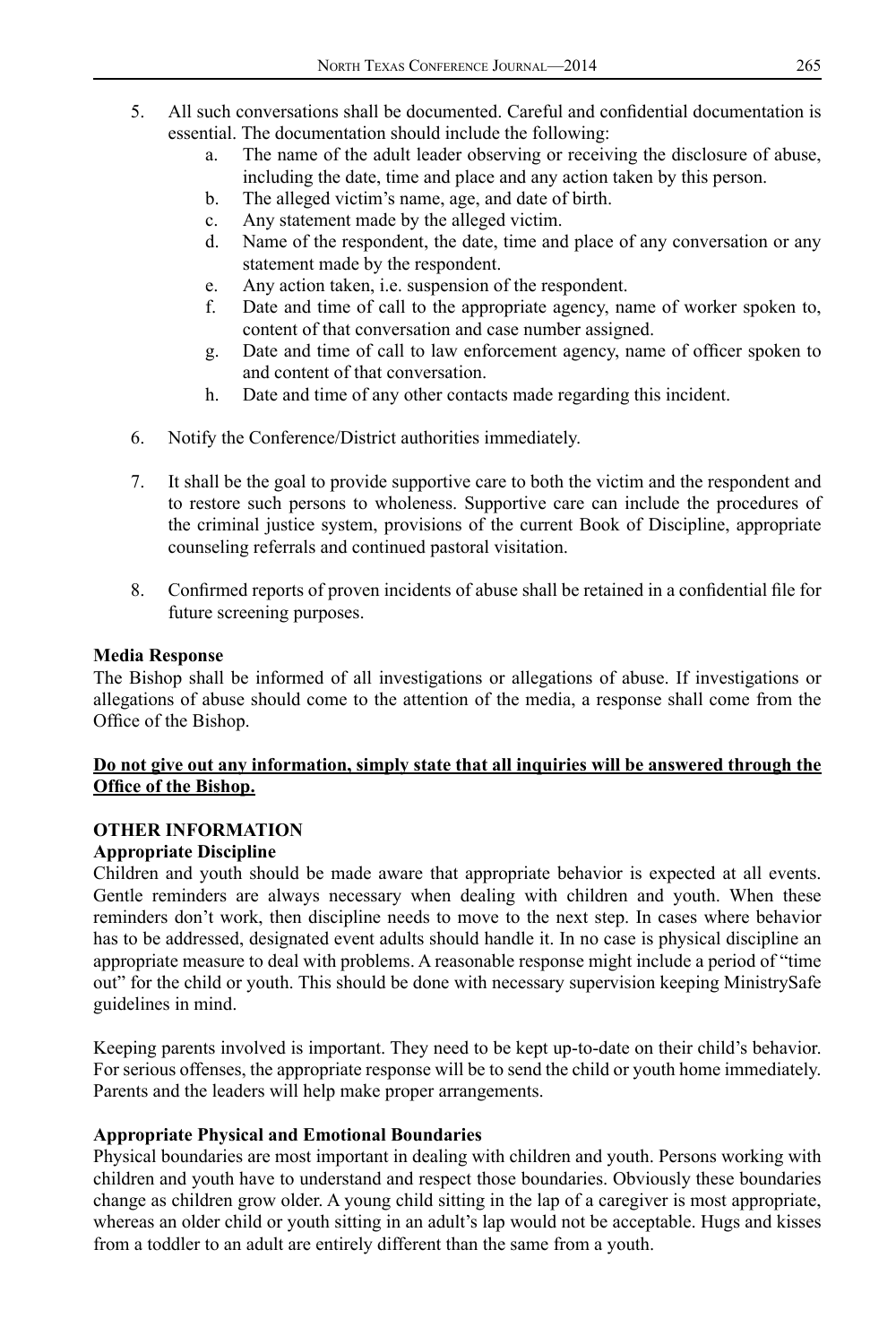- 5. All such conversations shall be documented. Careful and confidential documentation is essential. The documentation should include the following:
	- a. The name of the adult leader observing or receiving the disclosure of abuse, including the date, time and place and any action taken by this person.
	- b. The alleged victim's name, age, and date of birth.
	- c. Any statement made by the alleged victim.
	- d. Name of the respondent, the date, time and place of any conversation or any statement made by the respondent.
	- e. Any action taken, i.e. suspension of the respondent.
	- f. Date and time of call to the appropriate agency, name of worker spoken to, content of that conversation and case number assigned.
	- g. Date and time of call to law enforcement agency, name of officer spoken to and content of that conversation.
	- h. Date and time of any other contacts made regarding this incident.
- 6. Notify the Conference/District authorities immediately.
- 7. It shall be the goal to provide supportive care to both the victim and the respondent and to restore such persons to wholeness. Supportive care can include the procedures of the criminal justice system, provisions of the current Book of Discipline, appropriate counseling referrals and continued pastoral visitation.
- 8. Confirmed reports of proven incidents of abuse shall be retained in a confidential file for future screening purposes.

#### **Media Response**

The Bishop shall be informed of all investigations or allegations of abuse. If investigations or allegations of abuse should come to the attention of the media, a response shall come from the Office of the Bishop.

### **Do not give out any information, simply state that all inquiries will be answered through the Office of the Bishop.**

## **OTHER INFORMATION**

#### **Appropriate Discipline**

Children and youth should be made aware that appropriate behavior is expected at all events. Gentle reminders are always necessary when dealing with children and youth. When these reminders don't work, then discipline needs to move to the next step. In cases where behavior has to be addressed, designated event adults should handle it. In no case is physical discipline an appropriate measure to deal with problems. A reasonable response might include a period of "time out" for the child or youth. This should be done with necessary supervision keeping MinistrySafe guidelines in mind.

Keeping parents involved is important. They need to be kept up-to-date on their child's behavior. For serious offenses, the appropriate response will be to send the child or youth home immediately. Parents and the leaders will help make proper arrangements.

#### **Appropriate Physical and Emotional Boundaries**

Physical boundaries are most important in dealing with children and youth. Persons working with children and youth have to understand and respect those boundaries. Obviously these boundaries change as children grow older. A young child sitting in the lap of a caregiver is most appropriate, whereas an older child or youth sitting in an adult's lap would not be acceptable. Hugs and kisses from a toddler to an adult are entirely different than the same from a youth.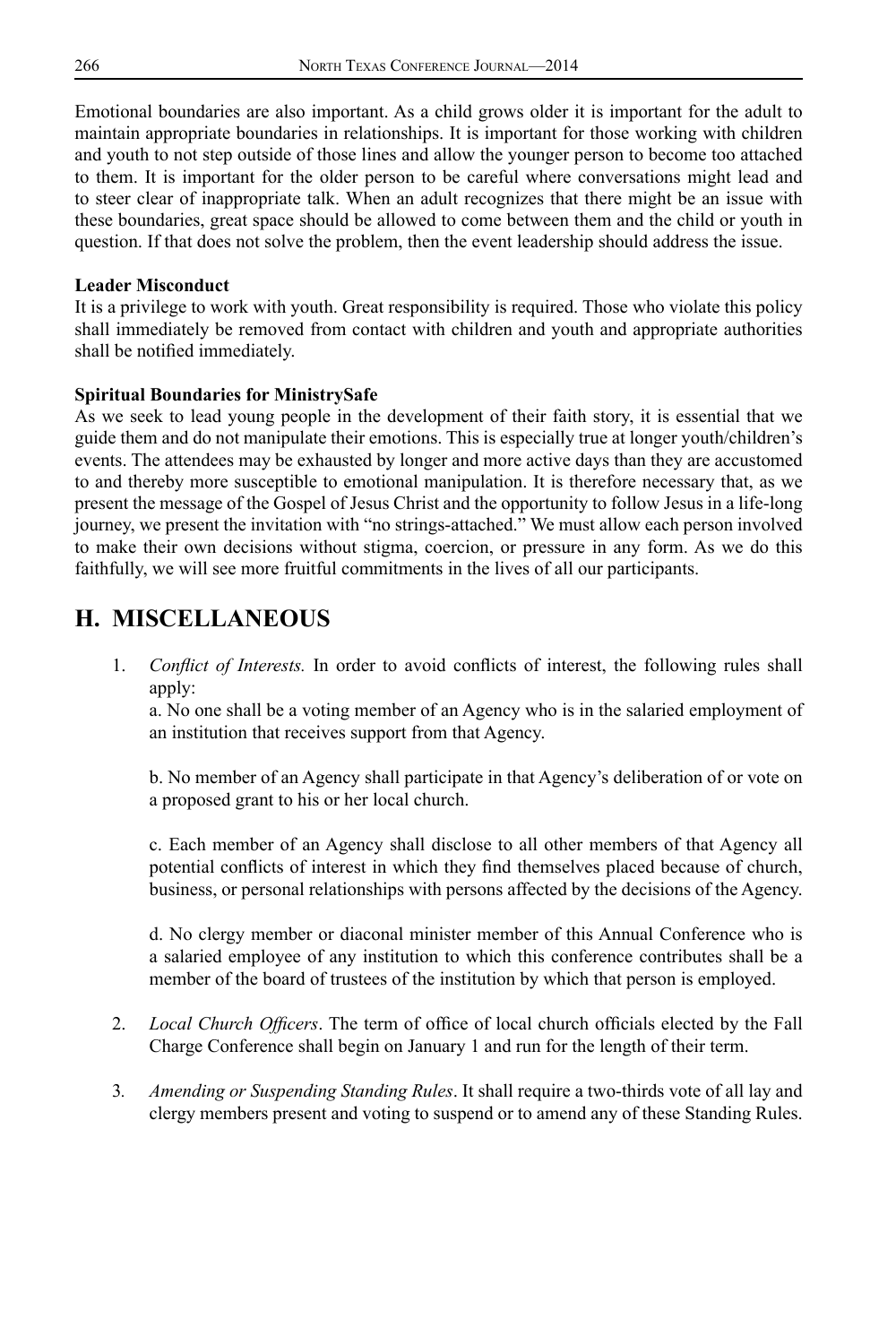Emotional boundaries are also important. As a child grows older it is important for the adult to maintain appropriate boundaries in relationships. It is important for those working with children and youth to not step outside of those lines and allow the younger person to become too attached to them. It is important for the older person to be careful where conversations might lead and to steer clear of inappropriate talk. When an adult recognizes that there might be an issue with these boundaries, great space should be allowed to come between them and the child or youth in question. If that does not solve the problem, then the event leadership should address the issue.

### **Leader Misconduct**

It is a privilege to work with youth. Great responsibility is required. Those who violate this policy shall immediately be removed from contact with children and youth and appropriate authorities shall be notified immediately.

## **Spiritual Boundaries for MinistrySafe**

As we seek to lead young people in the development of their faith story, it is essential that we guide them and do not manipulate their emotions. This is especially true at longer youth/children's events. The attendees may be exhausted by longer and more active days than they are accustomed to and thereby more susceptible to emotional manipulation. It is therefore necessary that, as we present the message of the Gospel of Jesus Christ and the opportunity to follow Jesus in a life-long journey, we present the invitation with "no strings-attached." We must allow each person involved to make their own decisions without stigma, coercion, or pressure in any form. As we do this faithfully, we will see more fruitful commitments in the lives of all our participants.

## **H. MISCELLANEOUS**

1. *Conflict of Interests.* In order to avoid conflicts of interest, the following rules shall apply:

a. No one shall be a voting member of an Agency who is in the salaried employment of an institution that receives support from that Agency.

b. No member of an Agency shall participate in that Agency's deliberation of or vote on a proposed grant to his or her local church.

c. Each member of an Agency shall disclose to all other members of that Agency all potential conflicts of interest in which they find themselves placed because of church, business, or personal relationships with persons affected by the decisions of the Agency.

d. No clergy member or diaconal minister member of this Annual Conference who is a salaried employee of any institution to which this conference contributes shall be a member of the board of trustees of the institution by which that person is employed.

- 2. *Local Church Officers*. The term of office of local church officials elected by the Fall Charge Conference shall begin on January 1 and run for the length of their term.
- 3*. Amending or Suspending Standing Rules*. It shall require a two-thirds vote of all lay and clergy members present and voting to suspend or to amend any of these Standing Rules.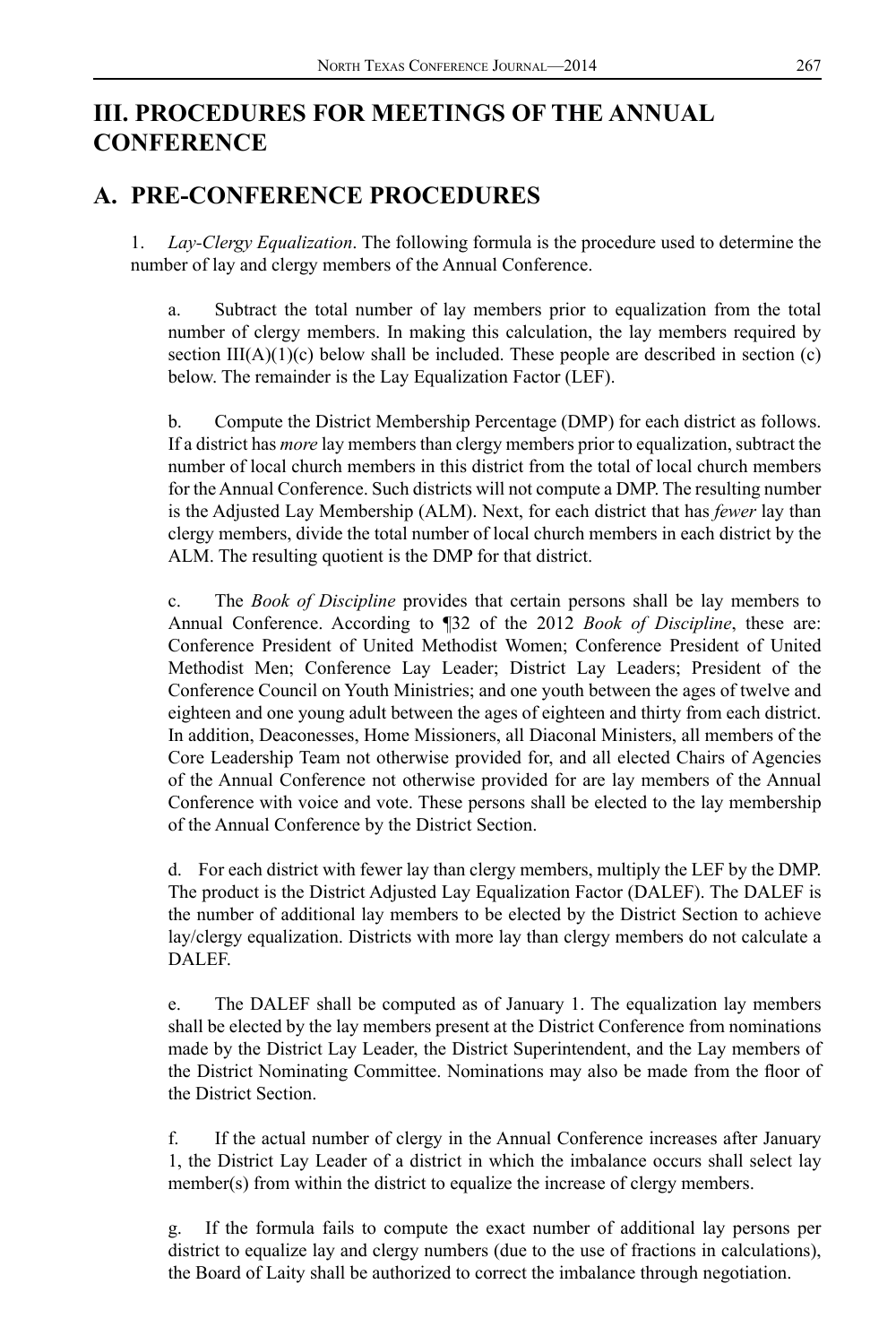## **III. PROCEDURES FOR MEETINGS OF THE ANNUAL CONFERENCE**

## **A. PRE-CONFERENCE PROCEDURES**

1. *Lay-Clergy Equalization*. The following formula is the procedure used to determine the number of lay and clergy members of the Annual Conference.

a. Subtract the total number of lay members prior to equalization from the total number of clergy members. In making this calculation, the lay members required by section  $III(A)(1)(c)$  below shall be included. These people are described in section  $(c)$ below. The remainder is the Lay Equalization Factor (LEF).

b. Compute the District Membership Percentage (DMP) for each district as follows. If a district has *more* lay members than clergy members prior to equalization, subtract the number of local church members in this district from the total of local church members for the Annual Conference. Such districts will not compute a DMP. The resulting number is the Adjusted Lay Membership (ALM). Next, for each district that has *fewer* lay than clergy members, divide the total number of local church members in each district by the ALM. The resulting quotient is the DMP for that district.

c. The *Book of Discipline* provides that certain persons shall be lay members to Annual Conference. According to ¶32 of the 2012 *Book of Discipline*, these are: Conference President of United Methodist Women; Conference President of United Methodist Men; Conference Lay Leader; District Lay Leaders; President of the Conference Council on Youth Ministries; and one youth between the ages of twelve and eighteen and one young adult between the ages of eighteen and thirty from each district. In addition, Deaconesses, Home Missioners, all Diaconal Ministers, all members of the Core Leadership Team not otherwise provided for, and all elected Chairs of Agencies of the Annual Conference not otherwise provided for are lay members of the Annual Conference with voice and vote. These persons shall be elected to the lay membership of the Annual Conference by the District Section.

d. For each district with fewer lay than clergy members, multiply the LEF by the DMP. The product is the District Adjusted Lay Equalization Factor (DALEF). The DALEF is the number of additional lay members to be elected by the District Section to achieve lay/clergy equalization. Districts with more lay than clergy members do not calculate a **DALEF.** 

e. The DALEF shall be computed as of January 1. The equalization lay members shall be elected by the lay members present at the District Conference from nominations made by the District Lay Leader, the District Superintendent, and the Lay members of the District Nominating Committee. Nominations may also be made from the floor of the District Section.

f. If the actual number of clergy in the Annual Conference increases after January 1, the District Lay Leader of a district in which the imbalance occurs shall select lay member(s) from within the district to equalize the increase of clergy members.

g. If the formula fails to compute the exact number of additional lay persons per district to equalize lay and clergy numbers (due to the use of fractions in calculations), the Board of Laity shall be authorized to correct the imbalance through negotiation.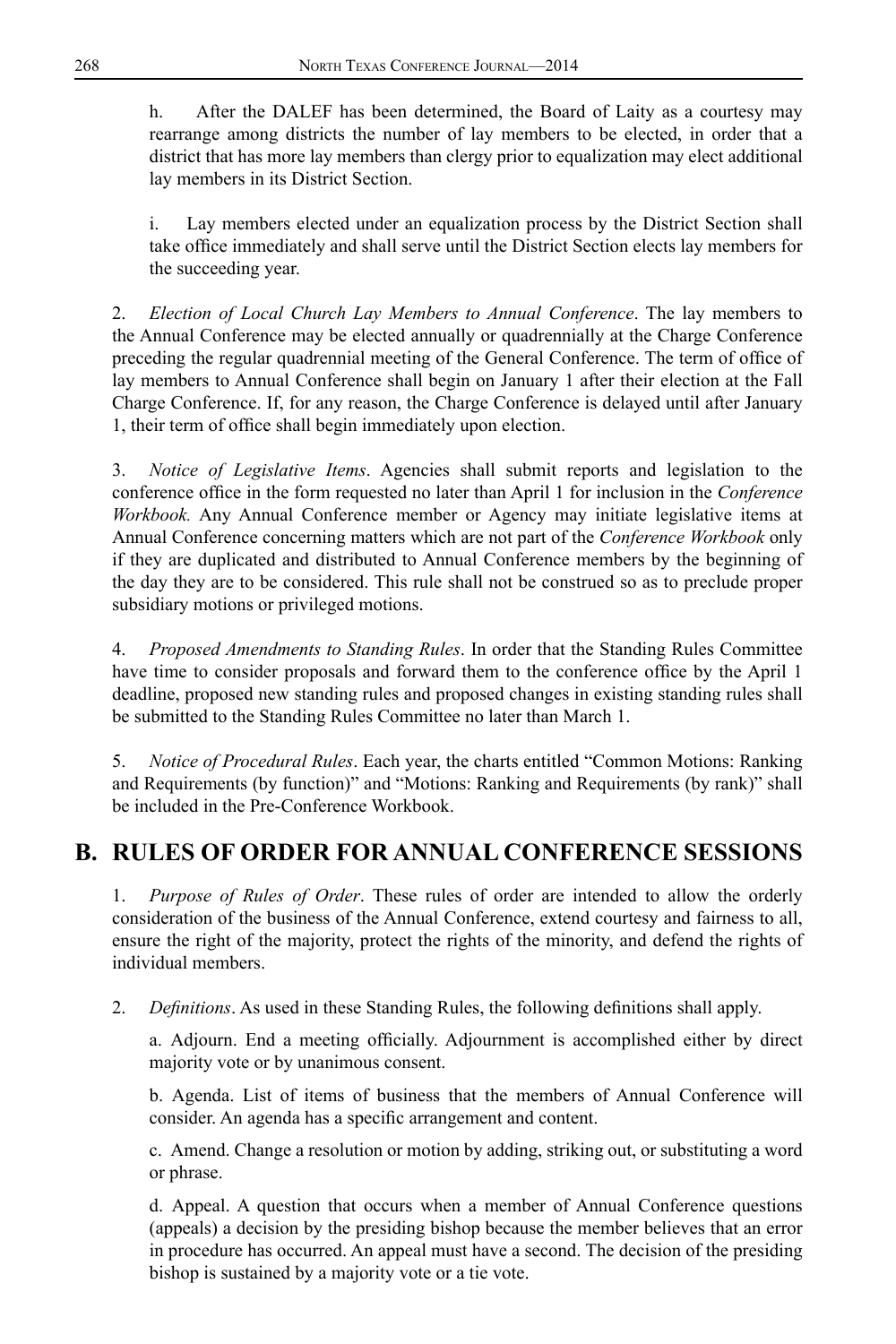h. After the DALEF has been determined, the Board of Laity as a courtesy may rearrange among districts the number of lay members to be elected, in order that a district that has more lay members than clergy prior to equalization may elect additional lay members in its District Section.

i. Lay members elected under an equalization process by the District Section shall take office immediately and shall serve until the District Section elects lay members for the succeeding year.

2. *Election of Local Church Lay Members to Annual Conference*. The lay members to the Annual Conference may be elected annually or quadrennially at the Charge Conference preceding the regular quadrennial meeting of the General Conference. The term of office of lay members to Annual Conference shall begin on January 1 after their election at the Fall Charge Conference. If, for any reason, the Charge Conference is delayed until after January 1, their term of office shall begin immediately upon election.

3. *Notice of Legislative Items*. Agencies shall submit reports and legislation to the conference office in the form requested no later than April 1 for inclusion in the *Conference Workbook.* Any Annual Conference member or Agency may initiate legislative items at Annual Conference concerning matters which are not part of the *Conference Workbook* only if they are duplicated and distributed to Annual Conference members by the beginning of the day they are to be considered. This rule shall not be construed so as to preclude proper subsidiary motions or privileged motions.

4. *Proposed Amendments to Standing Rules*. In order that the Standing Rules Committee have time to consider proposals and forward them to the conference office by the April 1 deadline, proposed new standing rules and proposed changes in existing standing rules shall be submitted to the Standing Rules Committee no later than March 1.

5. *Notice of Procedural Rules*. Each year, the charts entitled "Common Motions: Ranking and Requirements (by function)" and "Motions: Ranking and Requirements (by rank)" shall be included in the Pre-Conference Workbook.

## **B. RULES OF ORDER FOR ANNUAL CONFERENCE SESSIONS**

1. *Purpose of Rules of Order*. These rules of order are intended to allow the orderly consideration of the business of the Annual Conference, extend courtesy and fairness to all, ensure the right of the majority, protect the rights of the minority, and defend the rights of individual members.

2. *Definitions*. As used in these Standing Rules, the following definitions shall apply.

a. Adjourn. End a meeting officially. Adjournment is accomplished either by direct majority vote or by unanimous consent.

b. Agenda. List of items of business that the members of Annual Conference will consider. An agenda has a specific arrangement and content.

c. Amend. Change a resolution or motion by adding, striking out, or substituting a word or phrase.

d. Appeal. A question that occurs when a member of Annual Conference questions (appeals) a decision by the presiding bishop because the member believes that an error in procedure has occurred. An appeal must have a second. The decision of the presiding bishop is sustained by a majority vote or a tie vote.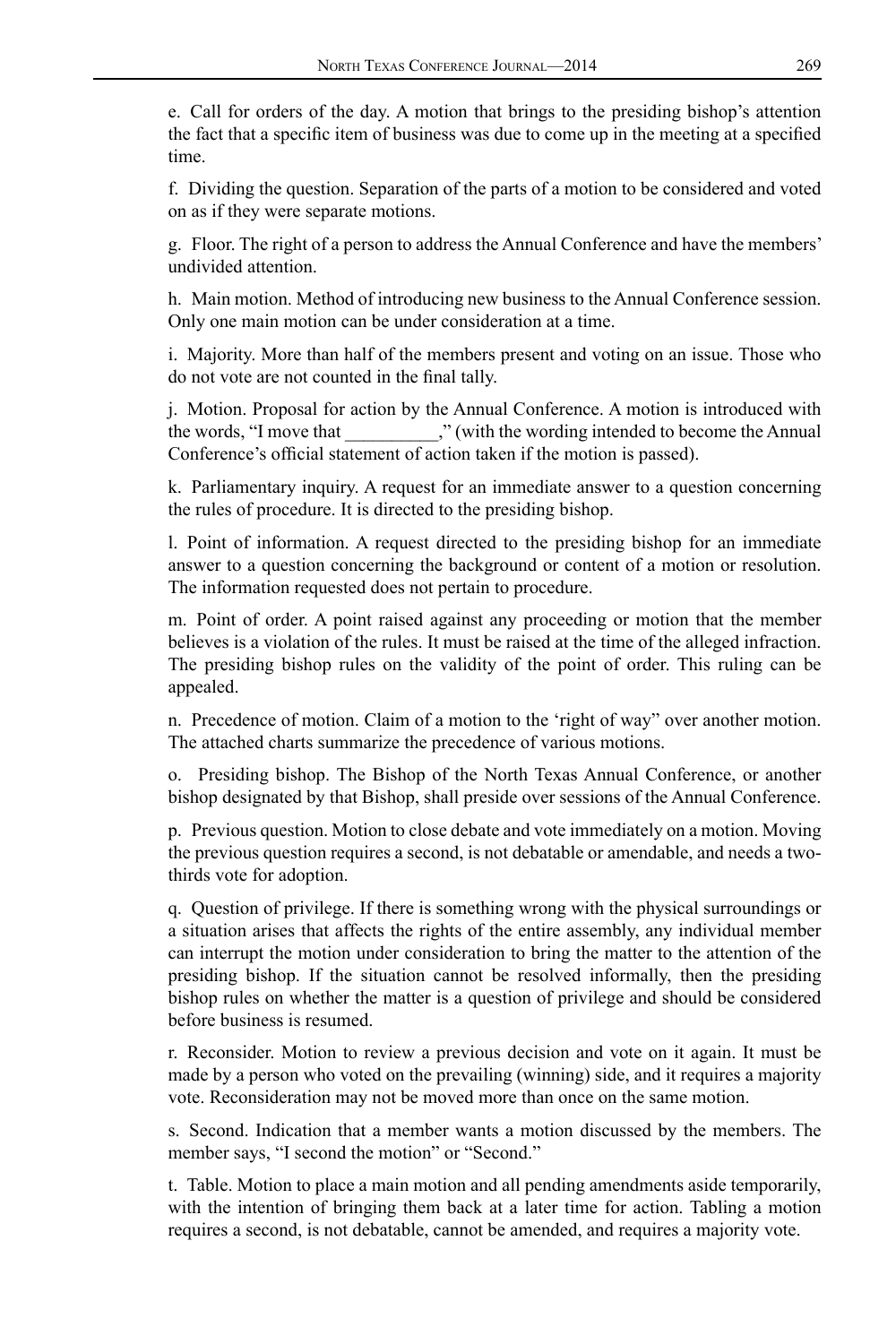e. Call for orders of the day. A motion that brings to the presiding bishop's attention the fact that a specific item of business was due to come up in the meeting at a specified time.

f. Dividing the question. Separation of the parts of a motion to be considered and voted on as if they were separate motions.

g. Floor. The right of a person to address the Annual Conference and have the members' undivided attention.

h. Main motion. Method of introducing new business to the Annual Conference session. Only one main motion can be under consideration at a time.

i. Majority. More than half of the members present and voting on an issue. Those who do not vote are not counted in the final tally.

j. Motion. Proposal for action by the Annual Conference. A motion is introduced with the words, "I move that "," (with the wording intended to become the Annual Conference's official statement of action taken if the motion is passed).

k. Parliamentary inquiry. A request for an immediate answer to a question concerning the rules of procedure. It is directed to the presiding bishop.

l. Point of information. A request directed to the presiding bishop for an immediate answer to a question concerning the background or content of a motion or resolution. The information requested does not pertain to procedure.

m. Point of order. A point raised against any proceeding or motion that the member believes is a violation of the rules. It must be raised at the time of the alleged infraction. The presiding bishop rules on the validity of the point of order. This ruling can be appealed.

n. Precedence of motion. Claim of a motion to the 'right of way" over another motion. The attached charts summarize the precedence of various motions.

o. Presiding bishop. The Bishop of the North Texas Annual Conference, or another bishop designated by that Bishop, shall preside over sessions of the Annual Conference.

p. Previous question. Motion to close debate and vote immediately on a motion. Moving the previous question requires a second, is not debatable or amendable, and needs a twothirds vote for adoption.

q. Question of privilege. If there is something wrong with the physical surroundings or a situation arises that affects the rights of the entire assembly, any individual member can interrupt the motion under consideration to bring the matter to the attention of the presiding bishop. If the situation cannot be resolved informally, then the presiding bishop rules on whether the matter is a question of privilege and should be considered before business is resumed.

r. Reconsider. Motion to review a previous decision and vote on it again. It must be made by a person who voted on the prevailing (winning) side, and it requires a majority vote. Reconsideration may not be moved more than once on the same motion.

s. Second. Indication that a member wants a motion discussed by the members. The member says, "I second the motion" or "Second."

t. Table. Motion to place a main motion and all pending amendments aside temporarily, with the intention of bringing them back at a later time for action. Tabling a motion requires a second, is not debatable, cannot be amended, and requires a majority vote.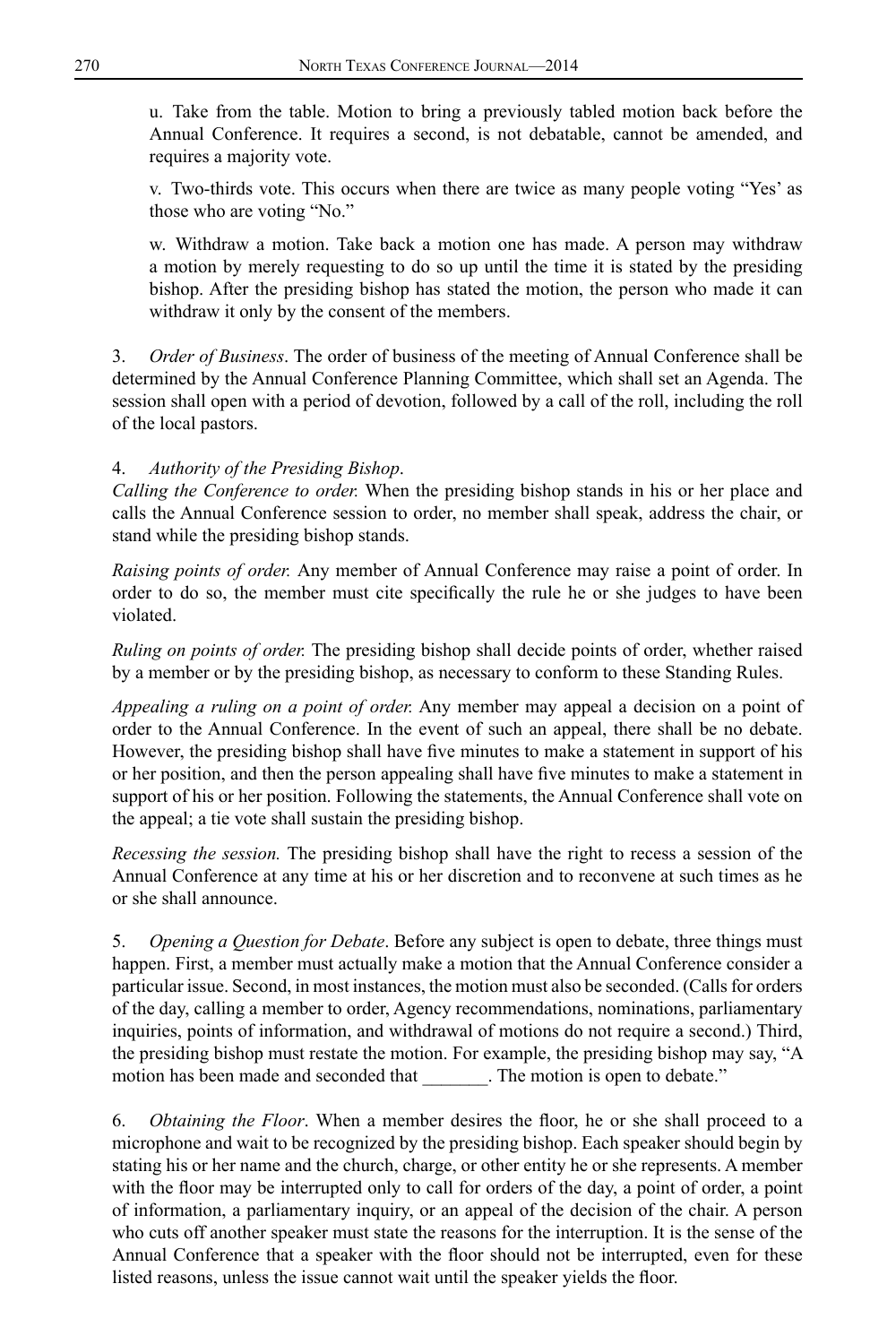u. Take from the table. Motion to bring a previously tabled motion back before the Annual Conference. It requires a second, is not debatable, cannot be amended, and requires a majority vote.

v. Two-thirds vote. This occurs when there are twice as many people voting "Yes' as those who are voting "No."

w. Withdraw a motion. Take back a motion one has made. A person may withdraw a motion by merely requesting to do so up until the time it is stated by the presiding bishop. After the presiding bishop has stated the motion, the person who made it can withdraw it only by the consent of the members.

3. *Order of Business*. The order of business of the meeting of Annual Conference shall be determined by the Annual Conference Planning Committee, which shall set an Agenda. The session shall open with a period of devotion, followed by a call of the roll, including the roll of the local pastors.

#### 4. *Authority of the Presiding Bishop*.

*Calling the Conference to order.* When the presiding bishop stands in his or her place and calls the Annual Conference session to order, no member shall speak, address the chair, or stand while the presiding bishop stands.

*Raising points of order.* Any member of Annual Conference may raise a point of order. In order to do so, the member must cite specifically the rule he or she judges to have been violated.

*Ruling on points of order.* The presiding bishop shall decide points of order, whether raised by a member or by the presiding bishop, as necessary to conform to these Standing Rules.

*Appealing a ruling on a point of order.* Any member may appeal a decision on a point of order to the Annual Conference. In the event of such an appeal, there shall be no debate. However, the presiding bishop shall have five minutes to make a statement in support of his or her position, and then the person appealing shall have five minutes to make a statement in support of his or her position. Following the statements, the Annual Conference shall vote on the appeal; a tie vote shall sustain the presiding bishop.

*Recessing the session.* The presiding bishop shall have the right to recess a session of the Annual Conference at any time at his or her discretion and to reconvene at such times as he or she shall announce.

5. *Opening a Question for Debate*. Before any subject is open to debate, three things must happen. First, a member must actually make a motion that the Annual Conference consider a particular issue. Second, in most instances, the motion must also be seconded. (Calls for orders of the day, calling a member to order, Agency recommendations, nominations, parliamentary inquiries, points of information, and withdrawal of motions do not require a second.) Third, the presiding bishop must restate the motion. For example, the presiding bishop may say, "A motion has been made and seconded that The motion is open to debate."

6. *Obtaining the Floor*. When a member desires the floor, he or she shall proceed to a microphone and wait to be recognized by the presiding bishop. Each speaker should begin by stating his or her name and the church, charge, or other entity he or she represents. A member with the floor may be interrupted only to call for orders of the day, a point of order, a point of information, a parliamentary inquiry, or an appeal of the decision of the chair. A person who cuts off another speaker must state the reasons for the interruption. It is the sense of the Annual Conference that a speaker with the floor should not be interrupted, even for these listed reasons, unless the issue cannot wait until the speaker yields the floor.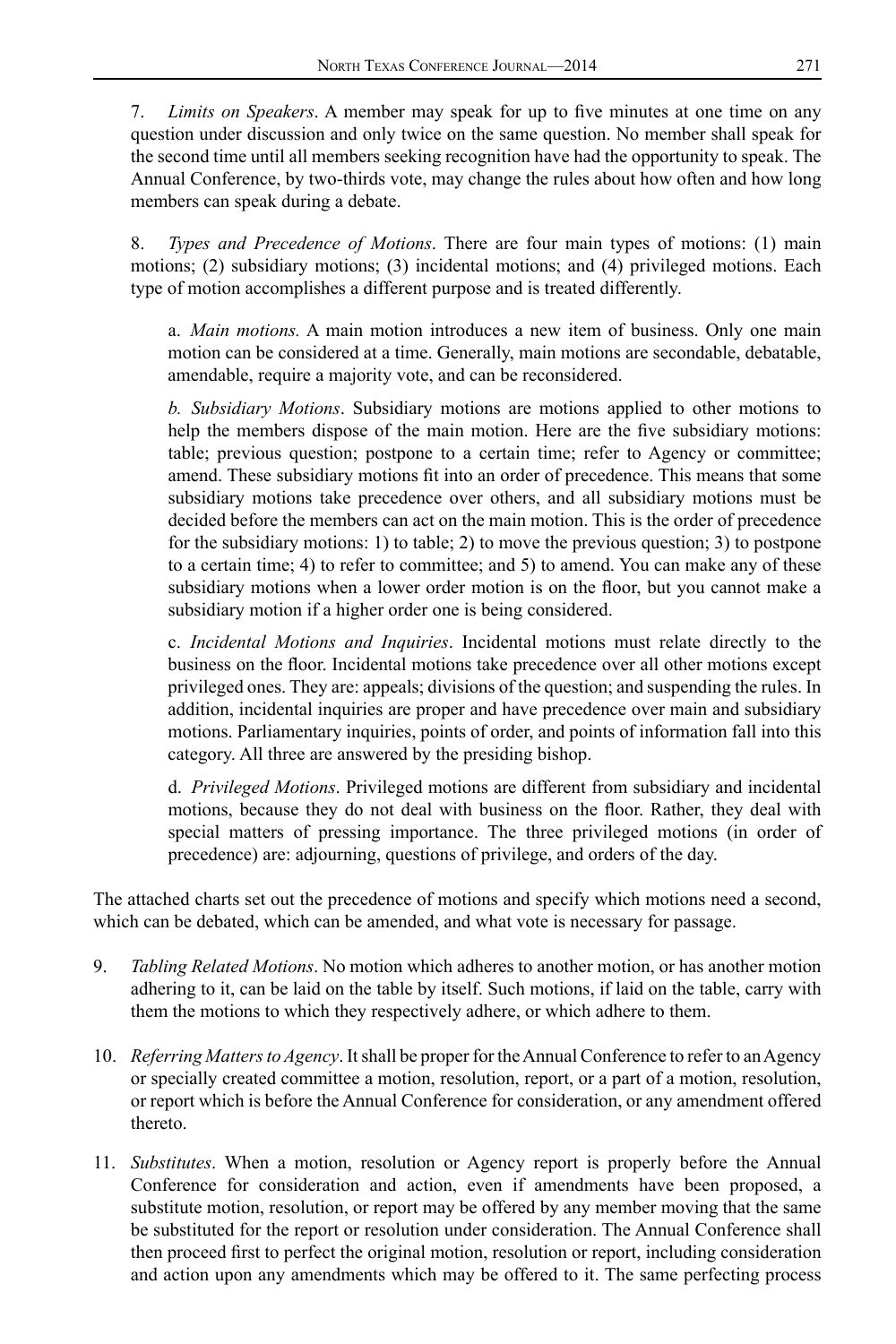7. *Limits on Speakers*. A member may speak for up to five minutes at one time on any question under discussion and only twice on the same question. No member shall speak for the second time until all members seeking recognition have had the opportunity to speak. The Annual Conference, by two-thirds vote, may change the rules about how often and how long members can speak during a debate.

8. *Types and Precedence of Motions*. There are four main types of motions: (1) main motions; (2) subsidiary motions; (3) incidental motions; and (4) privileged motions. Each type of motion accomplishes a different purpose and is treated differently.

a. *Main motions.* A main motion introduces a new item of business. Only one main motion can be considered at a time. Generally, main motions are secondable, debatable, amendable, require a majority vote, and can be reconsidered.

*b. Subsidiary Motions*. Subsidiary motions are motions applied to other motions to help the members dispose of the main motion. Here are the five subsidiary motions: table; previous question; postpone to a certain time; refer to Agency or committee; amend. These subsidiary motions fit into an order of precedence. This means that some subsidiary motions take precedence over others, and all subsidiary motions must be decided before the members can act on the main motion. This is the order of precedence for the subsidiary motions: 1) to table; 2) to move the previous question; 3) to postpone to a certain time; 4) to refer to committee; and 5) to amend. You can make any of these subsidiary motions when a lower order motion is on the floor, but you cannot make a subsidiary motion if a higher order one is being considered.

c. *Incidental Motions and Inquiries*. Incidental motions must relate directly to the business on the floor. Incidental motions take precedence over all other motions except privileged ones. They are: appeals; divisions of the question; and suspending the rules. In addition, incidental inquiries are proper and have precedence over main and subsidiary motions. Parliamentary inquiries, points of order, and points of information fall into this category. All three are answered by the presiding bishop.

d. *Privileged Motions*. Privileged motions are different from subsidiary and incidental motions, because they do not deal with business on the floor. Rather, they deal with special matters of pressing importance. The three privileged motions (in order of precedence) are: adjourning, questions of privilege, and orders of the day.

The attached charts set out the precedence of motions and specify which motions need a second, which can be debated, which can be amended, and what vote is necessary for passage.

- 9. *Tabling Related Motions*. No motion which adheres to another motion, or has another motion adhering to it, can be laid on the table by itself. Such motions, if laid on the table, carry with them the motions to which they respectively adhere, or which adhere to them.
- 10. *Referring Matters to Agency*. It shall be proper for the Annual Conference to refer to an Agency or specially created committee a motion, resolution, report, or a part of a motion, resolution, or report which is before the Annual Conference for consideration, or any amendment offered thereto.
- 11. *Substitutes*. When a motion, resolution or Agency report is properly before the Annual Conference for consideration and action, even if amendments have been proposed, a substitute motion, resolution, or report may be offered by any member moving that the same be substituted for the report or resolution under consideration. The Annual Conference shall then proceed first to perfect the original motion, resolution or report, including consideration and action upon any amendments which may be offered to it. The same perfecting process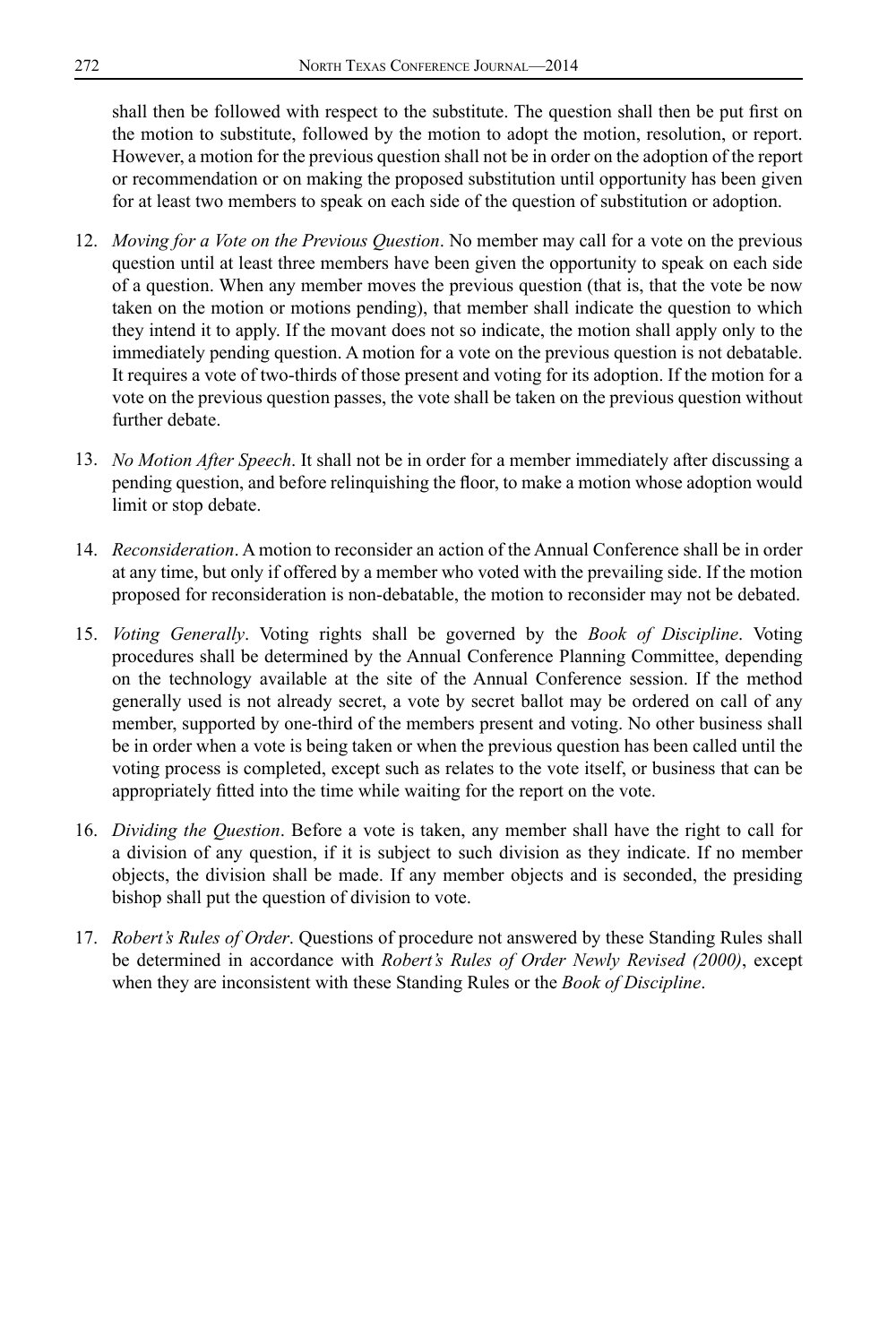shall then be followed with respect to the substitute. The question shall then be put first on the motion to substitute, followed by the motion to adopt the motion, resolution, or report. However, a motion for the previous question shall not be in order on the adoption of the report or recommendation or on making the proposed substitution until opportunity has been given for at least two members to speak on each side of the question of substitution or adoption.

- 12. *Moving for a Vote on the Previous Question*. No member may call for a vote on the previous question until at least three members have been given the opportunity to speak on each side of a question. When any member moves the previous question (that is, that the vote be now taken on the motion or motions pending), that member shall indicate the question to which they intend it to apply. If the movant does not so indicate, the motion shall apply only to the immediately pending question. A motion for a vote on the previous question is not debatable. It requires a vote of two-thirds of those present and voting for its adoption. If the motion for a vote on the previous question passes, the vote shall be taken on the previous question without further debate.
- 13. *No Motion After Speech*. It shall not be in order for a member immediately after discussing a pending question, and before relinquishing the floor, to make a motion whose adoption would limit or stop debate.
- 14. *Reconsideration*. A motion to reconsider an action of the Annual Conference shall be in order at any time, but only if offered by a member who voted with the prevailing side. If the motion proposed for reconsideration is non-debatable, the motion to reconsider may not be debated.
- 15. *Voting Generally*. Voting rights shall be governed by the *Book of Discipline*. Voting procedures shall be determined by the Annual Conference Planning Committee, depending on the technology available at the site of the Annual Conference session. If the method generally used is not already secret, a vote by secret ballot may be ordered on call of any member, supported by one-third of the members present and voting. No other business shall be in order when a vote is being taken or when the previous question has been called until the voting process is completed, except such as relates to the vote itself, or business that can be appropriately fitted into the time while waiting for the report on the vote.
- 16. *Dividing the Question*. Before a vote is taken, any member shall have the right to call for a division of any question, if it is subject to such division as they indicate. If no member objects, the division shall be made. If any member objects and is seconded, the presiding bishop shall put the question of division to vote.
- 17. *Robert's Rules of Order*. Questions of procedure not answered by these Standing Rules shall be determined in accordance with *Robert's Rules of Order Newly Revised (2000)*, except when they are inconsistent with these Standing Rules or the *Book of Discipline*.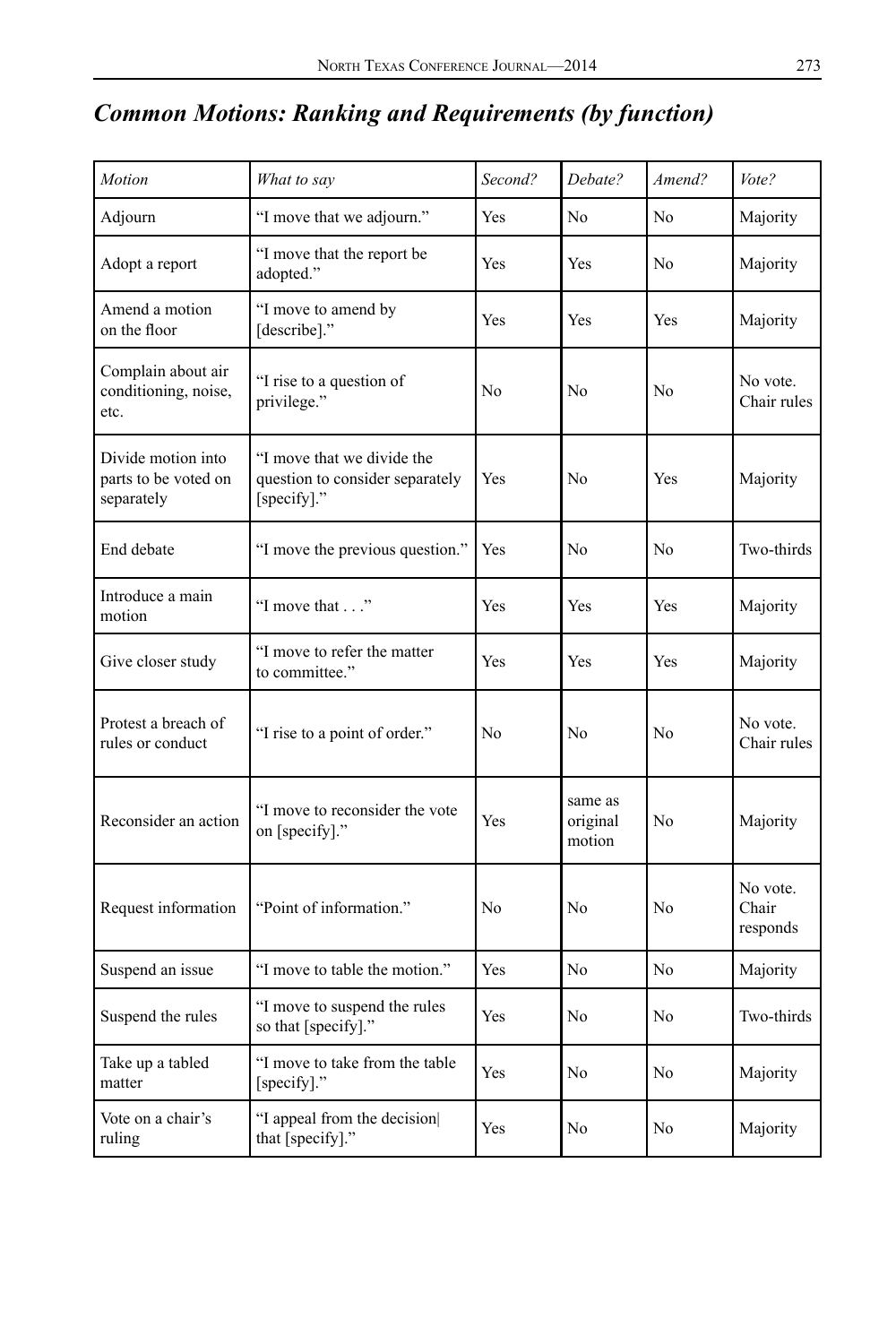## *Common Motions: Ranking and Requirements (by function)*

| Motion                                                   | What to say                                                                  | Second?               | Debate?                       | Amend?         | Vote?                         |
|----------------------------------------------------------|------------------------------------------------------------------------------|-----------------------|-------------------------------|----------------|-------------------------------|
| Adjourn                                                  | "I move that we adjourn."                                                    | Yes<br>N <sub>0</sub> |                               | No             | Majority                      |
| Adopt a report                                           | "I move that the report be<br>adopted."                                      | Yes                   | Yes                           | N <sub>0</sub> | Majority                      |
| Amend a motion<br>on the floor                           | "I move to amend by<br>[describe]."                                          | Yes                   | Yes                           | Yes            | Majority                      |
| Complain about air<br>conditioning, noise,<br>etc.       | "I rise to a question of<br>privilege."                                      | No                    | No                            | N <sub>0</sub> | No vote.<br>Chair rules       |
| Divide motion into<br>parts to be voted on<br>separately | "I move that we divide the<br>question to consider separately<br>[specify]." | Yes                   | No                            | Yes            | Majority                      |
| End debate                                               | "I move the previous question."                                              | Yes                   | N <sub>0</sub>                | N <sub>0</sub> | Two-thirds                    |
| Introduce a main<br>motion                               | "I move that"                                                                | Yes                   | Yes                           | Yes            | Majority                      |
| Give closer study                                        | "I move to refer the matter<br>to committee."                                | Yes                   | Yes                           | Yes            | Majority                      |
| Protest a breach of<br>rules or conduct                  | "I rise to a point of order."                                                | No                    | N <sub>0</sub>                | N <sub>0</sub> | No vote.<br>Chair rules       |
| Reconsider an action                                     | "I move to reconsider the vote<br>on [specify]."                             | Yes                   | same as<br>original<br>motion | N <sub>0</sub> | Majority                      |
| Request information                                      | "Point of information."                                                      | No                    | N <sub>0</sub>                | No             | No vote.<br>Chair<br>responds |
| Suspend an issue                                         | "I move to table the motion."                                                | Yes                   | No                            | No             | Majority                      |
| Suspend the rules                                        | "I move to suspend the rules<br>so that [specify]."                          | Yes                   | N <sub>0</sub>                | No             | Two-thirds                    |
| Take up a tabled<br>matter                               | "I move to take from the table<br>[specify]."                                | Yes                   | No                            | No             | Majority                      |
| Vote on a chair's<br>ruling                              | "I appeal from the decision<br>that [specify]."                              | Yes                   | N <sub>0</sub>                | N <sub>0</sub> | Majority                      |